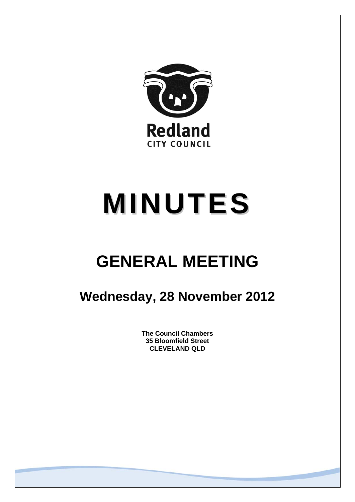

# **MINUTES**

## **GENERAL MEETING**

### **Wednesday, 28 November 2012**

**The Council Chambers 35 Bloomfield Street CLEVELAND QLD**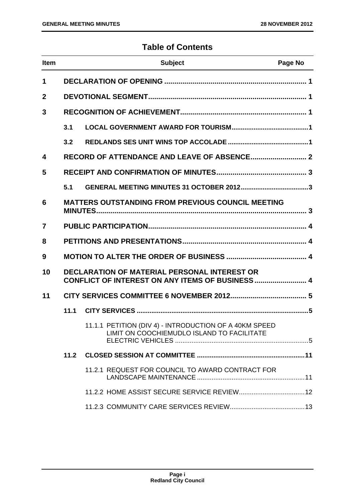#### **Table of Contents**

| <b>Item</b>    |                                                                                                         | <b>Subject</b>                                                                                       | Page No |
|----------------|---------------------------------------------------------------------------------------------------------|------------------------------------------------------------------------------------------------------|---------|
| 1              |                                                                                                         |                                                                                                      |         |
| $\mathbf 2$    |                                                                                                         |                                                                                                      |         |
| 3              |                                                                                                         |                                                                                                      |         |
|                | 3.1                                                                                                     |                                                                                                      |         |
|                | 3.2                                                                                                     |                                                                                                      |         |
| 4              |                                                                                                         |                                                                                                      |         |
| 5              |                                                                                                         |                                                                                                      |         |
|                | 5.1                                                                                                     |                                                                                                      |         |
| 6              |                                                                                                         | <b>MATTERS OUTSTANDING FROM PREVIOUS COUNCIL MEETING</b>                                             |         |
| $\overline{7}$ |                                                                                                         |                                                                                                      |         |
| 8              |                                                                                                         |                                                                                                      |         |
| 9              |                                                                                                         |                                                                                                      |         |
| 10             | <b>DECLARATION OF MATERIAL PERSONAL INTEREST OR</b><br>CONFLICT OF INTEREST ON ANY ITEMS OF BUSINESS  4 |                                                                                                      |         |
| 11             |                                                                                                         |                                                                                                      |         |
|                | 11.1                                                                                                    |                                                                                                      |         |
|                |                                                                                                         | 11.1.1 PETITION (DIV 4) - INTRODUCTION OF A 40KM SPEED<br>LIMIT ON COOCHIEMUDLO ISLAND TO FACILITATE |         |
|                | 11.2                                                                                                    |                                                                                                      |         |
|                |                                                                                                         | 11.2.1 REQUEST FOR COUNCIL TO AWARD CONTRACT FOR                                                     |         |
|                |                                                                                                         |                                                                                                      |         |
|                |                                                                                                         |                                                                                                      |         |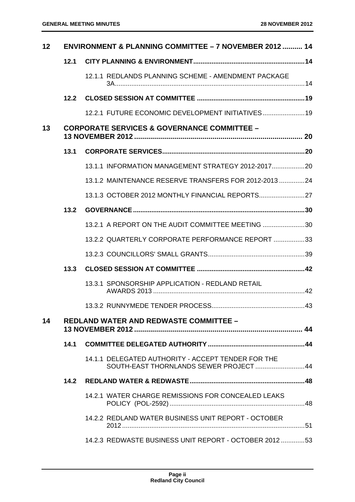| 12 |      | ENVIRONMENT & PLANNING COMMITTEE - 7 NOVEMBER 2012  14                                       |  |
|----|------|----------------------------------------------------------------------------------------------|--|
|    | 12.1 |                                                                                              |  |
|    |      | 12.1.1 REDLANDS PLANNING SCHEME - AMENDMENT PACKAGE                                          |  |
|    | 12.2 |                                                                                              |  |
|    |      | 12.2.1 FUTURE ECONOMIC DEVELOPMENT INITIATIVES 19                                            |  |
| 13 |      | <b>CORPORATE SERVICES &amp; GOVERNANCE COMMITTEE -</b>                                       |  |
|    | 13.1 |                                                                                              |  |
|    |      | 13.1.1 INFORMATION MANAGEMENT STRATEGY 2012-2017 20                                          |  |
|    |      | 13.1.2 MAINTENANCE RESERVE TRANSFERS FOR 2012-2013 24                                        |  |
|    |      | 13.1.3 OCTOBER 2012 MONTHLY FINANCIAL REPORTS27                                              |  |
|    | 13.2 |                                                                                              |  |
|    |      | 13.2.1 A REPORT ON THE AUDIT COMMITTEE MEETING 30                                            |  |
|    |      | 13.2.2 QUARTERLY CORPORATE PERFORMANCE REPORT 33                                             |  |
|    |      |                                                                                              |  |
|    | 13.3 |                                                                                              |  |
|    |      | 13.3.1 SPONSORSHIP APPLICATION - REDLAND RETAIL                                              |  |
|    |      |                                                                                              |  |
| 14 |      | <b>REDLAND WATER AND REDWASTE COMMITTEE -</b>                                                |  |
|    | 14.1 |                                                                                              |  |
|    |      | 14.1.1 DELEGATED AUTHORITY - ACCEPT TENDER FOR THE<br>SOUTH-EAST THORNLANDS SEWER PROJECT 44 |  |
|    | 14.2 |                                                                                              |  |
|    |      | 14.2.1 WATER CHARGE REMISSIONS FOR CONCEALED LEAKS                                           |  |
|    |      | 14.2.2 REDLAND WATER BUSINESS UNIT REPORT - OCTOBER                                          |  |
|    |      | 14.2.3 REDWASTE BUSINESS UNIT REPORT - OCTOBER 201253                                        |  |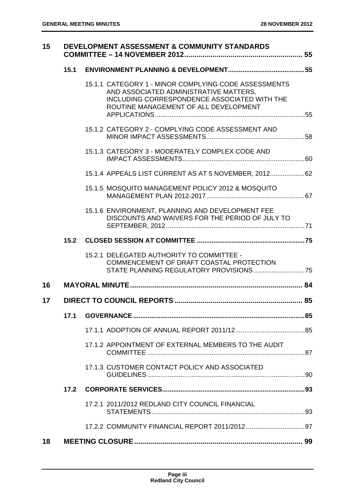| 15 |      | DEVELOPMENT ASSESSMENT & COMMUNITY STANDARDS                                                                                                                                            |  |
|----|------|-----------------------------------------------------------------------------------------------------------------------------------------------------------------------------------------|--|
|    | 15.1 |                                                                                                                                                                                         |  |
|    |      | 15.1.1 CATEGORY 1 - MINOR COMPLYING CODE ASSESSMENTS<br>AND ASSOCIATED ADMINISTRATIVE MATTERS,<br>INCLUDING CORRESPONDENCE ASSOCIATED WITH THE<br>ROUTINE MANAGEMENT OF ALL DEVELOPMENT |  |
|    |      | 15.1.2 CATEGORY 2 - COMPLYING CODE ASSESSMENT AND                                                                                                                                       |  |
|    |      | 15.1.3 CATEGORY 3 - MODERATELY COMPLEX CODE AND                                                                                                                                         |  |
|    |      | 15.1.4 APPEALS LIST CURRENT AS AT 5 NOVEMBER, 2012 62                                                                                                                                   |  |
|    |      | 15.1.5 MOSQUITO MANAGEMENT POLICY 2012 & MOSQUITO                                                                                                                                       |  |
|    |      | 15.1.6 ENVIRONMENT, PLANNING AND DEVELOPMENT FEE<br>DISCOUNTS AND WAIVERS FOR THE PERIOD OF JULY TO                                                                                     |  |
|    | 15.2 |                                                                                                                                                                                         |  |
|    |      | 15.2.1 DELEGATED AUTHORITY TO COMMITTEE -<br>COMMENCEMENT OF DRAFT COASTAL PROTECTION                                                                                                   |  |
| 16 |      |                                                                                                                                                                                         |  |
| 17 |      |                                                                                                                                                                                         |  |
|    | 17.1 |                                                                                                                                                                                         |  |
|    |      |                                                                                                                                                                                         |  |
|    |      | 17.1.2 APPOINTMENT OF EXTERNAL MEMBERS TO THE AUDIT                                                                                                                                     |  |
|    |      | 17.1.3 CUSTOMER CONTACT POLICY AND ASSOCIATED                                                                                                                                           |  |
|    | 17.2 |                                                                                                                                                                                         |  |
|    |      | 17.2.1 2011/2012 REDLAND CITY COUNCIL FINANCIAL                                                                                                                                         |  |
|    |      |                                                                                                                                                                                         |  |
| 18 |      |                                                                                                                                                                                         |  |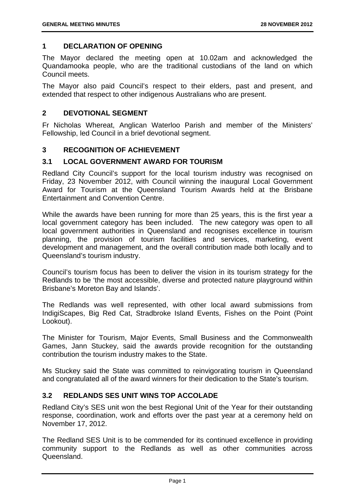#### **1 DECLARATION OF OPENING**

The Mayor declared the meeting open at 10.02am and acknowledged the Quandamooka people, who are the traditional custodians of the land on which Council meets.

The Mayor also paid Council's respect to their elders, past and present, and extended that respect to other indigenous Australians who are present.

#### **2 DEVOTIONAL SEGMENT**

Fr Nicholas Whereat, Anglican Waterloo Parish and member of the Ministers' Fellowship, led Council in a brief devotional segment.

#### **3 RECOGNITION OF ACHIEVEMENT**

#### **3.1 LOCAL GOVERNMENT AWARD FOR TOURISM**

Redland City Council's support for the local tourism industry was recognised on Friday, 23 November 2012, with Council winning the inaugural Local Government Award for Tourism at the Queensland Tourism Awards held at the Brisbane Entertainment and Convention Centre.

While the awards have been running for more than 25 years, this is the first year a local government category has been included. The new category was open to all local government authorities in Queensland and recognises excellence in tourism planning, the provision of tourism facilities and services, marketing, event development and management, and the overall contribution made both locally and to Queensland's tourism industry.

Council's tourism focus has been to deliver the vision in its tourism strategy for the Redlands to be 'the most accessible, diverse and protected nature playground within Brisbane's Moreton Bay and Islands'.

The Redlands was well represented, with other local award submissions from IndigiScapes, Big Red Cat, Stradbroke Island Events, Fishes on the Point (Point Lookout).

The Minister for Tourism, Major Events, Small Business and the Commonwealth Games, Jann Stuckey, said the awards provide recognition for the outstanding contribution the tourism industry makes to the State.

Ms Stuckey said the State was committed to reinvigorating tourism in Queensland and congratulated all of the award winners for their dedication to the State's tourism.

#### **3.2 REDLANDS SES UNIT WINS TOP ACCOLADE**

Redland City's SES unit won the best Regional Unit of the Year for their outstanding response, coordination, work and efforts over the past year at a ceremony held on November 17, 2012.

The Redland SES Unit is to be commended for its continued excellence in providing community support to the Redlands as well as other communities across Queensland.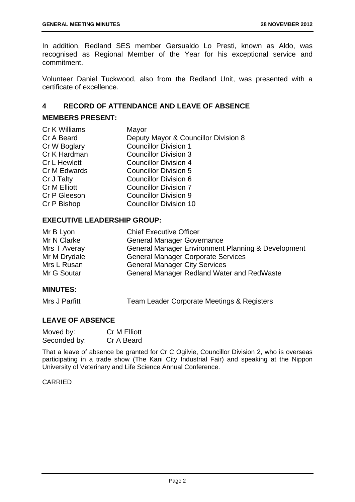In addition, Redland SES member Gersualdo Lo Presti, known as Aldo, was recognised as Regional Member of the Year for his exceptional service and commitment.

Volunteer Daniel Tuckwood, also from the Redland Unit, was presented with a certificate of excellence.

#### **4 RECORD OF ATTENDANCE AND LEAVE OF ABSENCE**

#### **MEMBERS PRESENT:**

| Cr K Williams       | Mayor                                |
|---------------------|--------------------------------------|
| Cr A Beard          | Deputy Mayor & Councillor Division 8 |
| Cr W Boglary        | <b>Councillor Division 1</b>         |
| Cr K Hardman        | <b>Councillor Division 3</b>         |
| <b>Cr L Hewlett</b> | <b>Councillor Division 4</b>         |
| Cr M Edwards        | <b>Councillor Division 5</b>         |
| Cr J Talty          | <b>Councillor Division 6</b>         |
| Cr M Elliott        | <b>Councillor Division 7</b>         |
| Cr P Gleeson        | <b>Councillor Division 9</b>         |
| Cr P Bishop         | <b>Councillor Division 10</b>        |
|                     |                                      |

#### **EXECUTIVE LEADERSHIP GROUP:**

| Mr B Lyon    | <b>Chief Executive Officer</b>                                |
|--------------|---------------------------------------------------------------|
| Mr N Clarke  | <b>General Manager Governance</b>                             |
| Mrs T Averay | <b>General Manager Environment Planning &amp; Development</b> |
| Mr M Drydale | <b>General Manager Corporate Services</b>                     |
| Mrs L Rusan  | <b>General Manager City Services</b>                          |
| Mr G Soutar  | <b>General Manager Redland Water and RedWaste</b>             |

#### **MINUTES:**

Mrs J Parfitt Team Leader Corporate Meetings & Registers

#### **LEAVE OF ABSENCE**

| Moved by:    | <b>Cr M Elliott</b> |
|--------------|---------------------|
| Seconded by: | Cr A Beard          |

That a leave of absence be granted for Cr C Ogilvie, Councillor Division 2, who is overseas participating in a trade show (The Kani City Industrial Fair) and speaking at the Nippon University of Veterinary and Life Science Annual Conference.

#### CARRIED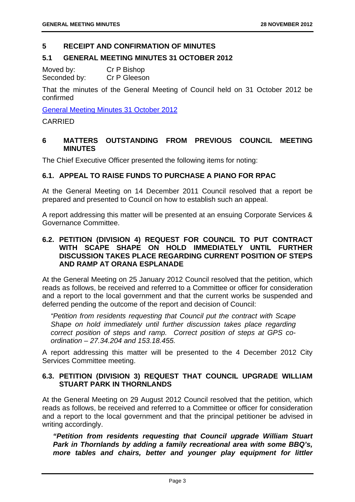#### **5 RECEIPT AND CONFIRMATION OF MINUTES**

#### **5.1 GENERAL MEETING MINUTES 31 OCTOBER 2012**

Moved by: Cr P Bishop Seconded by: Cr P Gleeson

That the minutes of the General Meeting of Council held on 31 October 2012 be confirmed

General Meeting Minutes 31 October 2012

CARRIED

#### **6 MATTERS OUTSTANDING FROM PREVIOUS COUNCIL MEETING MINUTES**

The Chief Executive Officer presented the following items for noting:

#### **6.1. APPEAL TO RAISE FUNDS TO PURCHASE A PIANO FOR RPAC**

At the General Meeting on 14 December 2011 Council resolved that a report be prepared and presented to Council on how to establish such an appeal.

A report addressing this matter will be presented at an ensuing Corporate Services & Governance Committee.

#### **6.2. PETITION (DIVISION 4) REQUEST FOR COUNCIL TO PUT CONTRACT WITH SCAPE SHAPE ON HOLD IMMEDIATELY UNTIL FURTHER DISCUSSION TAKES PLACE REGARDING CURRENT POSITION OF STEPS AND RAMP AT ORANA ESPLANADE**

At the General Meeting on 25 January 2012 Council resolved that the petition, which reads as follows, be received and referred to a Committee or officer for consideration and a report to the local government and that the current works be suspended and deferred pending the outcome of the report and decision of Council:

*"Petition from residents requesting that Council put the contract with Scape Shape on hold immediately until further discussion takes place regarding correct position of steps and ramp. Correct position of steps at GPS coordination – 27.34.204 and 153.18.455.* 

A report addressing this matter will be presented to the 4 December 2012 City Services Committee meeting.

#### **6.3. PETITION (DIVISION 3) REQUEST THAT COUNCIL UPGRADE WILLIAM STUART PARK IN THORNLANDS**

At the General Meeting on 29 August 2012 Council resolved that the petition, which reads as follows, be received and referred to a Committee or officer for consideration and a report to the local government and that the principal petitioner be advised in writing accordingly.

*"Petition from residents requesting that Council upgrade William Stuart Park in Thornlands by adding a family recreational area with some BBQ's, more tables and chairs, better and younger play equipment for littler*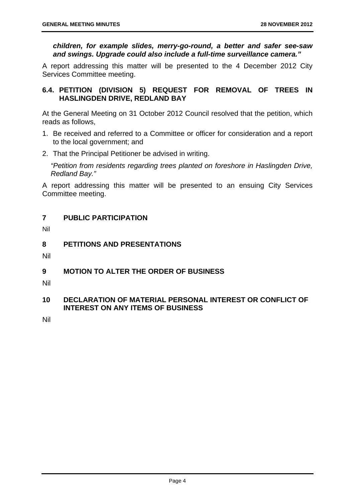*children, for example slides, merry-go-round, a better and safer see-saw and swings. Upgrade could also include a full-time surveillance camera."* 

A report addressing this matter will be presented to the 4 December 2012 City Services Committee meeting.

#### **6.4. PETITION (DIVISION 5) REQUEST FOR REMOVAL OF TREES IN HASLINGDEN DRIVE, REDLAND BAY**

At the General Meeting on 31 October 2012 Council resolved that the petition, which reads as follows,

- 1. Be received and referred to a Committee or officer for consideration and a report to the local government; and
- 2. That the Principal Petitioner be advised in writing.

*"Petition from residents regarding trees planted on foreshore in Haslingden Drive, Redland Bay."* 

A report addressing this matter will be presented to an ensuing City Services Committee meeting.

#### **7 PUBLIC PARTICIPATION**

Nil

#### **8 PETITIONS AND PRESENTATIONS**

Nil

#### **9 MOTION TO ALTER THE ORDER OF BUSINESS**

Nil

#### **10 DECLARATION OF MATERIAL PERSONAL INTEREST OR CONFLICT OF INTEREST ON ANY ITEMS OF BUSINESS**

Nil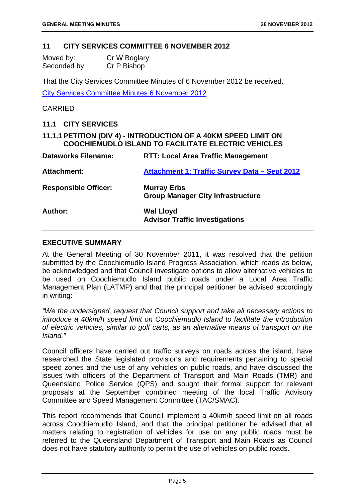#### **11 CITY SERVICES COMMITTEE 6 NOVEMBER 2012**

| Moved by:    | Cr W Boglary |
|--------------|--------------|
| Seconded by: | Cr P Bishop  |

That the City Services Committee Minutes of 6 November 2012 be received. City Services Committee Minutes 6 November 2012

#### **CARRIED**

#### **11.1 CITY SERVICES**

#### **11.1.1 PETITION (DIV 4) - INTRODUCTION OF A 40KM SPEED LIMIT ON COOCHIEMUDLO ISLAND TO FACILITATE ELECTRIC VEHICLES**

**Dataworks Filename: RTT: Local Area Traffic Management** 

| Dataworks Filename:         | <b>RII: LOCAL Area Traffic Management</b>                      |
|-----------------------------|----------------------------------------------------------------|
| <b>Attachment:</b>          | <b>Attachment 1: Traffic Survey Data - Sept 2012</b>           |
| <b>Responsible Officer:</b> | <b>Murray Erbs</b><br><b>Group Manager City Infrastructure</b> |
| Author:                     | <b>Wal Lloyd</b><br><b>Advisor Traffic Investigations</b>      |

#### **EXECUTIVE SUMMARY**

At the General Meeting of 30 November 2011, it was resolved that the petition submitted by the Coochiemudlo Island Progress Association, which reads as below, be acknowledged and that Council investigate options to allow alternative vehicles to be used on Coochiemudlo Island public roads under a Local Area Traffic Management Plan (LATMP) and that the principal petitioner be advised accordingly in writing:

*"We the undersigned, request that Council support and take all necessary actions to introduce a 40km/h speed limit on Coochiemudlo Island to facilitate the introduction of electric vehicles, similar to golf carts, as an alternative means of transport on the Island."* 

Council officers have carried out traffic surveys on roads across the island, have researched the State legislated provisions and requirements pertaining to special speed zones and the use of any vehicles on public roads, and have discussed the issues with officers of the Department of Transport and Main Roads (TMR) and Queensland Police Service (QPS) and sought their formal support for relevant proposals at the September combined meeting of the local Traffic Advisory Committee and Speed Management Committee (TAC/SMAC).

This report recommends that Council implement a 40km/h speed limit on all roads across Coochiemudlo Island, and that the principal petitioner be advised that all matters relating to registration of vehicles for use on any public roads must be referred to the Queensland Department of Transport and Main Roads as Council does not have statutory authority to permit the use of vehicles on public roads.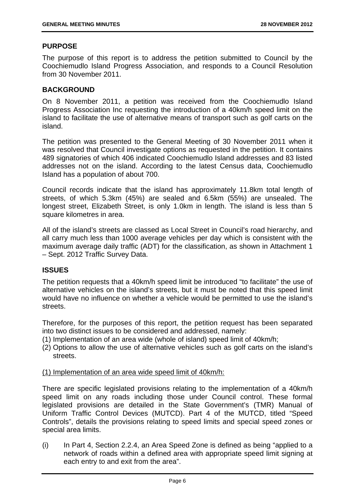#### **PURPOSE**

The purpose of this report is to address the petition submitted to Council by the Coochiemudlo Island Progress Association, and responds to a Council Resolution from 30 November 2011.

#### **BACKGROUND**

On 8 November 2011, a petition was received from the Coochiemudlo Island Progress Association Inc requesting the introduction of a 40km/h speed limit on the island to facilitate the use of alternative means of transport such as golf carts on the island.

The petition was presented to the General Meeting of 30 November 2011 when it was resolved that Council investigate options as requested in the petition. It contains 489 signatories of which 406 indicated Coochiemudlo Island addresses and 83 listed addresses not on the island. According to the latest Census data, Coochiemudlo Island has a population of about 700.

Council records indicate that the island has approximately 11.8km total length of streets, of which 5.3km (45%) are sealed and 6.5km (55%) are unsealed. The longest street, Elizabeth Street, is only 1.0km in length. The island is less than 5 square kilometres in area.

All of the island's streets are classed as Local Street in Council's road hierarchy, and all carry much less than 1000 average vehicles per day which is consistent with the maximum average daily traffic (ADT) for the classification, as shown in Attachment 1 – Sept. 2012 Traffic Survey Data.

#### **ISSUES**

The petition requests that a 40km/h speed limit be introduced "to facilitate" the use of alternative vehicles on the island's streets, but it must be noted that this speed limit would have no influence on whether a vehicle would be permitted to use the island's streets.

Therefore, for the purposes of this report, the petition request has been separated into two distinct issues to be considered and addressed, namely:

- (1) Implementation of an area wide (whole of island) speed limit of 40km/h;
- (2) Options to allow the use of alternative vehicles such as golf carts on the island's streets.

#### (1) Implementation of an area wide speed limit of 40km/h:

There are specific legislated provisions relating to the implementation of a 40km/h speed limit on any roads including those under Council control. These formal legislated provisions are detailed in the State Government's (TMR) Manual of Uniform Traffic Control Devices (MUTCD). Part 4 of the MUTCD, titled "Speed Controls", details the provisions relating to speed limits and special speed zones or special area limits.

(i) In Part 4, Section 2.2.4, an Area Speed Zone is defined as being "applied to a network of roads within a defined area with appropriate speed limit signing at each entry to and exit from the area".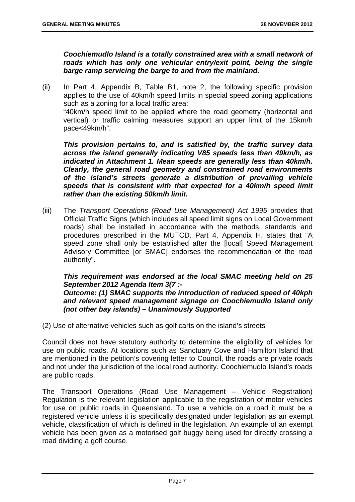*Coochiemudlo Island is a totally constrained area with a small network of roads which has only one vehicular entry/exit point, being the single barge ramp servicing the barge to and from the mainland.* 

(ii) In Part 4, Appendix B, Table B1, note 2, the following specific provision applies to the use of 40km/h speed limits in special speed zoning applications such as a zoning for a local traffic area: "40km/h speed limit to be applied where the road geometry (horizontal and vertical) or traffic calming measures support an upper limit of the 15km/h

pace<49km/h".

*This provision pertains to, and is satisfied by, the traffic survey data across the island generally indicating V85 speeds less than 49km/h, as indicated in Attachment 1. Mean speeds are generally less than 40km/h. Clearly, the general road geometry and constrained road environments of the island's streets generate a distribution of prevailing vehicle speeds that is consistent with that expected for a 40km/h speed limit rather than the existing 50km/h limit.* 

(iii) The *Transport Operations (Road Use Management) Act 1995* provides that Official Traffic Signs (which includes all speed limit signs on Local Government roads) shall be installed in accordance with the methods, standards and procedures prescribed in the MUTCD. Part 4, Appendix H, states that "A speed zone shall only be established after the [local] Speed Management Advisory Committee [or SMAC] endorses the recommendation of the road authority".

#### *This requirement was endorsed at the local SMAC meeting held on 25 September 2012 Agenda Item 3(7 :-*

*Outcome: (1) SMAC supports the introduction of reduced speed of 40kph and relevant speed management signage on Coochiemudlo Island only (not other bay islands) – Unanimously Supported*

#### (2) Use of alternative vehicles such as golf carts on the island's streets

Council does not have statutory authority to determine the eligibility of vehicles for use on public roads. At locations such as Sanctuary Cove and Hamilton Island that are mentioned in the petition's covering letter to Council, the roads are private roads and not under the jurisdiction of the local road authority. Coochiemudlo Island's roads are public roads.

The Transport Operations (Road Use Management – Vehicle Registration) Regulation is the relevant legislation applicable to the registration of motor vehicles for use on public roads in Queensland. To use a vehicle on a road it must be a registered vehicle unless it is specifically designated under legislation as an exempt vehicle, classification of which is defined in the legislation. An example of an exempt vehicle has been given as a motorised golf buggy being used for directly crossing a road dividing a golf course.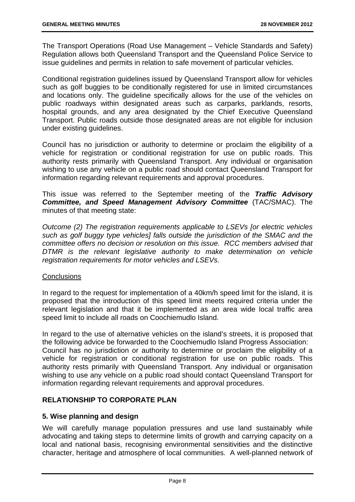The Transport Operations (Road Use Management – Vehicle Standards and Safety) Regulation allows both Queensland Transport and the Queensland Police Service to issue guidelines and permits in relation to safe movement of particular vehicles.

Conditional registration guidelines issued by Queensland Transport allow for vehicles such as golf buggies to be conditionally registered for use in limited circumstances and locations only. The guideline specifically allows for the use of the vehicles on public roadways within designated areas such as carparks, parklands, resorts, hospital grounds, and any area designated by the Chief Executive Queensland Transport. Public roads outside those designated areas are not eligible for inclusion under existing guidelines.

Council has no jurisdiction or authority to determine or proclaim the eligibility of a vehicle for registration or conditional registration for use on public roads. This authority rests primarily with Queensland Transport. Any individual or organisation wishing to use any vehicle on a public road should contact Queensland Transport for information regarding relevant requirements and approval procedures.

This issue was referred to the September meeting of the *Traffic Advisory Committee, and Speed Management Advisory Committee* (TAC/SMAC). The minutes of that meeting state:

*Outcome (2) The registration requirements applicable to LSEVs [or electric vehicles such as golf buggy type vehicles] falls outside the jurisdiction of the SMAC and the committee offers no decision or resolution on this issue. RCC members advised that DTMR is the relevant legislative authority to make determination on vehicle registration requirements for motor vehicles and LSEVs.* 

#### **Conclusions**

In regard to the request for implementation of a 40km/h speed limit for the island, it is proposed that the introduction of this speed limit meets required criteria under the relevant legislation and that it be implemented as an area wide local traffic area speed limit to include all roads on Coochiemudlo Island.

In regard to the use of alternative vehicles on the island's streets, it is proposed that the following advice be forwarded to the Coochiemudlo Island Progress Association: Council has no jurisdiction or authority to determine or proclaim the eligibility of a vehicle for registration or conditional registration for use on public roads. This authority rests primarily with Queensland Transport. Any individual or organisation wishing to use any vehicle on a public road should contact Queensland Transport for information regarding relevant requirements and approval procedures.

#### **RELATIONSHIP TO CORPORATE PLAN**

#### **5. Wise planning and design**

We will carefully manage population pressures and use land sustainably while advocating and taking steps to determine limits of growth and carrying capacity on a local and national basis, recognising environmental sensitivities and the distinctive character, heritage and atmosphere of local communities. A well-planned network of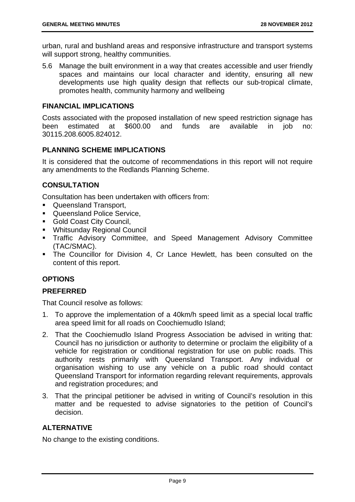urban, rural and bushland areas and responsive infrastructure and transport systems will support strong, healthy communities.

5.6 Manage the built environment in a way that creates accessible and user friendly spaces and maintains our local character and identity, ensuring all new developments use high quality design that reflects our sub-tropical climate, promotes health, community harmony and wellbeing

#### **FINANCIAL IMPLICATIONS**

Costs associated with the proposed installation of new speed restriction signage has been estimated at \$600.00 and funds are available in job no: 30115.208.6005.824012.

#### **PLANNING SCHEME IMPLICATIONS**

It is considered that the outcome of recommendations in this report will not require any amendments to the Redlands Planning Scheme.

#### **CONSULTATION**

Consultation has been undertaken with officers from:

- **Queensland Transport,**
- **Queensland Police Service.**
- **Gold Coast City Council,**
- Whitsunday Regional Council
- Traffic Advisory Committee, and Speed Management Advisory Committee (TAC/SMAC).
- The Councillor for Division 4, Cr Lance Hewlett, has been consulted on the content of this report.

#### **OPTIONS**

#### **PREFERRED**

That Council resolve as follows:

- 1. To approve the implementation of a 40km/h speed limit as a special local traffic area speed limit for all roads on Coochiemudlo Island;
- 2. That the Coochiemudlo Island Progress Association be advised in writing that: Council has no jurisdiction or authority to determine or proclaim the eligibility of a vehicle for registration or conditional registration for use on public roads. This authority rests primarily with Queensland Transport. Any individual or organisation wishing to use any vehicle on a public road should contact Queensland Transport for information regarding relevant requirements, approvals and registration procedures; and
- 3. That the principal petitioner be advised in writing of Council's resolution in this matter and be requested to advise signatories to the petition of Council's decision.

#### **ALTERNATIVE**

No change to the existing conditions.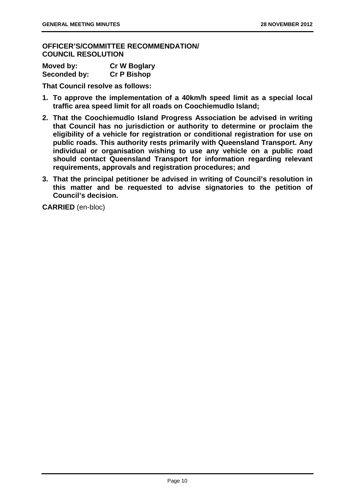**OFFICER'S/COMMITTEE RECOMMENDATION/ COUNCIL RESOLUTION** 

| Moved by:    | <b>Cr W Boglary</b> |
|--------------|---------------------|
| Seconded by: | <b>Cr P Bishop</b>  |

**That Council resolve as follows:** 

- **1. To approve the implementation of a 40km/h speed limit as a special local traffic area speed limit for all roads on Coochiemudlo Island;**
- **2. That the Coochiemudlo Island Progress Association be advised in writing that Council has no jurisdiction or authority to determine or proclaim the eligibility of a vehicle for registration or conditional registration for use on public roads. This authority rests primarily with Queensland Transport. Any individual or organisation wishing to use any vehicle on a public road should contact Queensland Transport for information regarding relevant requirements, approvals and registration procedures; and**
- **3. That the principal petitioner be advised in writing of Council's resolution in this matter and be requested to advise signatories to the petition of Council's decision.**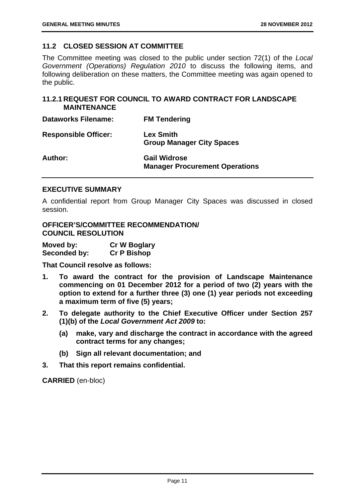#### **11.2 CLOSED SESSION AT COMMITTEE**

The Committee meeting was closed to the public under section 72(1) of the *Local Government (Operations) Regulation 2010* to discuss the following items, and following deliberation on these matters, the Committee meeting was again opened to the public.

#### **11.2.1 REQUEST FOR COUNCIL TO AWARD CONTRACT FOR LANDSCAPE MAINTENANCE**

| <b>Dataworks Filename:</b>  | <b>FM Tendering</b>                                          |
|-----------------------------|--------------------------------------------------------------|
| <b>Responsible Officer:</b> | <b>Lex Smith</b><br><b>Group Manager City Spaces</b>         |
| Author:                     | <b>Gail Widrose</b><br><b>Manager Procurement Operations</b> |

#### **EXECUTIVE SUMMARY**

A confidential report from Group Manager City Spaces was discussed in closed session.

#### **OFFICER'S/COMMITTEE RECOMMENDATION/ COUNCIL RESOLUTION**

| Moved by:    | <b>Cr W Boglary</b> |
|--------------|---------------------|
| Seconded by: | <b>Cr P Bishop</b>  |

**That Council resolve as follows:** 

- **1. To award the contract for the provision of Landscape Maintenance commencing on 01 December 2012 for a period of two (2) years with the option to extend for a further three (3) one (1) year periods not exceeding a maximum term of five (5) years;**
- **2. To delegate authority to the Chief Executive Officer under Section 257 (1)(b) of the** *Local Government Act 2009* **to:** 
	- **(a) make, vary and discharge the contract in accordance with the agreed contract terms for any changes;**
	- **(b) Sign all relevant documentation; and**
- **3. That this report remains confidential.**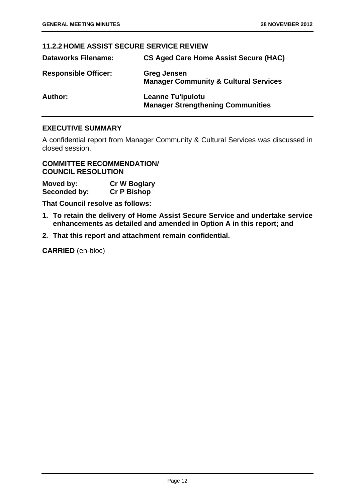#### **11.2.2 HOME ASSIST SECURE SERVICE REVIEW**

| <b>Dataworks Filename:</b>  | <b>CS Aged Care Home Assist Secure (HAC)</b>                           |
|-----------------------------|------------------------------------------------------------------------|
| <b>Responsible Officer:</b> | <b>Greg Jensen</b><br><b>Manager Community &amp; Cultural Services</b> |
| Author:                     | <b>Leanne Tu'ipulotu</b><br><b>Manager Strengthening Communities</b>   |

#### **EXECUTIVE SUMMARY**

A confidential report from Manager Community & Cultural Services was discussed in closed session.

**COMMITTEE RECOMMENDATION/ COUNCIL RESOLUTION** 

**Moved by: Cr W Boglary Seconded by: Cr P Bishop** 

**That Council resolve as follows:** 

- **1. To retain the delivery of Home Assist Secure Service and undertake service enhancements as detailed and amended in Option A in this report; and**
- **2. That this report and attachment remain confidential.**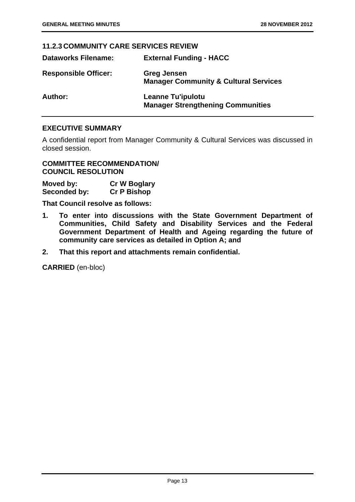#### **11.2.3 COMMUNITY CARE SERVICES REVIEW**

| <b>Dataworks Filename:</b>  | <b>External Funding - HACC</b>                                         |
|-----------------------------|------------------------------------------------------------------------|
| <b>Responsible Officer:</b> | <b>Greg Jensen</b><br><b>Manager Community &amp; Cultural Services</b> |
| <b>Author:</b>              | <b>Leanne Tu'ipulotu</b><br><b>Manager Strengthening Communities</b>   |

#### **EXECUTIVE SUMMARY**

A confidential report from Manager Community & Cultural Services was discussed in closed session.

**COMMITTEE RECOMMENDATION/ COUNCIL RESOLUTION** 

| Moved by:    | <b>Cr W Boglary</b> |
|--------------|---------------------|
| Seconded by: | <b>Cr P Bishop</b>  |

**That Council resolve as follows:** 

- **1. To enter into discussions with the State Government Department of Communities, Child Safety and Disability Services and the Federal Government Department of Health and Ageing regarding the future of community care services as detailed in Option A; and**
- **2. That this report and attachments remain confidential.**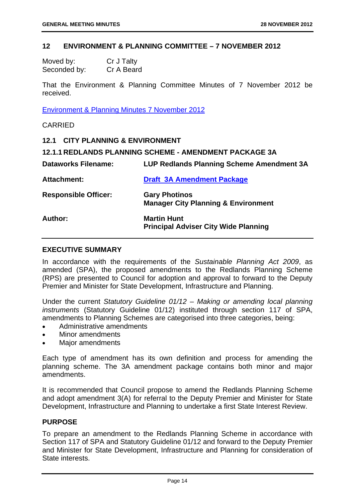#### **12 ENVIRONMENT & PLANNING COMMITTEE – 7 NOVEMBER 2012**

| Moved by:    | Cr J Talty |
|--------------|------------|
| Seconded by: | Cr A Beard |

That the Environment & Planning Committee Minutes of 7 November 2012 be received.

Environment & Planning Minutes 7 November 2012

CARRIED

|                             | 12.1 CITY PLANNING & ENVIRONMENT                              |  |
|-----------------------------|---------------------------------------------------------------|--|
|                             | <b>12.1.1 REDLANDS PLANNING SCHEME - AMENDMENT PACKAGE 3A</b> |  |
| <b>Dataworks Filename:</b>  | LUP Redlands Planning Scheme Amendment 3A                     |  |
| <b>Attachment:</b>          | <b>Draft 3A Amendment Package</b>                             |  |
| <b>Responsible Officer:</b> | <b>Gary Photinos</b>                                          |  |
|                             | <b>Manager City Planning &amp; Environment</b>                |  |
| Author:                     | <b>Martin Hunt</b>                                            |  |
|                             | <b>Principal Adviser City Wide Planning</b>                   |  |

#### **EXECUTIVE SUMMARY**

In accordance with the requirements of the *Sustainable Planning Act 2009*, as amended (SPA), the proposed amendments to the Redlands Planning Scheme (RPS) are presented to Council for adoption and approval to forward to the Deputy Premier and Minister for State Development, Infrastructure and Planning.

Under the current *Statutory Guideline 01/12 – Making or amending local planning instruments* (Statutory Guideline 01/12) instituted through section 117 of SPA, amendments to Planning Schemes are categorised into three categories, being:

- Administrative amendments
- Minor amendments
- Major amendments

Each type of amendment has its own definition and process for amending the planning scheme. The 3A amendment package contains both minor and major amendments.

It is recommended that Council propose to amend the Redlands Planning Scheme and adopt amendment 3(A) for referral to the Deputy Premier and Minister for State Development, Infrastructure and Planning to undertake a first State Interest Review.

#### **PURPOSE**

To prepare an amendment to the Redlands Planning Scheme in accordance with Section 117 of SPA and Statutory Guideline 01/12 and forward to the Deputy Premier and Minister for State Development, Infrastructure and Planning for consideration of State interests.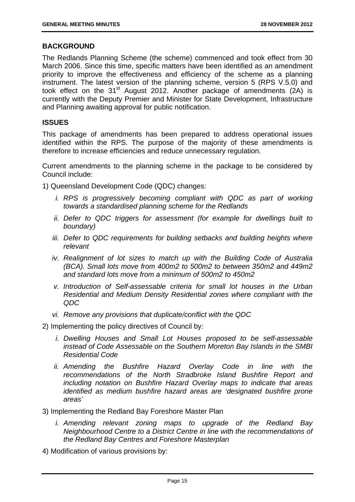#### **BACKGROUND**

The Redlands Planning Scheme (the scheme) commenced and took effect from 30 March 2006. Since this time, specific matters have been identified as an amendment priority to improve the effectiveness and efficiency of the scheme as a planning instrument. The latest version of the planning scheme, version 5 (RPS V.5.0) and took effect on the 31<sup>st</sup> August 2012. Another package of amendments (2A) is currently with the Deputy Premier and Minister for State Development, Infrastructure and Planning awaiting approval for public notification.

#### **ISSUES**

This package of amendments has been prepared to address operational issues identified within the RPS. The purpose of the majority of these amendments is therefore to increase efficiencies and reduce unnecessary regulation.

Current amendments to the planning scheme in the package to be considered by Council include:

1) Queensland Development Code (QDC) changes:

- *i. RPS is progressively becoming compliant with QDC as part of working towards a standardised planning scheme for the Redlands*
- *ii. Defer to QDC triggers for assessment (for example for dwellings built to boundary)*
- *iii.* Defer to QDC requirements for building setbacks and building heights where *relevant*
- *iv. Realignment of lot sizes to match up with the Building Code of Australia (BCA). Small lots move from 400m2 to 500m2 to between 350m2 and 449m2 and standard lots move from a minimum of 500m2 to 450m2*
- *v. Introduction of Self-assessable criteria for small lot houses in the Urban Residential and Medium Density Residential zones where compliant with the QDC*
- *vi. Remove any provisions that duplicate/conflict with the QDC*
- 2) Implementing the policy directives of Council by:
	- *i. Dwelling Houses and Small Lot Houses proposed to be self-assessable instead of Code Assessable on the Southern Moreton Bay Islands in the SMBI Residential Code*
	- *ii. Amending the Bushfire Hazard Overlay Code in line with the recommendations of the North Stradbroke Island Bushfire Report and including notation on Bushfire Hazard Overlay maps to indicate that areas identified as medium bushfire hazard areas are 'designated bushfire prone areas'*
- 3) Implementing the Redland Bay Foreshore Master Plan
	- *i. Amending relevant zoning maps to upgrade of the Redland Bay Neighbourhood Centre to a District Centre in line with the recommendations of the Redland Bay Centres and Foreshore Masterplan*
- 4) Modification of various provisions by: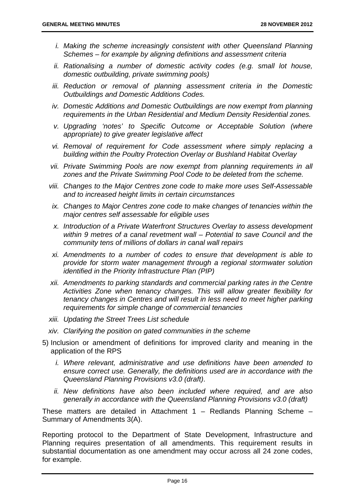- *i. Making the scheme increasingly consistent with other Queensland Planning Schemes – for example by aligning definitions and assessment criteria*
- *ii. Rationalising a number of domestic activity codes (e.g. small lot house, domestic outbuilding, private swimming pools)*
- *iii. Reduction or removal of planning assessment criteria in the Domestic Outbuildings and Domestic Additions Codes.*
- *iv.* Domestic Additions and Domestic Outbuildings are now exempt from planning *requirements in the Urban Residential and Medium Density Residential zones.*
- *v. Upgrading 'notes' to Specific Outcome or Acceptable Solution (where appropriate) to give greater legislative affect*
- *vi. Removal of requirement for Code assessment where simply replacing a building within the Poultry Protection Overlay or Bushland Habitat Overlay*
- *vii. Private Swimming Pools are now exempt from planning requirements in all zones and the Private Swimming Pool Code to be deleted from the scheme.*
- *viii. Changes to the Major Centres zone code to make more uses Self-Assessable and to increased height limits in certain circumstances*
- *ix. Changes to Major Centres zone code to make changes of tenancies within the major centres self assessable for eligible uses*
- *x. Introduction of a Private Waterfront Structures Overlay to assess development within 9 metres of a canal revetment wall – Potential to save Council and the community tens of millions of dollars in canal wall repairs*
- *xi. Amendments to a number of codes to ensure that development is able to provide for storm water management through a regional stormwater solution identified in the Priority Infrastructure Plan (PIP)*
- *xii. Amendments to parking standards and commercial parking rates in the Centre Activities Zone when tenancy changes. This will allow greater flexibility for tenancy changes in Centres and will result in less need to meet higher parking requirements for simple change of commercial tenancies*
- *xiii. Updating the Street Trees List schedule*
- *xiv. Clarifying the position on gated communities in the scheme*
- 5) Inclusion or amendment of definitions for improved clarity and meaning in the application of the RPS
	- *i. Where relevant, administrative and use definitions have been amended to ensure correct use. Generally, the definitions used are in accordance with the Queensland Planning Provisions v3.0 (draft)*.
	- *ii. New definitions have also been included where required, and are also generally in accordance with the Queensland Planning Provisions v3.0 (draft)*

These matters are detailed in Attachment 1 – Redlands Planning Scheme – Summary of Amendments 3(A).

Reporting protocol to the Department of State Development, Infrastructure and Planning requires presentation of all amendments. This requirement results in substantial documentation as one amendment may occur across all 24 zone codes, for example.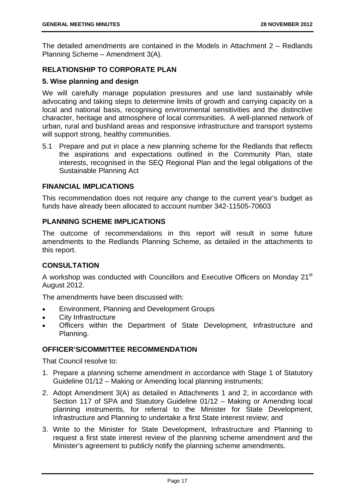The detailed amendments are contained in the Models in Attachment 2 – Redlands Planning Scheme – Amendment 3(A).

#### **RELATIONSHIP TO CORPORATE PLAN**

#### **5. Wise planning and design**

We will carefully manage population pressures and use land sustainably while advocating and taking steps to determine limits of growth and carrying capacity on a local and national basis, recognising environmental sensitivities and the distinctive character, heritage and atmosphere of local communities. A well-planned network of urban, rural and bushland areas and responsive infrastructure and transport systems will support strong, healthy communities.

5.1 Prepare and put in place a new planning scheme for the Redlands that reflects the aspirations and expectations outlined in the Community Plan, state interests, recognised in the SEQ Regional Plan and the legal obligations of the Sustainable Planning Act

#### **FINANCIAL IMPLICATIONS**

This recommendation does not require any change to the current year's budget as funds have already been allocated to account number 342-11505-70603

#### **PLANNING SCHEME IMPLICATIONS**

The outcome of recommendations in this report will result in some future amendments to the Redlands Planning Scheme, as detailed in the attachments to this report.

#### **CONSULTATION**

A workshop was conducted with Councillors and Executive Officers on Monday 21<sup>st</sup> August 2012.

The amendments have been discussed with:

- Environment, Planning and Development Groups
- City Infrastructure
- Officers within the Department of State Development, Infrastructure and Planning.

#### **OFFICER'S/COMMITTEE RECOMMENDATION**

That Council resolve to:

- 1. Prepare a planning scheme amendment in accordance with Stage 1 of Statutory Guideline 01/12 – Making or Amending local planning instruments;
- 2. Adopt Amendment 3(A) as detailed in Attachments 1 and 2, in accordance with Section 117 of SPA and Statutory Guideline 01/12 – Making or Amending local planning instruments, for referral to the Minister for State Development, Infrastructure and Planning to undertake a first State interest review; and
- 3. Write to the Minister for State Development, Infrastructure and Planning to request a first state interest review of the planning scheme amendment and the Minister's agreement to publicly notify the planning scheme amendments.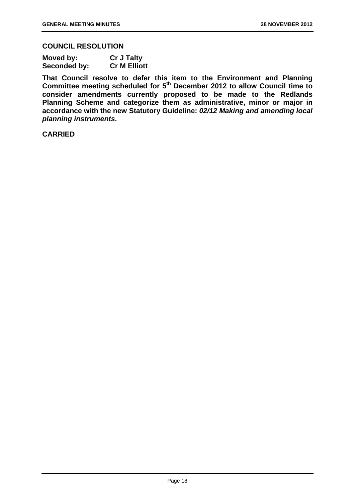#### **COUNCIL RESOLUTION**

| Moved by:    | <b>Cr J Talty</b>   |
|--------------|---------------------|
| Seconded by: | <b>Cr M Elliott</b> |

**That Council resolve to defer this item to the Environment and Planning Committee meeting scheduled for 5th December 2012 to allow Council time to consider amendments currently proposed to be made to the Redlands Planning Scheme and categorize them as administrative, minor or major in accordance with the new Statutory Guideline:** *02/12 Making and amending local planning instruments***.** 

#### **CARRIED**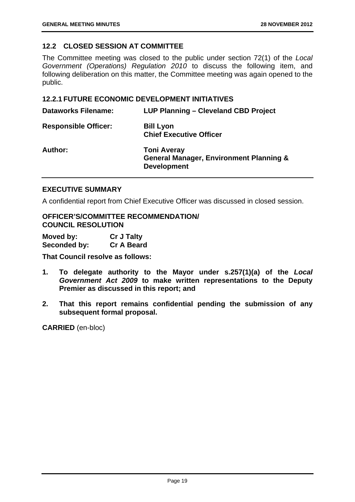#### **12.2 CLOSED SESSION AT COMMITTEE**

The Committee meeting was closed to the public under section 72(1) of the *Local Government (Operations) Regulation 2010* to discuss the following item, and following deliberation on this matter, the Committee meeting was again opened to the public.

#### **12.2.1 FUTURE ECONOMIC DEVELOPMENT INITIATIVES**

| <b>Dataworks Filename:</b>  | LUP Planning - Cleveland CBD Project                                                           |
|-----------------------------|------------------------------------------------------------------------------------------------|
| <b>Responsible Officer:</b> | <b>Bill Lyon</b><br><b>Chief Executive Officer</b>                                             |
| Author:                     | <b>Toni Averay</b><br><b>General Manager, Environment Planning &amp;</b><br><b>Development</b> |

#### **EXECUTIVE SUMMARY**

A confidential report from Chief Executive Officer was discussed in closed session.

**OFFICER'S/COMMITTEE RECOMMENDATION/ COUNCIL RESOLUTION** 

| Moved by:    | <b>Cr J Talty</b> |
|--------------|-------------------|
| Seconded by: | <b>Cr A Beard</b> |

**That Council resolve as follows:** 

- **1. To delegate authority to the Mayor under s.257(1)(a) of the** *Local Government Act 2009* **to make written representations to the Deputy Premier as discussed in this report; and**
- **2. That this report remains confidential pending the submission of any subsequent formal proposal.**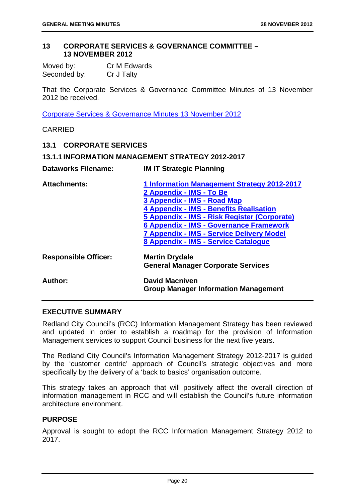#### **13 CORPORATE SERVICES & GOVERNANCE COMMITTEE – 13 NOVEMBER 2012**

| Moved by:    | Cr M Edwards |
|--------------|--------------|
| Seconded by: | Cr J Talty   |

That the Corporate Services & Governance Committee Minutes of 13 November 2012 be received.

Corporate Services & Governance Minutes 13 November 2012

CARRIED

#### **13.1 CORPORATE SERVICES**

#### **13.1.1 INFORMATION MANAGEMENT STRATEGY 2012-2017**

| <b>Dataworks Filename:</b>  | <b>IM IT Strategic Planning</b>                                      |
|-----------------------------|----------------------------------------------------------------------|
| <b>Attachments:</b>         | 1 Information Management Strategy 2012-2017                          |
|                             | 2 Appendix - IMS - To Be                                             |
|                             | 3 Appendix - IMS - Road Map                                          |
|                             | 4 Appendix - IMS - Benefits Realisation                              |
|                             | 5 Appendix - IMS - Risk Register (Corporate)                         |
|                             | 6 Appendix - IMS - Governance Framework                              |
|                             | <b>7 Appendix - IMS - Service Delivery Model</b>                     |
|                             | 8 Appendix - IMS - Service Catalogue                                 |
| <b>Responsible Officer:</b> | <b>Martin Drydale</b>                                                |
|                             | <b>General Manager Corporate Services</b>                            |
| Author:                     | <b>David Macniven</b><br><b>Group Manager Information Management</b> |
|                             |                                                                      |

#### **EXECUTIVE SUMMARY**

Redland City Council's (RCC) Information Management Strategy has been reviewed and updated in order to establish a roadmap for the provision of Information Management services to support Council business for the next five years.

The Redland City Council's Information Management Strategy 2012-2017 is guided by the 'customer centric' approach of Council's strategic objectives and more specifically by the delivery of a 'back to basics' organisation outcome.

This strategy takes an approach that will positively affect the overall direction of information management in RCC and will establish the Council's future information architecture environment.

#### **PURPOSE**

Approval is sought to adopt the RCC Information Management Strategy 2012 to 2017.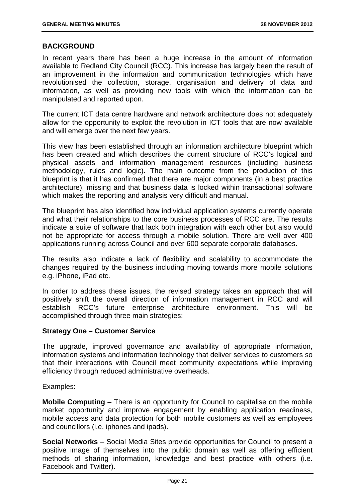#### **BACKGROUND**

In recent years there has been a huge increase in the amount of information available to Redland City Council (RCC). This increase has largely been the result of an improvement in the information and communication technologies which have revolutionised the collection, storage, organisation and delivery of data and information, as well as providing new tools with which the information can be manipulated and reported upon.

The current ICT data centre hardware and network architecture does not adequately allow for the opportunity to exploit the revolution in ICT tools that are now available and will emerge over the next few years.

This view has been established through an information architecture blueprint which has been created and which describes the current structure of RCC's logical and physical assets and information management resources (including business methodology, rules and logic). The main outcome from the production of this blueprint is that it has confirmed that there are major components (in a best practice architecture), missing and that business data is locked within transactional software which makes the reporting and analysis very difficult and manual.

The blueprint has also identified how individual application systems currently operate and what their relationships to the core business processes of RCC are. The results indicate a suite of software that lack both integration with each other but also would not be appropriate for access through a mobile solution. There are well over 400 applications running across Council and over 600 separate corporate databases.

The results also indicate a lack of flexibility and scalability to accommodate the changes required by the business including moving towards more mobile solutions e.g. iPhone, iPad etc.

In order to address these issues, the revised strategy takes an approach that will positively shift the overall direction of information management in RCC and will establish RCC's future enterprise architecture environment. This will be accomplished through three main strategies:

#### **Strategy One – Customer Service**

The upgrade, improved governance and availability of appropriate information, information systems and information technology that deliver services to customers so that their interactions with Council meet community expectations while improving efficiency through reduced administrative overheads.

#### Examples:

**Mobile Computing** – There is an opportunity for Council to capitalise on the mobile market opportunity and improve engagement by enabling application readiness, mobile access and data protection for both mobile customers as well as employees and councillors (i.e. iphones and ipads).

**Social Networks** – Social Media Sites provide opportunities for Council to present a positive image of themselves into the public domain as well as offering efficient methods of sharing information, knowledge and best practice with others (i.e. Facebook and Twitter).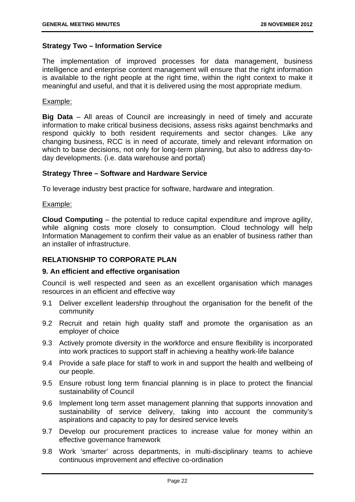#### **Strategy Two – Information Service**

The implementation of improved processes for data management, business intelligence and enterprise content management will ensure that the right information is available to the right people at the right time, within the right context to make it meaningful and useful, and that it is delivered using the most appropriate medium.

#### Example:

**Big Data** – All areas of Council are increasingly in need of timely and accurate information to make critical business decisions, assess risks against benchmarks and respond quickly to both resident requirements and sector changes. Like any changing business, RCC is in need of accurate, timely and relevant information on which to base decisions, not only for long-term planning, but also to address day-today developments. (i.e. data warehouse and portal)

#### **Strategy Three – Software and Hardware Service**

To leverage industry best practice for software, hardware and integration.

#### Example:

**Cloud Computing** – the potential to reduce capital expenditure and improve agility, while aligning costs more closely to consumption. Cloud technology will help Information Management to confirm their value as an enabler of business rather than an installer of infrastructure.

#### **RELATIONSHIP TO CORPORATE PLAN**

#### **9. An efficient and effective organisation**

Council is well respected and seen as an excellent organisation which manages resources in an efficient and effective way

- 9.1 Deliver excellent leadership throughout the organisation for the benefit of the community
- 9.2 Recruit and retain high quality staff and promote the organisation as an employer of choice
- 9.3 Actively promote diversity in the workforce and ensure flexibility is incorporated into work practices to support staff in achieving a healthy work-life balance
- 9.4 Provide a safe place for staff to work in and support the health and wellbeing of our people.
- 9.5 Ensure robust long term financial planning is in place to protect the financial sustainability of Council
- 9.6 Implement long term asset management planning that supports innovation and sustainability of service delivery, taking into account the community's aspirations and capacity to pay for desired service levels
- 9.7 Develop our procurement practices to increase value for money within an effective governance framework
- 9.8 Work 'smarter' across departments, in multi-disciplinary teams to achieve continuous improvement and effective co-ordination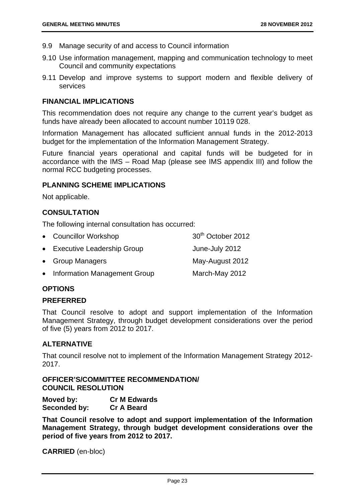- 9.9 Manage security of and access to Council information
- 9.10 Use information management, mapping and communication technology to meet Council and community expectations
- 9.11 Develop and improve systems to support modern and flexible delivery of services

#### **FINANCIAL IMPLICATIONS**

This recommendation does not require any change to the current year's budget as funds have already been allocated to account number 10119 028.

Information Management has allocated sufficient annual funds in the 2012-2013 budget for the implementation of the Information Management Strategy.

Future financial years operational and capital funds will be budgeted for in accordance with the IMS – Road Map (please see IMS appendix III) and follow the normal RCC budgeting processes.

#### **PLANNING SCHEME IMPLICATIONS**

Not applicable.

#### **CONSULTATION**

The following internal consultation has occurred:

| • Councillor Workshop          | 30 <sup>th</sup> October 2012 |
|--------------------------------|-------------------------------|
| • Executive Leadership Group   | June-July 2012                |
| • Group Managers               | May-August 2012               |
| • Information Management Group | March-May 2012                |

#### **OPTIONS**

#### **PREFERRED**

That Council resolve to adopt and support implementation of the Information Management Strategy, through budget development considerations over the period of five (5) years from 2012 to 2017.

#### **ALTERNATIVE**

That council resolve not to implement of the Information Management Strategy 2012- 2017.

#### **OFFICER'S/COMMITTEE RECOMMENDATION/ COUNCIL RESOLUTION**

**Moved by: Cr M Edwards Seconded by: Cr A Beard** 

**That Council resolve to adopt and support implementation of the Information Management Strategy, through budget development considerations over the period of five years from 2012 to 2017.**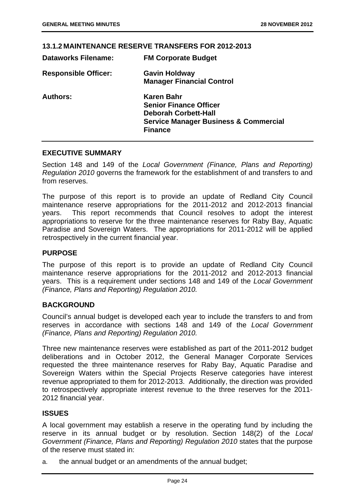#### **13.1.2 MAINTENANCE RESERVE TRANSFERS FOR 2012-2013**

| <b>FM Corporate Budget</b>                       |
|--------------------------------------------------|
| <b>Gavin Holdway</b>                             |
| <b>Manager Financial Control</b>                 |
| Karen Bahr                                       |
| <b>Senior Finance Officer</b>                    |
| <b>Deborah Corbett-Hall</b>                      |
| <b>Service Manager Business &amp; Commercial</b> |
| <b>Finance</b>                                   |
|                                                  |

#### **EXECUTIVE SUMMARY**

Section 148 and 149 of the *Local Government (Finance, Plans and Reporting) Regulation 2010* governs the framework for the establishment of and transfers to and from reserves.

The purpose of this report is to provide an update of Redland City Council maintenance reserve appropriations for the 2011-2012 and 2012-2013 financial years. This report recommends that Council resolves to adopt the interest appropriations to reserve for the three maintenance reserves for Raby Bay, Aquatic Paradise and Sovereign Waters. The appropriations for 2011-2012 will be applied retrospectively in the current financial year.

#### **PURPOSE**

The purpose of this report is to provide an update of Redland City Council maintenance reserve appropriations for the 2011-2012 and 2012-2013 financial years. This is a requirement under sections 148 and 149 of the *Local Government (Finance, Plans and Reporting) Regulation 2010.* 

#### **BACKGROUND**

Council's annual budget is developed each year to include the transfers to and from reserves in accordance with sections 148 and 149 of the *Local Government (Finance, Plans and Reporting) Regulation 2010.* 

Three new maintenance reserves were established as part of the 2011-2012 budget deliberations and in October 2012, the General Manager Corporate Services requested the three maintenance reserves for Raby Bay, Aquatic Paradise and Sovereign Waters within the Special Projects Reserve categories have interest revenue appropriated to them for 2012-2013. Additionally, the direction was provided to retrospectively appropriate interest revenue to the three reserves for the 2011- 2012 financial year.

#### **ISSUES**

A local government may establish a reserve in the operating fund by including the reserve in its annual budget or by resolution. Section 148(2) of the *Local Government (Finance, Plans and Reporting) Regulation 2010* states that the purpose of the reserve must stated in:

a. the annual budget or an amendments of the annual budget;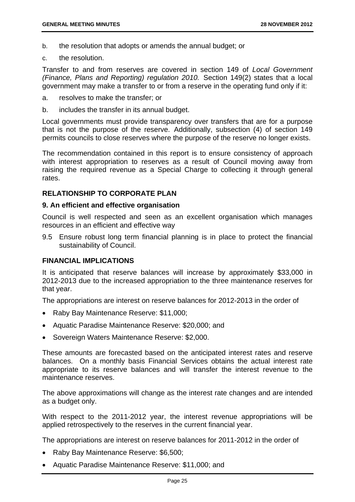- b. the resolution that adopts or amends the annual budget; or
- c. the resolution.

Transfer to and from reserves are covered in section 149 of *Local Government (Finance, Plans and Reporting) regulation 2010.* Section 149(2) states that a local government may make a transfer to or from a reserve in the operating fund only if it:

- a. resolves to make the transfer; or
- b. includes the transfer in its annual budget.

Local governments must provide transparency over transfers that are for a purpose that is not the purpose of the reserve. Additionally, subsection (4) of section 149 permits councils to close reserves where the purpose of the reserve no longer exists.

The recommendation contained in this report is to ensure consistency of approach with interest appropriation to reserves as a result of Council moving away from raising the required revenue as a Special Charge to collecting it through general rates.

#### **RELATIONSHIP TO CORPORATE PLAN**

#### **9. An efficient and effective organisation**

Council is well respected and seen as an excellent organisation which manages resources in an efficient and effective way

9.5 Ensure robust long term financial planning is in place to protect the financial sustainability of Council.

#### **FINANCIAL IMPLICATIONS**

It is anticipated that reserve balances will increase by approximately \$33,000 in 2012-2013 due to the increased appropriation to the three maintenance reserves for that year.

The appropriations are interest on reserve balances for 2012-2013 in the order of

- Raby Bay Maintenance Reserve: \$11,000;
- Aquatic Paradise Maintenance Reserve: \$20,000; and
- Sovereign Waters Maintenance Reserve: \$2,000.

These amounts are forecasted based on the anticipated interest rates and reserve balances. On a monthly basis Financial Services obtains the actual interest rate appropriate to its reserve balances and will transfer the interest revenue to the maintenance reserves.

The above approximations will change as the interest rate changes and are intended as a budget only.

With respect to the 2011-2012 year, the interest revenue appropriations will be applied retrospectively to the reserves in the current financial year.

The appropriations are interest on reserve balances for 2011-2012 in the order of

- Raby Bay Maintenance Reserve: \$6,500;
- Aquatic Paradise Maintenance Reserve: \$11,000; and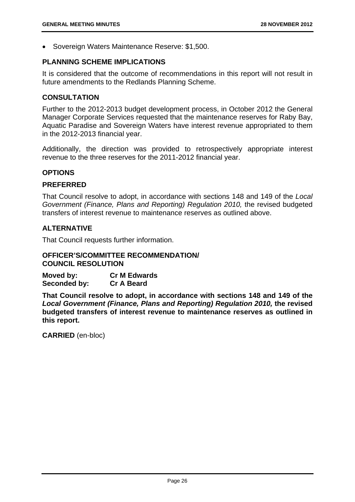• Sovereign Waters Maintenance Reserve: \$1,500.

#### **PLANNING SCHEME IMPLICATIONS**

It is considered that the outcome of recommendations in this report will not result in future amendments to the Redlands Planning Scheme.

#### **CONSULTATION**

Further to the 2012-2013 budget development process, in October 2012 the General Manager Corporate Services requested that the maintenance reserves for Raby Bay, Aquatic Paradise and Sovereign Waters have interest revenue appropriated to them in the 2012-2013 financial year.

Additionally, the direction was provided to retrospectively appropriate interest revenue to the three reserves for the 2011-2012 financial year.

#### **OPTIONS**

#### **PREFERRED**

That Council resolve to adopt, in accordance with sections 148 and 149 of the *Local Government (Finance, Plans and Reporting) Regulation 2010,* the revised budgeted transfers of interest revenue to maintenance reserves as outlined above.

#### **ALTERNATIVE**

That Council requests further information.

#### **OFFICER'S/COMMITTEE RECOMMENDATION/ COUNCIL RESOLUTION**

**Moved by: Cr M Edwards Seconded by: Cr A Beard** 

**That Council resolve to adopt, in accordance with sections 148 and 149 of the**  *Local Government (Finance, Plans and Reporting) Regulation 2010,* **the revised budgeted transfers of interest revenue to maintenance reserves as outlined in this report.**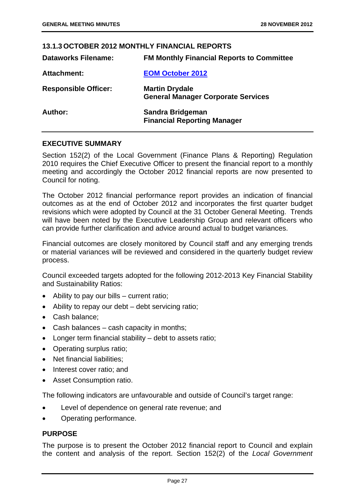#### **13.1.3 OCTOBER 2012 MONTHLY FINANCIAL REPORTS Dataworks Filename: FM Monthly Financial Reports to Committee Attachment: EOM October 2012 Responsible Officer: Martin Drydale General Manager Corporate Services Author: Sandra Bridgeman Financial Reporting Manager**

#### **EXECUTIVE SUMMARY**

Section 152(2) of the Local Government (Finance Plans & Reporting) Regulation 2010 requires the Chief Executive Officer to present the financial report to a monthly meeting and accordingly the October 2012 financial reports are now presented to Council for noting.

The October 2012 financial performance report provides an indication of financial outcomes as at the end of October 2012 and incorporates the first quarter budget revisions which were adopted by Council at the 31 October General Meeting. Trends will have been noted by the Executive Leadership Group and relevant officers who can provide further clarification and advice around actual to budget variances.

Financial outcomes are closely monitored by Council staff and any emerging trends or material variances will be reviewed and considered in the quarterly budget review process.

Council exceeded targets adopted for the following 2012-2013 Key Financial Stability and Sustainability Ratios:

- Ability to pay our bills current ratio;
- Ability to repay our debt debt servicing ratio;
- Cash balance;
- Cash balances cash capacity in months;
- Longer term financial stability debt to assets ratio;
- Operating surplus ratio;
- Net financial liabilities:
- Interest cover ratio: and
- Asset Consumption ratio.

The following indicators are unfavourable and outside of Council's target range:

- Level of dependence on general rate revenue; and
- Operating performance.

#### **PURPOSE**

The purpose is to present the October 2012 financial report to Council and explain the content and analysis of the report. Section 152(2) of the *Local Government*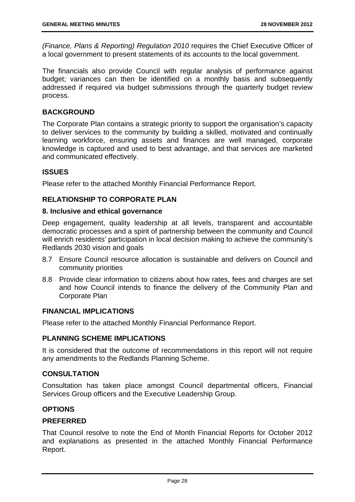*(Finance, Plans & Reporting) Regulation 2010* requires the Chief Executive Officer of a local government to present statements of its accounts to the local government.

The financials also provide Council with regular analysis of performance against budget; variances can then be identified on a monthly basis and subsequently addressed if required via budget submissions through the quarterly budget review process.

#### **BACKGROUND**

The Corporate Plan contains a strategic priority to support the organisation's capacity to deliver services to the community by building a skilled, motivated and continually learning workforce, ensuring assets and finances are well managed, corporate knowledge is captured and used to best advantage, and that services are marketed and communicated effectively.

#### **ISSUES**

Please refer to the attached Monthly Financial Performance Report.

#### **RELATIONSHIP TO CORPORATE PLAN**

#### **8. Inclusive and ethical governance**

Deep engagement, quality leadership at all levels, transparent and accountable democratic processes and a spirit of partnership between the community and Council will enrich residents' participation in local decision making to achieve the community's Redlands 2030 vision and goals

- 8.7 Ensure Council resource allocation is sustainable and delivers on Council and community priorities
- 8.8 Provide clear information to citizens about how rates, fees and charges are set and how Council intends to finance the delivery of the Community Plan and Corporate Plan

#### **FINANCIAL IMPLICATIONS**

Please refer to the attached Monthly Financial Performance Report.

#### **PLANNING SCHEME IMPLICATIONS**

It is considered that the outcome of recommendations in this report will not require any amendments to the Redlands Planning Scheme.

#### **CONSULTATION**

Consultation has taken place amongst Council departmental officers, Financial Services Group officers and the Executive Leadership Group.

#### **OPTIONS**

#### **PREFERRED**

That Council resolve to note the End of Month Financial Reports for October 2012 and explanations as presented in the attached Monthly Financial Performance Report.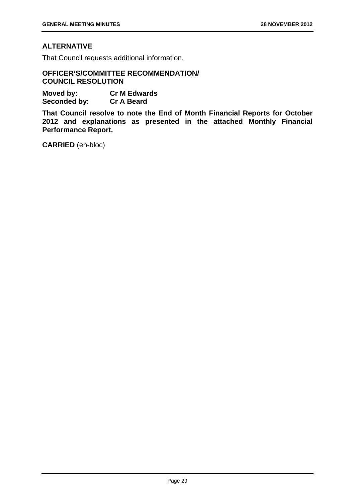#### **ALTERNATIVE**

That Council requests additional information.

#### **OFFICER'S/COMMITTEE RECOMMENDATION/ COUNCIL RESOLUTION**

**Moved by: Cr M Edwards Seconded by: Cr A Beard** 

**That Council resolve to note the End of Month Financial Reports for October 2012 and explanations as presented in the attached Monthly Financial Performance Report.**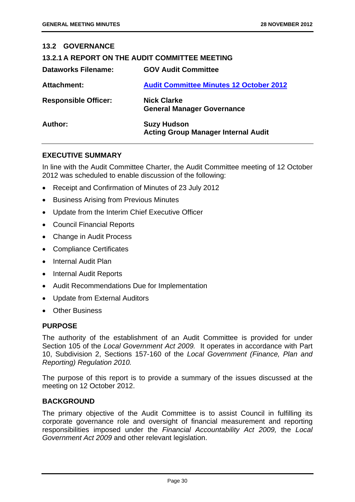| <b>13.2 GOVERNANCE</b>                         |                                                                  |  |
|------------------------------------------------|------------------------------------------------------------------|--|
| 13.2.1 A REPORT ON THE AUDIT COMMITTEE MEETING |                                                                  |  |
| Dataworks Filename:                            | <b>GOV Audit Committee</b>                                       |  |
| <b>Attachment:</b>                             | <b>Audit Committee Minutes 12 October 2012</b>                   |  |
| <b>Responsible Officer:</b>                    | <b>Nick Clarke</b><br><b>General Manager Governance</b>          |  |
| Author:                                        | <b>Suzy Hudson</b><br><b>Acting Group Manager Internal Audit</b> |  |

#### **EXECUTIVE SUMMARY**

In line with the Audit Committee Charter, the Audit Committee meeting of 12 October 2012 was scheduled to enable discussion of the following:

- Receipt and Confirmation of Minutes of 23 July 2012
- Business Arising from Previous Minutes
- Update from the Interim Chief Executive Officer
- Council Financial Reports
- Change in Audit Process
- Compliance Certificates
- Internal Audit Plan
- Internal Audit Reports
- Audit Recommendations Due for Implementation
- Update from External Auditors
- Other Business

#### **PURPOSE**

The authority of the establishment of an Audit Committee is provided for under Section 105 of the *Local Government Act 2009.* It operates in accordance with Part 10, Subdivision 2, Sections 157-160 of the *Local Government (Finance, Plan and Reporting) Regulation 2010.*

The purpose of this report is to provide a summary of the issues discussed at the meeting on 12 October 2012.

#### **BACKGROUND**

The primary objective of the Audit Committee is to assist Council in fulfilling its corporate governance role and oversight of financial measurement and reporting responsibilities imposed under the *Financial Accountability Act 2009,* the *Local Government Act 2009* and other relevant legislation.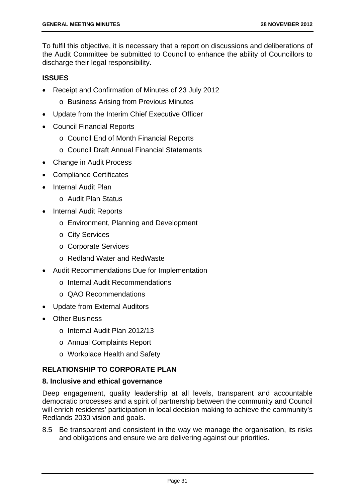To fulfil this objective, it is necessary that a report on discussions and deliberations of the Audit Committee be submitted to Council to enhance the ability of Councillors to discharge their legal responsibility.

#### **ISSUES**

- Receipt and Confirmation of Minutes of 23 July 2012
	- o Business Arising from Previous Minutes
- Update from the Interim Chief Executive Officer
- Council Financial Reports
	- o Council End of Month Financial Reports
	- o Council Draft Annual Financial Statements
- Change in Audit Process
- Compliance Certificates
- Internal Audit Plan
	- o Audit Plan Status
- Internal Audit Reports
	- o Environment, Planning and Development
	- o City Services
	- o Corporate Services
	- o Redland Water and RedWaste
- Audit Recommendations Due for Implementation
	- o Internal Audit Recommendations
	- o QAO Recommendations
- Update from External Auditors
- Other Business
	- o Internal Audit Plan 2012/13
	- o Annual Complaints Report
	- o Workplace Health and Safety

#### **RELATIONSHIP TO CORPORATE PLAN**

#### **8. Inclusive and ethical governance**

Deep engagement, quality leadership at all levels, transparent and accountable democratic processes and a spirit of partnership between the community and Council will enrich residents' participation in local decision making to achieve the community's Redlands 2030 vision and goals.

8.5 Be transparent and consistent in the way we manage the organisation, its risks and obligations and ensure we are delivering against our priorities.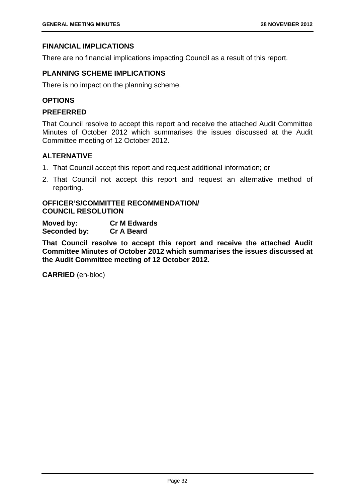## **FINANCIAL IMPLICATIONS**

There are no financial implications impacting Council as a result of this report.

## **PLANNING SCHEME IMPLICATIONS**

There is no impact on the planning scheme.

## **OPTIONS**

#### **PREFERRED**

That Council resolve to accept this report and receive the attached Audit Committee Minutes of October 2012 which summarises the issues discussed at the Audit Committee meeting of 12 October 2012.

## **ALTERNATIVE**

- 1. That Council accept this report and request additional information; or
- 2. That Council not accept this report and request an alternative method of reporting.

## **OFFICER'S/COMMITTEE RECOMMENDATION/ COUNCIL RESOLUTION**

**Moved by: Cr M Edwards Seconded by: Cr A Beard** 

**That Council resolve to accept this report and receive the attached Audit Committee Minutes of October 2012 which summarises the issues discussed at the Audit Committee meeting of 12 October 2012.**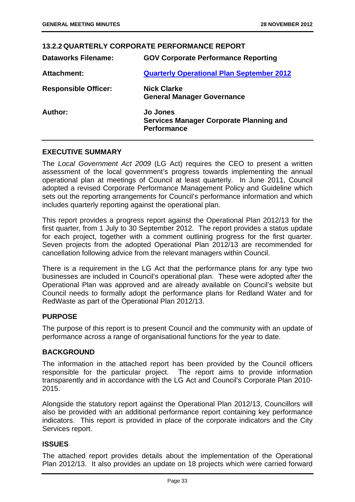| <b>Dataworks Filename:</b><br><b>GOV Corporate Performance Reporting</b><br><b>Quarterly Operational Plan September 2012</b><br><b>Attachment:</b><br><b>Nick Clarke</b><br><b>Responsible Officer:</b><br><b>General Manager Governance</b><br>Author:<br><b>Jo Jones</b><br><b>Services Manager Corporate Planning and</b><br><b>Performance</b> | <u>IJ.Z.Z QUARTERLI CURFURATE FERFURMANCE REFURT</u> |
|----------------------------------------------------------------------------------------------------------------------------------------------------------------------------------------------------------------------------------------------------------------------------------------------------------------------------------------------------|------------------------------------------------------|
|                                                                                                                                                                                                                                                                                                                                                    |                                                      |
|                                                                                                                                                                                                                                                                                                                                                    |                                                      |
|                                                                                                                                                                                                                                                                                                                                                    |                                                      |
|                                                                                                                                                                                                                                                                                                                                                    |                                                      |

**13.2.2 QUARTERLY CORPORATE PERFORMANCE REPORT** 

## **EXECUTIVE SUMMARY**

The *Local Government Act 2009* (LG Act) requires the CEO to present a written assessment of the local government's progress towards implementing the annual operational plan at meetings of Council at least quarterly. In June 2011, Council adopted a revised Corporate Performance Management Policy and Guideline which sets out the reporting arrangements for Council's performance information and which includes quarterly reporting against the operational plan.

This report provides a progress report against the Operational Plan 2012/13 for the first quarter, from 1 July to 30 September 2012. The report provides a status update for each project, together with a comment outlining progress for the first quarter. Seven projects from the adopted Operational Plan 2012/13 are recommended for cancellation following advice from the relevant managers within Council.

There is a requirement in the LG Act that the performance plans for any type two businesses are included in Council's operational plan. These were adopted after the Operational Plan was approved and are already available on Council's website but Council needs to formally adopt the performance plans for Redland Water and for RedWaste as part of the Operational Plan 2012/13.

## **PURPOSE**

The purpose of this report is to present Council and the community with an update of performance across a range of organisational functions for the year to date.

## **BACKGROUND**

The information in the attached report has been provided by the Council officers responsible for the particular project. The report aims to provide information transparently and in accordance with the LG Act and Council's Corporate Plan 2010- 2015.

Alongside the statutory report against the Operational Plan 2012/13, Councillors will also be provided with an additional performance report containing key performance indicators. This report is provided in place of the corporate indicators and the City Services report.

## **ISSUES**

The attached report provides details about the implementation of the Operational Plan 2012/13. It also provides an update on 18 projects which were carried forward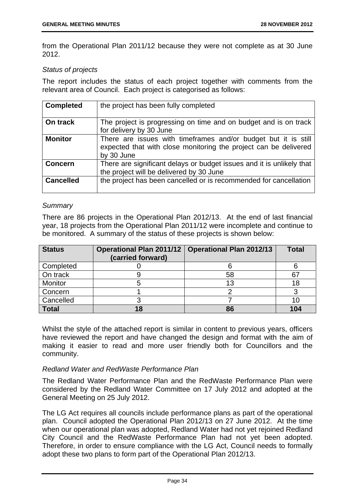from the Operational Plan 2011/12 because they were not complete as at 30 June 2012.

## *Status of projects*

The report includes the status of each project together with comments from the relevant area of Council. Each project is categorised as follows:

| <b>Completed</b> | the project has been fully completed                                                                                                             |
|------------------|--------------------------------------------------------------------------------------------------------------------------------------------------|
| On track         | The project is progressing on time and on budget and is on track<br>for delivery by 30 June                                                      |
| <b>Monitor</b>   | There are issues with timeframes and/or budget but it is still<br>expected that with close monitoring the project can be delivered<br>by 30 June |
| <b>Concern</b>   | There are significant delays or budget issues and it is unlikely that<br>the project will be delivered by 30 June                                |
| <b>Cancelled</b> | the project has been cancelled or is recommended for cancellation                                                                                |

## *Summary*

There are 86 projects in the Operational Plan 2012/13. At the end of last financial year, 18 projects from the Operational Plan 2011/12 were incomplete and continue to be monitored. A summary of the status of these projects is shown below:

| <b>Status</b>  | (carried forward) | Operational Plan 2011/12   Operational Plan 2012/13 | <b>Total</b> |
|----------------|-------------------|-----------------------------------------------------|--------------|
| Completed      |                   |                                                     |              |
| On track       |                   | 58                                                  |              |
| <b>Monitor</b> |                   | 13                                                  |              |
| Concern        |                   |                                                     |              |
| Cancelled      |                   |                                                     |              |
| <b>Total</b>   |                   | 86                                                  | 104          |

Whilst the style of the attached report is similar in content to previous years, officers have reviewed the report and have changed the design and format with the aim of making it easier to read and more user friendly both for Councillors and the community.

## *Redland Water and RedWaste Performance Plan*

The Redland Water Performance Plan and the RedWaste Performance Plan were considered by the Redland Water Committee on 17 July 2012 and adopted at the General Meeting on 25 July 2012.

The LG Act requires all councils include performance plans as part of the operational plan. Council adopted the Operational Plan 2012/13 on 27 June 2012. At the time when our operational plan was adopted, Redland Water had not yet rejoined Redland City Council and the RedWaste Performance Plan had not yet been adopted. Therefore, in order to ensure compliance with the LG Act, Council needs to formally adopt these two plans to form part of the Operational Plan 2012/13.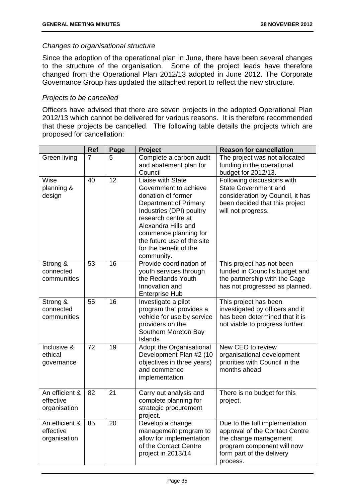## *Changes to organisational structure*

Since the adoption of the operational plan in June, there have been several changes to the structure of the organisation. Some of the project leads have therefore changed from the Operational Plan 2012/13 adopted in June 2012. The Corporate Governance Group has updated the attached report to reflect the new structure.

## *Projects to be cancelled*

Officers have advised that there are seven projects in the adopted Operational Plan 2012/13 which cannot be delivered for various reasons. It is therefore recommended that these projects be cancelled. The following table details the projects which are proposed for cancellation:

|                                             | <b>Ref</b>     | Page | <b>Project</b>                                                                                                                                                                                                                                                    | <b>Reason for cancellation</b>                                                                                                                                   |
|---------------------------------------------|----------------|------|-------------------------------------------------------------------------------------------------------------------------------------------------------------------------------------------------------------------------------------------------------------------|------------------------------------------------------------------------------------------------------------------------------------------------------------------|
| Green living                                | $\overline{7}$ | 5    | Complete a carbon audit<br>and abatement plan for<br>Council                                                                                                                                                                                                      | The project was not allocated<br>funding in the operational<br>budget for 2012/13.                                                                               |
| Wise<br>planning &<br>design                | 40             | 12   | Liaise with State<br>Government to achieve<br>donation of former<br>Department of Primary<br>Industries (DPI) poultry<br>research centre at<br>Alexandra Hills and<br>commence planning for<br>the future use of the site<br>for the benefit of the<br>community. | Following discussions with<br><b>State Government and</b><br>consideration by Council, it has<br>been decided that this project<br>will not progress.            |
| Strong &<br>connected<br>communities        | 53             | 16   | Provide coordination of<br>youth services through<br>the Redlands Youth<br>Innovation and<br><b>Enterprise Hub</b>                                                                                                                                                | This project has not been<br>funded in Council's budget and<br>the partnership with the Cage<br>has not progressed as planned.                                   |
| Strong &<br>connected<br>communities        | 55             | 16   | Investigate a pilot<br>program that provides a<br>vehicle for use by service<br>providers on the<br>Southern Moreton Bay<br>Islands                                                                                                                               | This project has been<br>investigated by officers and it<br>has been determined that it is<br>not viable to progress further.                                    |
| Inclusive &<br>ethical<br>governance        | 72             | 19   | Adopt the Organisational<br>Development Plan #2 (10<br>objectives in three years)<br>and commence<br>implementation                                                                                                                                               | New CEO to review<br>organisational development<br>priorities with Council in the<br>months ahead                                                                |
| An efficient &<br>effective<br>organisation | 82             | 21   | Carry out analysis and<br>complete planning for<br>strategic procurement<br>project.                                                                                                                                                                              | There is no budget for this<br>project.                                                                                                                          |
| An efficient &<br>effective<br>organisation | 85             | 20   | Develop a change<br>management program to<br>allow for implementation<br>of the Contact Centre<br>project in 2013/14                                                                                                                                              | Due to the full implementation<br>approval of the Contact Centre<br>the change management<br>program component will now<br>form part of the delivery<br>process. |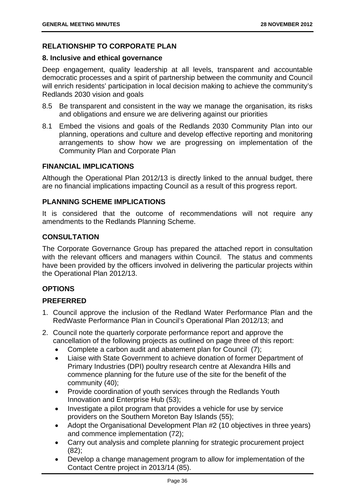## **RELATIONSHIP TO CORPORATE PLAN**

## **8. Inclusive and ethical governance**

Deep engagement, quality leadership at all levels, transparent and accountable democratic processes and a spirit of partnership between the community and Council will enrich residents' participation in local decision making to achieve the community's Redlands 2030 vision and goals

- 8.5 Be transparent and consistent in the way we manage the organisation, its risks and obligations and ensure we are delivering against our priorities
- 8.1 Embed the visions and goals of the Redlands 2030 Community Plan into our planning, operations and culture and develop effective reporting and monitoring arrangements to show how we are progressing on implementation of the Community Plan and Corporate Plan

## **FINANCIAL IMPLICATIONS**

Although the Operational Plan 2012/13 is directly linked to the annual budget, there are no financial implications impacting Council as a result of this progress report.

## **PLANNING SCHEME IMPLICATIONS**

It is considered that the outcome of recommendations will not require any amendments to the Redlands Planning Scheme.

## **CONSULTATION**

The Corporate Governance Group has prepared the attached report in consultation with the relevant officers and managers within Council. The status and comments have been provided by the officers involved in delivering the particular projects within the Operational Plan 2012/13.

## **OPTIONS**

## **PREFERRED**

- 1. Council approve the inclusion of the Redland Water Performance Plan and the RedWaste Performance Plan in Council's Operational Plan 2012/13; and
- 2. Council note the quarterly corporate performance report and approve the cancellation of the following projects as outlined on page three of this report:
	- Complete a carbon audit and abatement plan for Council (7);
	- Liaise with State Government to achieve donation of former Department of Primary Industries (DPI) poultry research centre at Alexandra Hills and commence planning for the future use of the site for the benefit of the community (40);
	- Provide coordination of youth services through the Redlands Youth Innovation and Enterprise Hub (53);
	- Investigate a pilot program that provides a vehicle for use by service providers on the Southern Moreton Bay Islands (55);
	- Adopt the Organisational Development Plan #2 (10 objectives in three years) and commence implementation (72);
	- Carry out analysis and complete planning for strategic procurement project (82);
	- Develop a change management program to allow for implementation of the Contact Centre project in 2013/14 (85).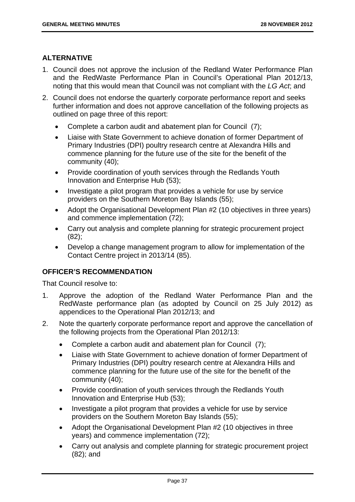## **ALTERNATIVE**

- 1. Council does not approve the inclusion of the Redland Water Performance Plan and the RedWaste Performance Plan in Council's Operational Plan 2012/13, noting that this would mean that Council was not compliant with the *LG Act*; and
- 2. Council does not endorse the quarterly corporate performance report and seeks further information and does not approve cancellation of the following projects as outlined on page three of this report:
	- Complete a carbon audit and abatement plan for Council (7);
	- Liaise with State Government to achieve donation of former Department of Primary Industries (DPI) poultry research centre at Alexandra Hills and commence planning for the future use of the site for the benefit of the community (40);
	- Provide coordination of youth services through the Redlands Youth Innovation and Enterprise Hub (53);
	- Investigate a pilot program that provides a vehicle for use by service providers on the Southern Moreton Bay Islands (55);
	- Adopt the Organisational Development Plan #2 (10 objectives in three years) and commence implementation (72);
	- Carry out analysis and complete planning for strategic procurement project (82);
	- Develop a change management program to allow for implementation of the Contact Centre project in 2013/14 (85).

## **OFFICER'S RECOMMENDATION**

That Council resolve to:

- 1. Approve the adoption of the Redland Water Performance Plan and the RedWaste performance plan (as adopted by Council on 25 July 2012) as appendices to the Operational Plan 2012/13; and
- 2. Note the quarterly corporate performance report and approve the cancellation of the following projects from the Operational Plan 2012/13:
	- Complete a carbon audit and abatement plan for Council (7);
	- Liaise with State Government to achieve donation of former Department of Primary Industries (DPI) poultry research centre at Alexandra Hills and commence planning for the future use of the site for the benefit of the community (40);
	- Provide coordination of youth services through the Redlands Youth Innovation and Enterprise Hub (53);
	- Investigate a pilot program that provides a vehicle for use by service providers on the Southern Moreton Bay Islands (55);
	- Adopt the Organisational Development Plan #2 (10 objectives in three years) and commence implementation (72);
	- Carry out analysis and complete planning for strategic procurement project (82); and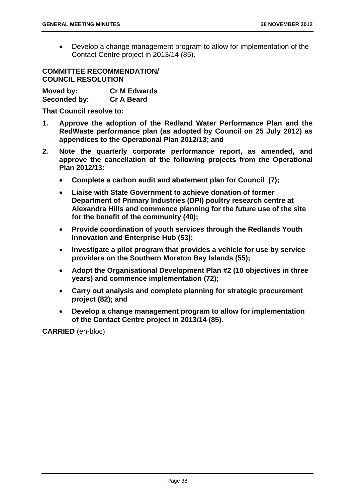Develop a change management program to allow for implementation of the Contact Centre project in 2013/14 (85).

**COMMITTEE RECOMMENDATION/ COUNCIL RESOLUTION** 

**Moved by: Cr M Edwards Seconded by: Cr A Beard** 

**That Council resolve to:** 

- **1. Approve the adoption of the Redland Water Performance Plan and the RedWaste performance plan (as adopted by Council on 25 July 2012) as appendices to the Operational Plan 2012/13; and**
- **2. Note the quarterly corporate performance report, as amended, and approve the cancellation of the following projects from the Operational Plan 2012/13:** 
	- **Complete a carbon audit and abatement plan for Council (7);**
	- **Liaise with State Government to achieve donation of former Department of Primary Industries (DPI) poultry research centre at Alexandra Hills and commence planning for the future use of the site for the benefit of the community (40);**
	- **Provide coordination of youth services through the Redlands Youth Innovation and Enterprise Hub (53);**
	- **Investigate a pilot program that provides a vehicle for use by service providers on the Southern Moreton Bay Islands (55);**
	- **Adopt the Organisational Development Plan #2 (10 objectives in three years) and commence implementation (72);**
	- **Carry out analysis and complete planning for strategic procurement project (82); and**
	- **Develop a change management program to allow for implementation of the Contact Centre project in 2013/14 (85).**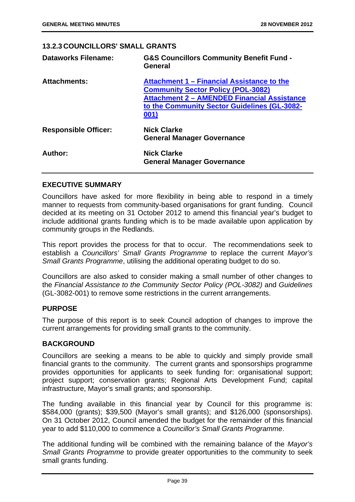## **13.2.3 COUNCILLORS' SMALL GRANTS**

| <b>Dataworks Filename:</b>  | <b>G&amp;S Councillors Community Benefit Fund -</b><br>General                                                                                                                                        |
|-----------------------------|-------------------------------------------------------------------------------------------------------------------------------------------------------------------------------------------------------|
| <b>Attachments:</b>         | Attachment 1 – Financial Assistance to the<br><b>Community Sector Policy (POL-3082)</b><br><b>Attachment 2 - AMENDED Financial Assistance</b><br>to the Community Sector Guidelines (GL-3082-<br>001) |
| <b>Responsible Officer:</b> | <b>Nick Clarke</b><br><b>General Manager Governance</b>                                                                                                                                               |
| Author:                     | <b>Nick Clarke</b><br><b>General Manager Governance</b>                                                                                                                                               |

## **EXECUTIVE SUMMARY**

Councillors have asked for more flexibility in being able to respond in a timely manner to requests from community-based organisations for grant funding. Council decided at its meeting on 31 October 2012 to amend this financial year's budget to include additional grants funding which is to be made available upon application by community groups in the Redlands.

This report provides the process for that to occur. The recommendations seek to establish a *Councillors' Small Grants Programme* to replace the current *Mayor's Small Grants Programme*, utilising the additional operating budget to do so.

Councillors are also asked to consider making a small number of other changes to the *Financial Assistance to the Community Sector Policy (POL-3082)* and *Guidelines*  (GL-3082-001) to remove some restrictions in the current arrangements.

## **PURPOSE**

The purpose of this report is to seek Council adoption of changes to improve the current arrangements for providing small grants to the community.

## **BACKGROUND**

Councillors are seeking a means to be able to quickly and simply provide small financial grants to the community. The current grants and sponsorships programme provides opportunities for applicants to seek funding for: organisational support; project support; conservation grants; Regional Arts Development Fund; capital infrastructure, Mayor's small grants; and sponsorship.

The funding available in this financial year by Council for this programme is: \$584,000 (grants); \$39,500 (Mayor's small grants); and \$126,000 (sponsorships). On 31 October 2012, Council amended the budget for the remainder of this financial year to add \$110,000 to commence a *Councillor's Small Grants Programme*.

The additional funding will be combined with the remaining balance of the *Mayor's Small Grants Programme* to provide greater opportunities to the community to seek small grants funding.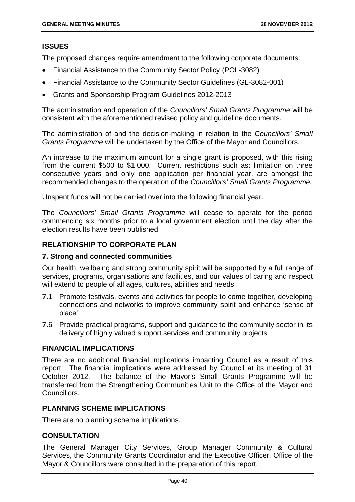## **ISSUES**

The proposed changes require amendment to the following corporate documents:

- Financial Assistance to the Community Sector Policy (POL-3082)
- Financial Assistance to the Community Sector Guidelines (GL-3082-001)
- Grants and Sponsorship Program Guidelines 2012-2013

The administration and operation of the *Councillors' Small Grants Programme* will be consistent with the aforementioned revised policy and guideline documents.

The administration of and the decision-making in relation to the *Councillors' Small Grants Programme* will be undertaken by the Office of the Mayor and Councillors.

An increase to the maximum amount for a single grant is proposed, with this rising from the current \$500 to \$1,000. Current restrictions such as: limitation on three consecutive years and only one application per financial year, are amongst the recommended changes to the operation of the *Councillors' Small Grants Programme.*

Unspent funds will not be carried over into the following financial year.

The *Councillors' Small Grants Programme* will cease to operate for the period commencing six months prior to a local government election until the day after the election results have been published.

## **RELATIONSHIP TO CORPORATE PLAN**

## **7. Strong and connected communities**

Our health, wellbeing and strong community spirit will be supported by a full range of services, programs, organisations and facilities, and our values of caring and respect will extend to people of all ages, cultures, abilities and needs

- 7.1 Promote festivals, events and activities for people to come together, developing connections and networks to improve community spirit and enhance 'sense of place'
- 7.6 Provide practical programs, support and guidance to the community sector in its delivery of highly valued support services and community projects

## **FINANCIAL IMPLICATIONS**

There are no additional financial implications impacting Council as a result of this report. The financial implications were addressed by Council at its meeting of 31 October 2012. The balance of the Mayor's Small Grants Programme will be transferred from the Strengthening Communities Unit to the Office of the Mayor and Councillors.

## **PLANNING SCHEME IMPLICATIONS**

There are no planning scheme implications.

## **CONSULTATION**

The General Manager City Services, Group Manager Community & Cultural Services, the Community Grants Coordinator and the Executive Officer, Office of the Mayor & Councillors were consulted in the preparation of this report.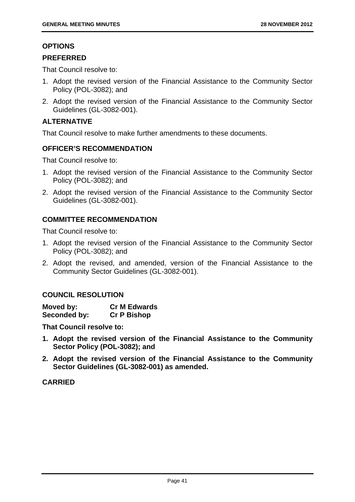## **OPTIONS**

## **PREFERRED**

That Council resolve to:

- 1. Adopt the revised version of the Financial Assistance to the Community Sector Policy (POL-3082); and
- 2. Adopt the revised version of the Financial Assistance to the Community Sector Guidelines (GL-3082-001).

## **ALTERNATIVE**

That Council resolve to make further amendments to these documents.

## **OFFICER'S RECOMMENDATION**

That Council resolve to:

- 1. Adopt the revised version of the Financial Assistance to the Community Sector Policy (POL-3082); and
- 2. Adopt the revised version of the Financial Assistance to the Community Sector Guidelines (GL-3082-001).

## **COMMITTEE RECOMMENDATION**

That Council resolve to:

- 1. Adopt the revised version of the Financial Assistance to the Community Sector Policy (POL-3082); and
- 2. Adopt the revised, and amended, version of the Financial Assistance to the Community Sector Guidelines (GL-3082-001).

## **COUNCIL RESOLUTION**

| Moved by:    | <b>Cr M Edwards</b> |
|--------------|---------------------|
| Seconded by: | <b>Cr P Bishop</b>  |

**That Council resolve to:** 

- **1. Adopt the revised version of the Financial Assistance to the Community Sector Policy (POL-3082); and**
- **2. Adopt the revised version of the Financial Assistance to the Community Sector Guidelines (GL-3082-001) as amended.**

## **CARRIED**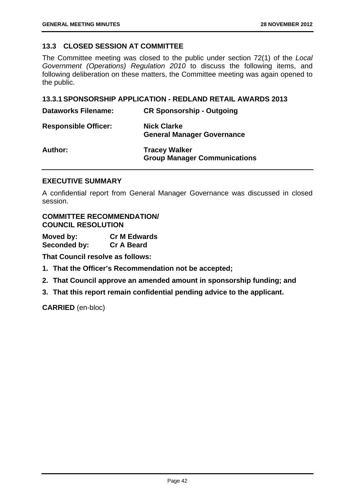## **13.3 CLOSED SESSION AT COMMITTEE**

The Committee meeting was closed to the public under section 72(1) of the *Local Government (Operations) Regulation 2010* to discuss the following items, and following deliberation on these matters, the Committee meeting was again opened to the public.

#### **13.3.1 SPONSORSHIP APPLICATION - REDLAND RETAIL AWARDS 2013**

| <b>Dataworks Filename:</b>  | <b>CR Sponsorship - Outgoing</b>                            |
|-----------------------------|-------------------------------------------------------------|
| <b>Responsible Officer:</b> | <b>Nick Clarke</b><br><b>General Manager Governance</b>     |
| Author:                     | <b>Tracey Walker</b><br><b>Group Manager Communications</b> |

#### **EXECUTIVE SUMMARY**

A confidential report from General Manager Governance was discussed in closed session.

## **COMMITTEE RECOMMENDATION/ COUNCIL RESOLUTION**

**Moved by: Cr M Edwards Seconded by: Cr A Beard** 

**That Council resolve as follows:** 

- **1. That the Officer's Recommendation not be accepted;**
- **2. That Council approve an amended amount in sponsorship funding; and**
- **3. That this report remain confidential pending advice to the applicant.**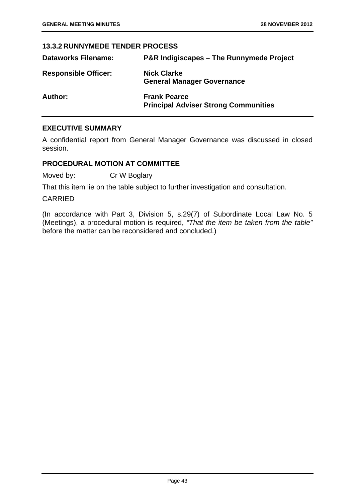## **13.3.2 RUNNYMEDE TENDER PROCESS**

| <b>Dataworks Filename:</b>  | <b>P&amp;R Indigiscapes – The Runnymede Project</b>                |
|-----------------------------|--------------------------------------------------------------------|
| <b>Responsible Officer:</b> | <b>Nick Clarke</b><br><b>General Manager Governance</b>            |
| Author:                     | <b>Frank Pearce</b><br><b>Principal Adviser Strong Communities</b> |

## **EXECUTIVE SUMMARY**

A confidential report from General Manager Governance was discussed in closed session.

## **PROCEDURAL MOTION AT COMMITTEE**

Moved by: Cr W Boglary

That this item lie on the table subject to further investigation and consultation.

## CARRIED

(In accordance with Part 3, Division 5, s.29(7) of Subordinate Local Law No. 5 (Meetings), a procedural motion is required, *"That the item be taken from the table"*  before the matter can be reconsidered and concluded.)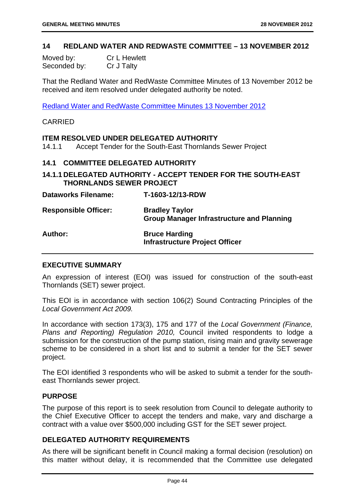#### **14 REDLAND WATER AND REDWASTE COMMITTEE – 13 NOVEMBER 2012**

| Moved by:    | <b>Cr L Hewlett</b> |
|--------------|---------------------|
| Seconded by: | Cr J Talty          |

That the Redland Water and RedWaste Committee Minutes of 13 November 2012 be received and item resolved under delegated authority be noted.

Redland Water and RedWaste Committee Minutes 13 November 2012

#### CARRIED

#### **ITEM RESOLVED UNDER DELEGATED AUTHORITY**

14.1.1 Accept Tender for the South-East Thornlands Sewer Project

#### **14.1 COMMITTEE DELEGATED AUTHORITY**

**14.1.1 DELEGATED AUTHORITY - ACCEPT TENDER FOR THE SOUTH-EAST THORNLANDS SEWER PROJECT** 

**Dataworks Filename: T-1603-12/13-RDW** 

**Responsible Officer: Bradley Taylor Group Manager Infrastructure and Planning** 

## **Author: Bruce Harding Infrastructure Project Officer**

## **EXECUTIVE SUMMARY**

An expression of interest (EOI) was issued for construction of the south-east Thornlands (SET) sewer project.

This EOI is in accordance with section 106(2) Sound Contracting Principles of the *Local Government Act 2009.* 

In accordance with section 173(3), 175 and 177 of the *Local Government (Finance, Plans and Reporting) Regulation 2010,* Council invited respondents to lodge a submission for the construction of the pump station, rising main and gravity sewerage scheme to be considered in a short list and to submit a tender for the SET sewer project.

The EOI identified 3 respondents who will be asked to submit a tender for the southeast Thornlands sewer project.

#### **PURPOSE**

The purpose of this report is to seek resolution from Council to delegate authority to the Chief Executive Officer to accept the tenders and make, vary and discharge a contract with a value over \$500,000 including GST for the SET sewer project.

## **DELEGATED AUTHORITY REQUIREMENTS**

As there will be significant benefit in Council making a formal decision (resolution) on this matter without delay, it is recommended that the Committee use delegated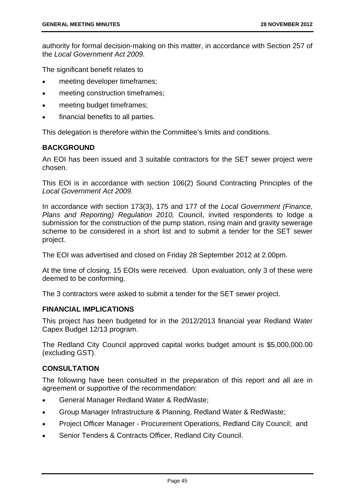authority for formal decision-making on this matter, in accordance with Section 257 of the *Local Government Act 2009*.

The significant benefit relates to

- meeting developer timeframes;
- meeting construction timeframes;
- meeting budget timeframes;
- financial benefits to all parties.

This delegation is therefore within the Committee's limits and conditions.

## **BACKGROUND**

An EOI has been issued and 3 suitable contractors for the SET sewer project were chosen.

This EOI is in accordance with section 106(2) Sound Contracting Principles of the *Local Government Act 2009.* 

In accordance with section 173(3), 175 and 177 of the *Local Government (Finance, Plans and Reporting) Regulation 2010,* Council, invited respondents to lodge a submission for the construction of the pump station, rising main and gravity sewerage scheme to be considered in a short list and to submit a tender for the SET sewer project.

The EOI was advertised and closed on Friday 28 September 2012 at 2.00pm.

At the time of closing, 15 EOIs were received. Upon evaluation, only 3 of these were deemed to be conforming.

The 3 contractors were asked to submit a tender for the SET sewer project.

## **FINANCIAL IMPLICATIONS**

This project has been budgeted for in the 2012/2013 financial year Redland Water Capex Budget 12/13 program.

The Redland City Council approved capital works budget amount is \$5,000,000.00 (excluding GST).

## **CONSULTATION**

The following have been consulted in the preparation of this report and all are in agreement or supportive of the recommendation:

- General Manager Redland Water & RedWaste;
- Group Manager Infrastructure & Planning, Redland Water & RedWaste;
- Project Officer Manager Procurement Operations, Redland City Council; and
- Senior Tenders & Contracts Officer, Redland City Council.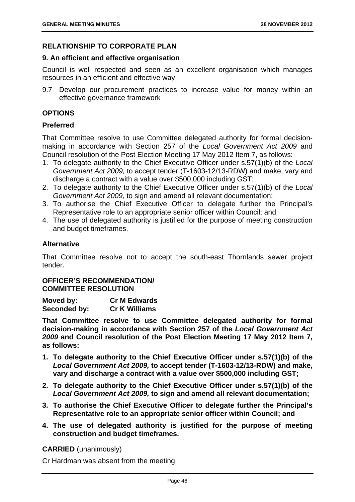## **RELATIONSHIP TO CORPORATE PLAN**

## **9. An efficient and effective organisation**

Council is well respected and seen as an excellent organisation which manages resources in an efficient and effective way

9.7 Develop our procurement practices to increase value for money within an effective governance framework

## **OPTIONS**

## **Preferred**

That Committee resolve to use Committee delegated authority for formal decisionmaking in accordance with Section 257 of the *Local Government Act 2009* and Council resolution of the Post Election Meeting 17 May 2012 Item 7, as follows:

- 1. To delegate authority to the Chief Executive Officer under s.57(1)(b) of the *Local Government Act 2009,* to accept tender (T-1603-12/13-RDW) and make, vary and discharge a contract with a value over \$500,000 including GST;
- 2. To delegate authority to the Chief Executive Officer under s.57(1)(b) of the *Local Government Act 2009,* to sign and amend all relevant documentation;
- 3. To authorise the Chief Executive Officer to delegate further the Principal's Representative role to an appropriate senior officer within Council; and
- 4. The use of delegated authority is justified for the purpose of meeting construction and budget timeframes.

## **Alternative**

That Committee resolve not to accept the south-east Thornlands sewer project tender.

## **OFFICER'S RECOMMENDATION/ COMMITTEE RESOLUTION**

| Moved by:    | <b>Cr M Edwards</b>  |
|--------------|----------------------|
| Seconded by: | <b>Cr K Williams</b> |

**That Committee resolve to use Committee delegated authority for formal decision-making in accordance with Section 257 of the** *Local Government Act 2009* **and Council resolution of the Post Election Meeting 17 May 2012 Item 7, as follows:** 

- **1. To delegate authority to the Chief Executive Officer under s.57(1)(b) of the**  *Local Government Act 2009,* **to accept tender (T-1603-12/13-RDW) and make, vary and discharge a contract with a value over \$500,000 including GST;**
- **2. To delegate authority to the Chief Executive Officer under s.57(1)(b) of the**  *Local Government Act 2009,* **to sign and amend all relevant documentation;**
- **3. To authorise the Chief Executive Officer to delegate further the Principal's Representative role to an appropriate senior officer within Council; and**
- **4. The use of delegated authority is justified for the purpose of meeting construction and budget timeframes.**

**CARRIED** (unanimously)

Cr Hardman was absent from the meeting.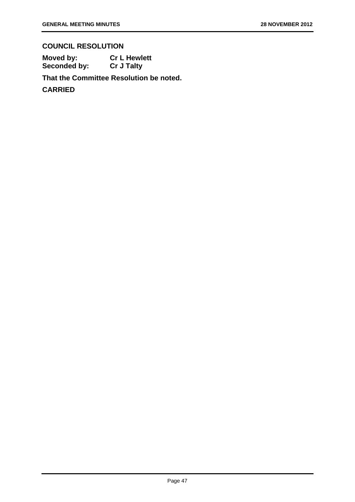# **COUNCIL RESOLUTION**

**Moved by: Cr L Hewlett Seconded by: Cr J Talty** 

**That the Committee Resolution be noted.** 

**CARRIED**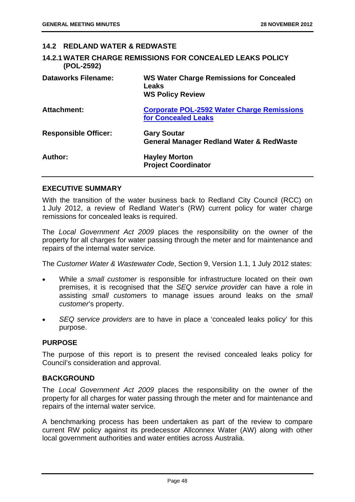## **14.2 REDLAND WATER & REDWASTE**

|            | <b>14.2.1 WATER CHARGE REMISSIONS FOR CONCEALED LEAKS POLICY</b> |
|------------|------------------------------------------------------------------|
| (POL-2592) |                                                                  |

| <b>Dataworks Filename:</b>  | <b>WS Water Charge Remissions for Concealed</b><br>Leaks<br><b>WS Policy Review</b> |
|-----------------------------|-------------------------------------------------------------------------------------|
| Attachment:                 | <b>Corporate POL-2592 Water Charge Remissions</b><br><b>for Concealed Leaks</b>     |
| <b>Responsible Officer:</b> | <b>Gary Soutar</b><br><b>General Manager Redland Water &amp; RedWaste</b>           |
| Author:                     | <b>Hayley Morton</b><br><b>Project Coordinator</b>                                  |

#### **EXECUTIVE SUMMARY**

With the transition of the water business back to Redland City Council (RCC) on 1 July 2012, a review of Redland Water's (RW) current policy for water charge remissions for concealed leaks is required.

The *Local Government Act 2009* places the responsibility on the owner of the property for all charges for water passing through the meter and for maintenance and repairs of the internal water service.

The *Customer Water & Wastewater Code*, Section 9, Version 1.1, 1 July 2012 states:

- While a *small customer* is responsible for infrastructure located on their own premises, it is recognised that the *SEQ service provider* can have a role in assisting *small customer*s to manage issues around leaks on the *small customer*'s property.
- *SEQ service providers* are to have in place a 'concealed leaks policy' for this purpose.

## **PURPOSE**

The purpose of this report is to present the revised concealed leaks policy for Council's consideration and approval.

## **BACKGROUND**

The *Local Government Act 2009* places the responsibility on the owner of the property for all charges for water passing through the meter and for maintenance and repairs of the internal water service.

A benchmarking process has been undertaken as part of the review to compare current RW policy against its predecessor Allconnex Water (AW) along with other local government authorities and water entities across Australia.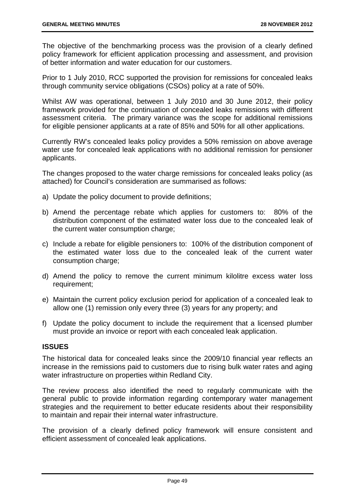The objective of the benchmarking process was the provision of a clearly defined policy framework for efficient application processing and assessment, and provision of better information and water education for our customers.

Prior to 1 July 2010, RCC supported the provision for remissions for concealed leaks through community service obligations (CSOs) policy at a rate of 50%.

Whilst AW was operational, between 1 July 2010 and 30 June 2012, their policy framework provided for the continuation of concealed leaks remissions with different assessment criteria. The primary variance was the scope for additional remissions for eligible pensioner applicants at a rate of 85% and 50% for all other applications.

Currently RW's concealed leaks policy provides a 50% remission on above average water use for concealed leak applications with no additional remission for pensioner applicants.

The changes proposed to the water charge remissions for concealed leaks policy (as attached) for Council's consideration are summarised as follows:

- a) Update the policy document to provide definitions;
- b) Amend the percentage rebate which applies for customers to: 80% of the distribution component of the estimated water loss due to the concealed leak of the current water consumption charge;
- c) Include a rebate for eligible pensioners to: 100% of the distribution component of the estimated water loss due to the concealed leak of the current water consumption charge;
- d) Amend the policy to remove the current minimum kilolitre excess water loss requirement;
- e) Maintain the current policy exclusion period for application of a concealed leak to allow one (1) remission only every three (3) years for any property; and
- f) Update the policy document to include the requirement that a licensed plumber must provide an invoice or report with each concealed leak application.

## **ISSUES**

The historical data for concealed leaks since the 2009/10 financial year reflects an increase in the remissions paid to customers due to rising bulk water rates and aging water infrastructure on properties within Redland City.

The review process also identified the need to regularly communicate with the general public to provide information regarding contemporary water management strategies and the requirement to better educate residents about their responsibility to maintain and repair their internal water infrastructure.

The provision of a clearly defined policy framework will ensure consistent and efficient assessment of concealed leak applications.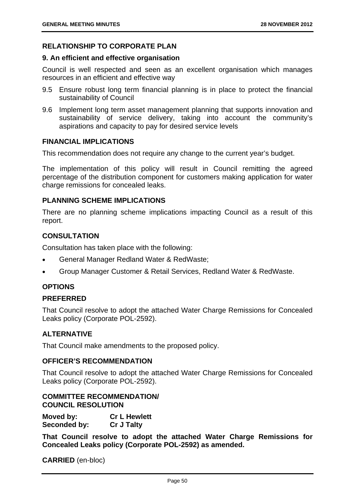## **RELATIONSHIP TO CORPORATE PLAN**

#### **9. An efficient and effective organisation**

Council is well respected and seen as an excellent organisation which manages resources in an efficient and effective way

- 9.5 Ensure robust long term financial planning is in place to protect the financial sustainability of Council
- 9.6 Implement long term asset management planning that supports innovation and sustainability of service delivery, taking into account the community's aspirations and capacity to pay for desired service levels

#### **FINANCIAL IMPLICATIONS**

This recommendation does not require any change to the current year's budget.

The implementation of this policy will result in Council remitting the agreed percentage of the distribution component for customers making application for water charge remissions for concealed leaks.

## **PLANNING SCHEME IMPLICATIONS**

There are no planning scheme implications impacting Council as a result of this report.

## **CONSULTATION**

Consultation has taken place with the following:

- General Manager Redland Water & RedWaste;
- Group Manager Customer & Retail Services, Redland Water & RedWaste.

## **OPTIONS**

## **PREFERRED**

That Council resolve to adopt the attached Water Charge Remissions for Concealed Leaks policy (Corporate POL-2592).

## **ALTERNATIVE**

That Council make amendments to the proposed policy.

#### **OFFICER'S RECOMMENDATION**

That Council resolve to adopt the attached Water Charge Remissions for Concealed Leaks policy (Corporate POL-2592).

## **COMMITTEE RECOMMENDATION/ COUNCIL RESOLUTION**

| Moved by:    | <b>Cr L Hewlett</b> |
|--------------|---------------------|
| Seconded by: | <b>Cr J Talty</b>   |

**That Council resolve to adopt the attached Water Charge Remissions for Concealed Leaks policy (Corporate POL-2592) as amended.**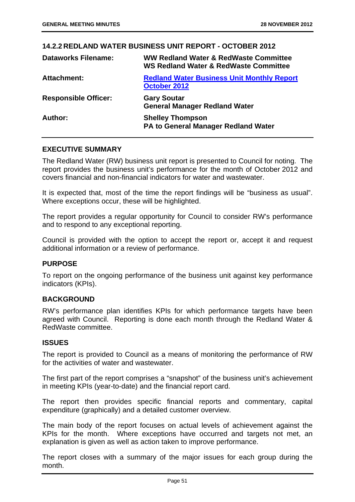|                             | 14.2.2 REDLAND WATER BUSINESS UNIT REPORT - OCTOBER 2012                                  |
|-----------------------------|-------------------------------------------------------------------------------------------|
| <b>Dataworks Filename:</b>  | WW Redland Water & RedWaste Committee<br><b>WS Redland Water &amp; RedWaste Committee</b> |
| Attachment:                 | <b>Redland Water Business Unit Monthly Report</b><br>October 2012                         |
| <b>Responsible Officer:</b> | <b>Gary Soutar</b><br><b>General Manager Redland Water</b>                                |
| Author:                     | <b>Shelley Thompson</b><br>PA to General Manager Redland Water                            |

#### **EXECUTIVE SUMMARY**

The Redland Water (RW) business unit report is presented to Council for noting. The report provides the business unit's performance for the month of October 2012 and covers financial and non-financial indicators for water and wastewater.

It is expected that, most of the time the report findings will be "business as usual". Where exceptions occur, these will be highlighted.

The report provides a regular opportunity for Council to consider RW's performance and to respond to any exceptional reporting.

Council is provided with the option to accept the report or, accept it and request additional information or a review of performance.

## **PURPOSE**

To report on the ongoing performance of the business unit against key performance indicators (KPIs).

## **BACKGROUND**

RW's performance plan identifies KPIs for which performance targets have been agreed with Council. Reporting is done each month through the Redland Water & RedWaste committee.

## **ISSUES**

The report is provided to Council as a means of monitoring the performance of RW for the activities of water and wastewater.

The first part of the report comprises a "snapshot" of the business unit's achievement in meeting KPIs (year-to-date) and the financial report card.

The report then provides specific financial reports and commentary, capital expenditure (graphically) and a detailed customer overview.

The main body of the report focuses on actual levels of achievement against the KPIs for the month. Where exceptions have occurred and targets not met, an explanation is given as well as action taken to improve performance.

The report closes with a summary of the major issues for each group during the month.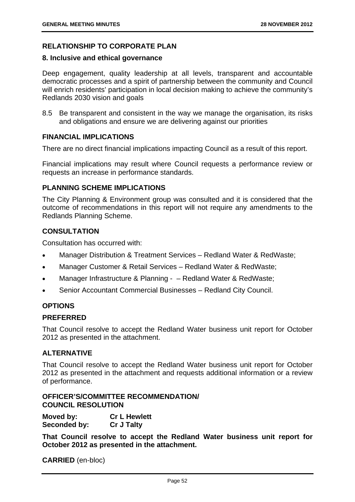## **RELATIONSHIP TO CORPORATE PLAN**

#### **8. Inclusive and ethical governance**

Deep engagement, quality leadership at all levels, transparent and accountable democratic processes and a spirit of partnership between the community and Council will enrich residents' participation in local decision making to achieve the community's Redlands 2030 vision and goals

8.5 Be transparent and consistent in the way we manage the organisation, its risks and obligations and ensure we are delivering against our priorities

## **FINANCIAL IMPLICATIONS**

There are no direct financial implications impacting Council as a result of this report.

Financial implications may result where Council requests a performance review or requests an increase in performance standards.

## **PLANNING SCHEME IMPLICATIONS**

The City Planning & Environment group was consulted and it is considered that the outcome of recommendations in this report will not require any amendments to the Redlands Planning Scheme.

## **CONSULTATION**

Consultation has occurred with:

- Manager Distribution & Treatment Services Redland Water & RedWaste;
- Manager Customer & Retail Services Redland Water & RedWaste;
- Manager Infrastructure & Planning - Redland Water & RedWaste;
- Senior Accountant Commercial Businesses Redland City Council.

## **OPTIONS**

## **PREFERRED**

That Council resolve to accept the Redland Water business unit report for October 2012 as presented in the attachment.

## **ALTERNATIVE**

That Council resolve to accept the Redland Water business unit report for October 2012 as presented in the attachment and requests additional information or a review of performance.

## **OFFICER'S/COMMITTEE RECOMMENDATION/ COUNCIL RESOLUTION**

| Moved by:    | <b>Cr L Hewlett</b> |
|--------------|---------------------|
| Seconded by: | <b>Cr J Talty</b>   |

**That Council resolve to accept the Redland Water business unit report for October 2012 as presented in the attachment.**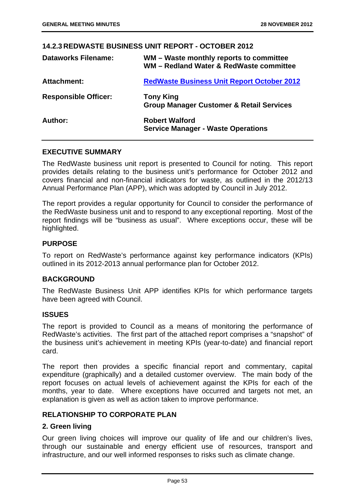|                             | <u> 14.2.3 REDWASTE BUSINESS UNIT REPORT - OCTOBER 2012</u>                        |
|-----------------------------|------------------------------------------------------------------------------------|
| <b>Dataworks Filename:</b>  | WM – Waste monthly reports to committee<br>WM - Redland Water & RedWaste committee |
| <b>Attachment:</b>          | <b>RedWaste Business Unit Report October 2012</b>                                  |
| <b>Responsible Officer:</b> | <b>Tony King</b><br><b>Group Manager Customer &amp; Retail Services</b>            |
| Author:                     | <b>Robert Walford</b><br><b>Service Manager - Waste Operations</b>                 |
|                             |                                                                                    |

## **14.2.3 REDWASTE BUSINESS UNIT REPORT - OCTOBER 2012**

## **EXECUTIVE SUMMARY**

The RedWaste business unit report is presented to Council for noting. This report provides details relating to the business unit's performance for October 2012 and covers financial and non-financial indicators for waste, as outlined in the 2012/13 Annual Performance Plan (APP), which was adopted by Council in July 2012.

The report provides a regular opportunity for Council to consider the performance of the RedWaste business unit and to respond to any exceptional reporting. Most of the report findings will be "business as usual". Where exceptions occur, these will be highlighted.

## **PURPOSE**

To report on RedWaste's performance against key performance indicators (KPIs) outlined in its 2012-2013 annual performance plan for October 2012.

## **BACKGROUND**

The RedWaste Business Unit APP identifies KPIs for which performance targets have been agreed with Council.

## **ISSUES**

The report is provided to Council as a means of monitoring the performance of RedWaste's activities. The first part of the attached report comprises a "snapshot" of the business unit's achievement in meeting KPIs (year-to-date) and financial report card.

The report then provides a specific financial report and commentary, capital expenditure (graphically) and a detailed customer overview. The main body of the report focuses on actual levels of achievement against the KPIs for each of the months, year to date. Where exceptions have occurred and targets not met, an explanation is given as well as action taken to improve performance.

## **RELATIONSHIP TO CORPORATE PLAN**

## **2. Green living**

Our green living choices will improve our quality of life and our children's lives, through our sustainable and energy efficient use of resources, transport and infrastructure, and our well informed responses to risks such as climate change.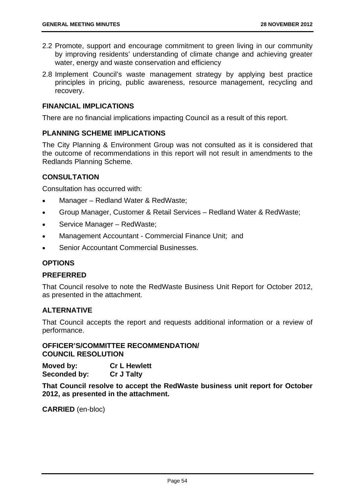- 2.2 Promote, support and encourage commitment to green living in our community by improving residents' understanding of climate change and achieving greater water, energy and waste conservation and efficiency
- 2.8 Implement Council's waste management strategy by applying best practice principles in pricing, public awareness, resource management, recycling and recovery.

## **FINANCIAL IMPLICATIONS**

There are no financial implications impacting Council as a result of this report.

## **PLANNING SCHEME IMPLICATIONS**

The City Planning & Environment Group was not consulted as it is considered that the outcome of recommendations in this report will not result in amendments to the Redlands Planning Scheme.

## **CONSULTATION**

Consultation has occurred with:

- Manager Redland Water & RedWaste;
- Group Manager, Customer & Retail Services Redland Water & RedWaste;
- Service Manager RedWaste;
- Management Accountant Commercial Finance Unit; and
- Senior Accountant Commercial Businesses.

## **OPTIONS**

## **PREFERRED**

That Council resolve to note the RedWaste Business Unit Report for October 2012, as presented in the attachment.

## **ALTERNATIVE**

That Council accepts the report and requests additional information or a review of performance.

**OFFICER'S/COMMITTEE RECOMMENDATION/ COUNCIL RESOLUTION** 

**Moved by: Cr L Hewlett Seconded by: Cr J Talty** 

**That Council resolve to accept the RedWaste business unit report for October 2012, as presented in the attachment.**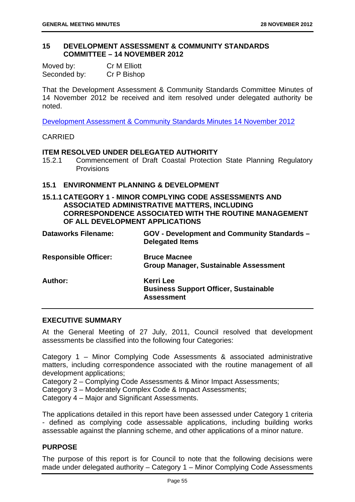#### **15 DEVELOPMENT ASSESSMENT & COMMUNITY STANDARDS COMMITTEE – 14 NOVEMBER 2012**

| Moved by:    | Cr M Elliott |
|--------------|--------------|
| Seconded by: | Cr P Bishop  |

That the Development Assessment & Community Standards Committee Minutes of 14 November 2012 be received and item resolved under delegated authority be noted.

Development Assessment & Community Standards Minutes 14 November 2012

## CARRIED

## **ITEM RESOLVED UNDER DELEGATED AUTHORITY**

15.2.1 Commencement of Draft Coastal Protection State Planning Regulatory Provisions

## **15.1 ENVIRONMENT PLANNING & DEVELOPMENT**

**15.1.1 CATEGORY 1 - MINOR COMPLYING CODE ASSESSMENTS AND ASSOCIATED ADMINISTRATIVE MATTERS, INCLUDING CORRESPONDENCE ASSOCIATED WITH THE ROUTINE MANAGEMENT OF ALL DEVELOPMENT APPLICATIONS** 

| <b>Dataworks Filename:</b>  | <b>GOV - Development and Community Standards -</b><br><b>Delegated Items</b>          |
|-----------------------------|---------------------------------------------------------------------------------------|
| <b>Responsible Officer:</b> | <b>Bruce Macnee</b><br><b>Group Manager, Sustainable Assessment</b>                   |
| Author:                     | <b>Kerri Lee</b><br><b>Business Support Officer, Sustainable</b><br><b>Assessment</b> |

## **EXECUTIVE SUMMARY**

At the General Meeting of 27 July, 2011, Council resolved that development assessments be classified into the following four Categories:

Category 1 – Minor Complying Code Assessments & associated administrative matters, including correspondence associated with the routine management of all development applications;

Category 2 – Complying Code Assessments & Minor Impact Assessments;

Category 3 – Moderately Complex Code & Impact Assessments;

Category 4 – Major and Significant Assessments.

The applications detailed in this report have been assessed under Category 1 criteria - defined as complying code assessable applications, including building works assessable against the planning scheme, and other applications of a minor nature.

## **PURPOSE**

The purpose of this report is for Council to note that the following decisions were made under delegated authority – Category 1 – Minor Complying Code Assessments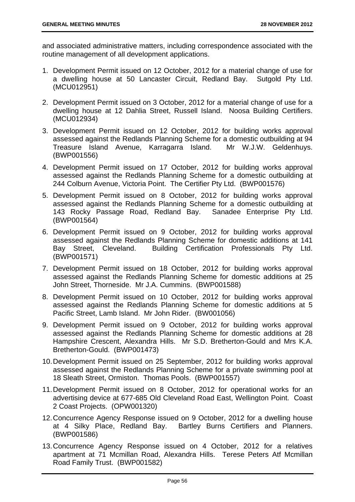and associated administrative matters, including correspondence associated with the routine management of all development applications.

- 1. Development Permit issued on 12 October, 2012 for a material change of use for a dwelling house at 50 Lancaster Circuit, Redland Bay. Sutgold Pty Ltd. (MCU012951)
- 2. Development Permit issued on 3 October, 2012 for a material change of use for a dwelling house at 12 Dahlia Street, Russell Island. Noosa Building Certifiers. (MCU012934)
- 3. Development Permit issued on 12 October, 2012 for building works approval assessed against the Redlands Planning Scheme for a domestic outbuilding at 94 Treasure Island Avenue, Karragarra Island. Mr W.J.W. Geldenhuys. (BWP001556)
- 4. Development Permit issued on 17 October, 2012 for building works approval assessed against the Redlands Planning Scheme for a domestic outbuilding at 244 Colburn Avenue, Victoria Point. The Certifier Pty Ltd. (BWP001576)
- 5. Development Permit issued on 8 October, 2012 for building works approval assessed against the Redlands Planning Scheme for a domestic outbuilding at 143 Rocky Passage Road, Redland Bay. Sanadee Enterprise Pty Ltd. (BWP001564)
- 6. Development Permit issued on 9 October, 2012 for building works approval assessed against the Redlands Planning Scheme for domestic additions at 141 Bay Street, Cleveland. Building Certification Professionals Pty Ltd. (BWP001571)
- 7. Development Permit issued on 18 October, 2012 for building works approval assessed against the Redlands Planning Scheme for domestic additions at 25 John Street, Thorneside. Mr J.A. Cummins. (BWP001588)
- 8. Development Permit issued on 10 October, 2012 for building works approval assessed against the Redlands Planning Scheme for domestic additions at 5 Pacific Street, Lamb Island. Mr John Rider. (BW001056)
- 9. Development Permit issued on 9 October, 2012 for building works approval assessed against the Redlands Planning Scheme for domestic additions at 28 Hampshire Crescent, Alexandra Hills. Mr S.D. Bretherton-Gould and Mrs K.A. Bretherton-Gould. (BWP001473)
- 10. Development Permit issued on 25 September, 2012 for building works approval assessed against the Redlands Planning Scheme for a private swimming pool at 18 Sleath Street, Ormiston. Thomas Pools. (BWP001557)
- 11. Development Permit issued on 8 October, 2012 for operational works for an advertising device at 677-685 Old Cleveland Road East, Wellington Point. Coast 2 Coast Projects. (OPW001320)
- 12. Concurrence Agency Response issued on 9 October, 2012 for a dwelling house at 4 Silky Place, Redland Bay. Bartley Burns Certifiers and Planners. (BWP001586)
- 13. Concurrence Agency Response issued on 4 October, 2012 for a relatives apartment at 71 Mcmillan Road, Alexandra Hills. Terese Peters Atf Mcmillan Road Family Trust. (BWP001582)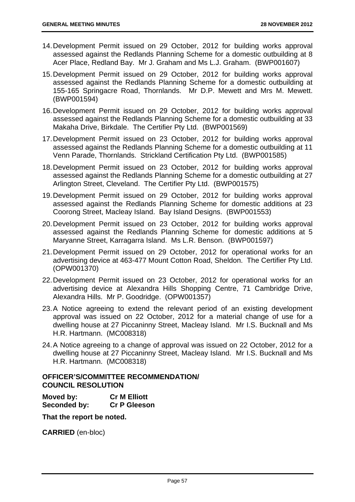- 14. Development Permit issued on 29 October, 2012 for building works approval assessed against the Redlands Planning Scheme for a domestic outbuilding at 8 Acer Place, Redland Bay. Mr J. Graham and Ms L.J. Graham. (BWP001607)
- 15. Development Permit issued on 29 October, 2012 for building works approval assessed against the Redlands Planning Scheme for a domestic outbuilding at 155-165 Springacre Road, Thornlands. Mr D.P. Mewett and Mrs M. Mewett. (BWP001594)
- 16. Development Permit issued on 29 October, 2012 for building works approval assessed against the Redlands Planning Scheme for a domestic outbuilding at 33 Makaha Drive, Birkdale. The Certifier Pty Ltd. (BWP001569)
- 17. Development Permit issued on 23 October, 2012 for building works approval assessed against the Redlands Planning Scheme for a domestic outbuilding at 11 Venn Parade, Thornlands. Strickland Certification Pty Ltd. (BWP001585)
- 18. Development Permit issued on 23 October, 2012 for building works approval assessed against the Redlands Planning Scheme for a domestic outbuilding at 27 Arlington Street, Cleveland. The Certifier Pty Ltd. (BWP001575)
- 19. Development Permit issued on 29 October, 2012 for building works approval assessed against the Redlands Planning Scheme for domestic additions at 23 Coorong Street, Macleay Island. Bay Island Designs. (BWP001553)
- 20. Development Permit issued on 23 October, 2012 for building works approval assessed against the Redlands Planning Scheme for domestic additions at 5 Maryanne Street, Karragarra Island. Ms L.R. Benson. (BWP001597)
- 21. Development Permit issued on 29 October, 2012 for operational works for an advertising device at 463-477 Mount Cotton Road, Sheldon. The Certifier Pty Ltd. (OPW001370)
- 22. Development Permit issued on 23 October, 2012 for operational works for an advertising device at Alexandra Hills Shopping Centre, 71 Cambridge Drive, Alexandra Hills. Mr P. Goodridge. (OPW001357)
- 23. A Notice agreeing to extend the relevant period of an existing development approval was issued on 22 October, 2012 for a material change of use for a dwelling house at 27 Piccaninny Street, Macleay Island. Mr I.S. Bucknall and Ms H.R. Hartmann. (MC008318)
- 24. A Notice agreeing to a change of approval was issued on 22 October, 2012 for a dwelling house at 27 Piccaninny Street, Macleay Island. Mr I.S. Bucknall and Ms H.R. Hartmann. (MC008318)

## **OFFICER'S/COMMITTEE RECOMMENDATION/ COUNCIL RESOLUTION**

| Moved by:    | <b>Cr M Elliott</b> |
|--------------|---------------------|
| Seconded by: | <b>Cr P Gleeson</b> |

**That the report be noted.**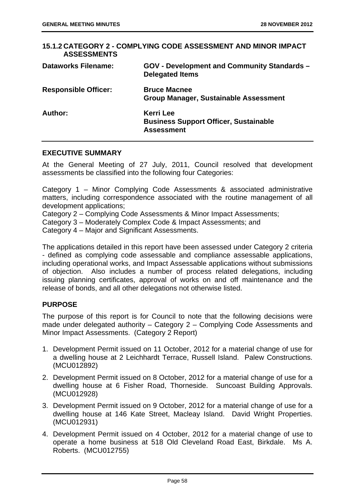| <b>ASSESSMENTS</b>          | 15.1.2 CATEGORY 2 - COMPLYING CODE ASSESSMENT AND MINOR IMPACT                        |
|-----------------------------|---------------------------------------------------------------------------------------|
| <b>Dataworks Filename:</b>  | <b>GOV - Development and Community Standards -</b><br><b>Delegated Items</b>          |
| <b>Responsible Officer:</b> | <b>Bruce Macnee</b><br><b>Group Manager, Sustainable Assessment</b>                   |
| Author:                     | <b>Kerri Lee</b><br><b>Business Support Officer, Sustainable</b><br><b>Assessment</b> |

#### **EXECUTIVE SUMMARY**

At the General Meeting of 27 July, 2011, Council resolved that development assessments be classified into the following four Categories:

Category 1 – Minor Complying Code Assessments & associated administrative matters, including correspondence associated with the routine management of all development applications;

Category 2 – Complying Code Assessments & Minor Impact Assessments;

Category 3 – Moderately Complex Code & Impact Assessments; and

Category 4 – Major and Significant Assessments.

The applications detailed in this report have been assessed under Category 2 criteria - defined as complying code assessable and compliance assessable applications, including operational works, and Impact Assessable applications without submissions of objection. Also includes a number of process related delegations, including issuing planning certificates, approval of works on and off maintenance and the release of bonds, and all other delegations not otherwise listed.

## **PURPOSE**

The purpose of this report is for Council to note that the following decisions were made under delegated authority – Category 2 – Complying Code Assessments and Minor Impact Assessments. (Category 2 Report)

- 1. Development Permit issued on 11 October, 2012 for a material change of use for a dwelling house at 2 Leichhardt Terrace, Russell Island. Palew Constructions. (MCU012892)
- 2. Development Permit issued on 8 October, 2012 for a material change of use for a dwelling house at 6 Fisher Road, Thorneside. Suncoast Building Approvals. (MCU012928)
- 3. Development Permit issued on 9 October, 2012 for a material change of use for a dwelling house at 146 Kate Street, Macleay Island. David Wright Properties. (MCU012931)
- 4. Development Permit issued on 4 October, 2012 for a material change of use to operate a home business at 518 Old Cleveland Road East, Birkdale. Ms A. Roberts. (MCU012755)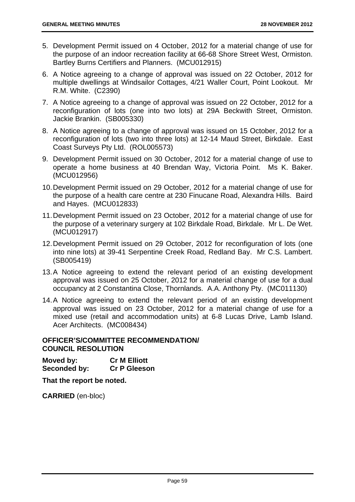- 5. Development Permit issued on 4 October, 2012 for a material change of use for the purpose of an indoor recreation facility at 66-68 Shore Street West, Ormiston. Bartley Burns Certifiers and Planners. (MCU012915)
- 6. A Notice agreeing to a change of approval was issued on 22 October, 2012 for multiple dwellings at Windsailor Cottages, 4/21 Waller Court, Point Lookout. Mr R.M. White. (C2390)
- 7. A Notice agreeing to a change of approval was issued on 22 October, 2012 for a reconfiguration of lots (one into two lots) at 29A Beckwith Street, Ormiston. Jackie Brankin. (SB005330)
- 8. A Notice agreeing to a change of approval was issued on 15 October, 2012 for a reconfiguration of lots (two into three lots) at 12-14 Maud Street, Birkdale. East Coast Surveys Pty Ltd. (ROL005573)
- 9. Development Permit issued on 30 October, 2012 for a material change of use to operate a home business at 40 Brendan Way, Victoria Point. Ms K. Baker. (MCU012956)
- 10. Development Permit issued on 29 October, 2012 for a material change of use for the purpose of a health care centre at 230 Finucane Road, Alexandra Hills. Baird and Hayes. (MCU012833)
- 11. Development Permit issued on 23 October, 2012 for a material change of use for the purpose of a veterinary surgery at 102 Birkdale Road, Birkdale. Mr L. De Wet. (MCU012917)
- 12. Development Permit issued on 29 October, 2012 for reconfiguration of lots (one into nine lots) at 39-41 Serpentine Creek Road, Redland Bay. Mr C.S. Lambert. (SB005419)
- 13. A Notice agreeing to extend the relevant period of an existing development approval was issued on 25 October, 2012 for a material change of use for a dual occupancy at 2 Constantina Close, Thornlands. A.A. Anthony Pty. (MC011130)
- 14. A Notice agreeing to extend the relevant period of an existing development approval was issued on 23 October, 2012 for a material change of use for a mixed use (retail and accommodation units) at 6-8 Lucas Drive, Lamb Island. Acer Architects. (MC008434)

## **OFFICER'S/COMMITTEE RECOMMENDATION/ COUNCIL RESOLUTION**

**Moved by: Cr M Elliott Seconded by: Cr P Gleeson** 

**That the report be noted.**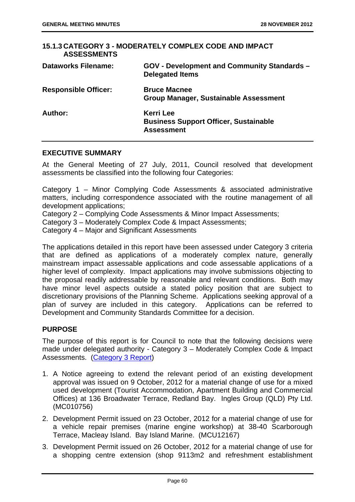| <b>ASSESSMENTS</b>          | 15.1.3 CATEGORY 3 - MODERATELY COMPLEX CODE AND IMPACT                                |
|-----------------------------|---------------------------------------------------------------------------------------|
| <b>Dataworks Filename:</b>  | <b>GOV - Development and Community Standards -</b><br><b>Delegated Items</b>          |
| <b>Responsible Officer:</b> | <b>Bruce Macnee</b><br><b>Group Manager, Sustainable Assessment</b>                   |
| Author:                     | <b>Kerri Lee</b><br><b>Business Support Officer, Sustainable</b><br><b>Assessment</b> |

#### **EXECUTIVE SUMMARY**

At the General Meeting of 27 July, 2011, Council resolved that development assessments be classified into the following four Categories:

Category 1 – Minor Complying Code Assessments & associated administrative matters, including correspondence associated with the routine management of all development applications;

Category 2 – Complying Code Assessments & Minor Impact Assessments;

Category 3 – Moderately Complex Code & Impact Assessments;

Category 4 – Major and Significant Assessments

The applications detailed in this report have been assessed under Category 3 criteria that are defined as applications of a moderately complex nature, generally mainstream impact assessable applications and code assessable applications of a higher level of complexity. Impact applications may involve submissions objecting to the proposal readily addressable by reasonable and relevant conditions. Both may have minor level aspects outside a stated policy position that are subject to discretionary provisions of the Planning Scheme. Applications seeking approval of a plan of survey are included in this category. Applications can be referred to Development and Community Standards Committee for a decision.

## **PURPOSE**

The purpose of this report is for Council to note that the following decisions were made under delegated authority - Category 3 – Moderately Complex Code & Impact Assessments. (Category 3 Report)

- 1. A Notice agreeing to extend the relevant period of an existing development approval was issued on 9 October, 2012 for a material change of use for a mixed used development (Tourist Accommodation, Apartment Building and Commercial Offices) at 136 Broadwater Terrace, Redland Bay. Ingles Group (QLD) Pty Ltd. (MC010756)
- 2. Development Permit issued on 23 October, 2012 for a material change of use for a vehicle repair premises (marine engine workshop) at 38-40 Scarborough Terrace, Macleay Island. Bay Island Marine. (MCU12167)
- 3. Development Permit issued on 26 October, 2012 for a material change of use for a shopping centre extension (shop 9113m2 and refreshment establishment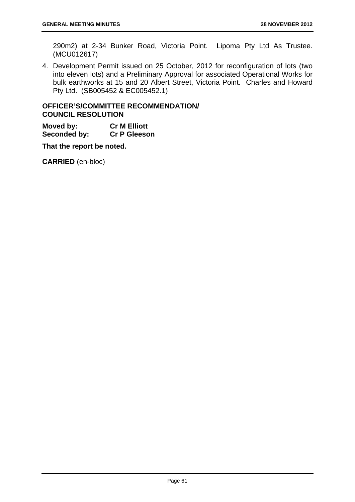290m2) at 2-34 Bunker Road, Victoria Point. Lipoma Pty Ltd As Trustee. (MCU012617)

4. Development Permit issued on 25 October, 2012 for reconfiguration of lots (two into eleven lots) and a Preliminary Approval for associated Operational Works for bulk earthworks at 15 and 20 Albert Street, Victoria Point. Charles and Howard Pty Ltd. (SB005452 & EC005452.1)

## **OFFICER'S/COMMITTEE RECOMMENDATION/ COUNCIL RESOLUTION**

**Moved by: Cr M Elliott Seconded by: Cr P Gleeson** 

**That the report be noted.**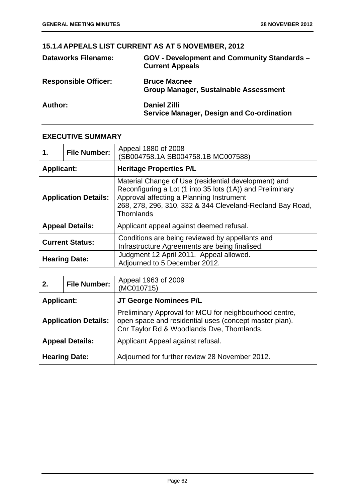# **15.1.4 APPEALS LIST CURRENT AS AT 5 NOVEMBER, 2012**

| <b>Dataworks Filename:</b>  | GOV - Development and Community Standards -<br><b>Current Appeals</b>   |
|-----------------------------|-------------------------------------------------------------------------|
| <b>Responsible Officer:</b> | <b>Bruce Macnee</b><br><b>Group Manager, Sustainable Assessment</b>     |
| Author:                     | <b>Daniel Zilli</b><br><b>Service Manager, Design and Co-ordination</b> |

# **EXECUTIVE SUMMARY**

| 1.                | <b>File Number:</b>         | Appeal 1880 of 2008<br>(SB004758.1A SB004758.1B MC007588)                                                                                                                                                                                       |
|-------------------|-----------------------------|-------------------------------------------------------------------------------------------------------------------------------------------------------------------------------------------------------------------------------------------------|
| <b>Applicant:</b> |                             | <b>Heritage Properties P/L</b>                                                                                                                                                                                                                  |
|                   | <b>Application Details:</b> | Material Change of Use (residential development) and<br>Reconfiguring a Lot (1 into 35 lots (1A)) and Preliminary<br>Approval affecting a Planning Instrument<br>268, 278, 296, 310, 332 & 344 Cleveland-Redland Bay Road,<br><b>Thornlands</b> |
|                   | <b>Appeal Details:</b>      | Applicant appeal against deemed refusal.                                                                                                                                                                                                        |
|                   | <b>Current Status:</b>      | Conditions are being reviewed by appellants and<br>Infrastructure Agreements are being finalised.                                                                                                                                               |
|                   | <b>Hearing Date:</b>        | Judgment 12 April 2011. Appeal allowed.<br>Adjourned to 5 December 2012.                                                                                                                                                                        |

| 2.                                          | <b>File Number:</b>         | Appeal 1963 of 2009<br>(MC010715)                                                                                                                              |
|---------------------------------------------|-----------------------------|----------------------------------------------------------------------------------------------------------------------------------------------------------------|
| JT George Nominees P/L<br><b>Applicant:</b> |                             |                                                                                                                                                                |
|                                             | <b>Application Details:</b> | Preliminary Approval for MCU for neighbourhood centre,<br>open space and residential uses (concept master plan).<br>Cnr Taylor Rd & Woodlands Dve, Thornlands. |
|                                             | <b>Appeal Details:</b>      | Applicant Appeal against refusal.                                                                                                                              |
|                                             | <b>Hearing Date:</b>        | Adjourned for further review 28 November 2012.                                                                                                                 |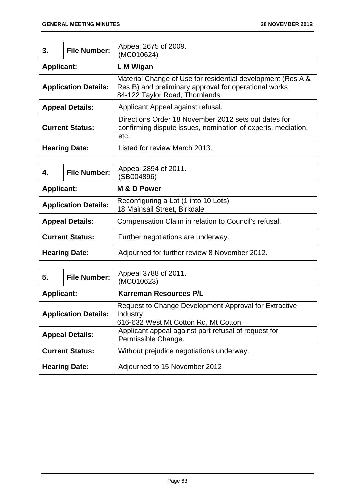| 3.                          | <b>File Number:</b> | Appeal 2675 of 2009.<br>(MC010624)                                                                                                                     |
|-----------------------------|---------------------|--------------------------------------------------------------------------------------------------------------------------------------------------------|
| <b>Applicant:</b>           |                     | L M Wigan                                                                                                                                              |
| <b>Application Details:</b> |                     | Material Change of Use for residential development (Res A &<br>Res B) and preliminary approval for operational works<br>84-122 Taylor Road, Thornlands |
| <b>Appeal Details:</b>      |                     | Applicant Appeal against refusal.                                                                                                                      |
| <b>Current Status:</b>      |                     | Directions Order 18 November 2012 sets out dates for<br>confirming dispute issues, nomination of experts, mediation,<br>etc.                           |
| <b>Hearing Date:</b>        |                     | Listed for review March 2013.                                                                                                                          |

| 4.                          | <b>File Number:</b> | Appeal 2894 of 2011.<br>(SB004896)                                   |
|-----------------------------|---------------------|----------------------------------------------------------------------|
| <b>Applicant:</b>           |                     | M & D Power                                                          |
| <b>Application Details:</b> |                     | Reconfiguring a Lot (1 into 10 Lots)<br>18 Mainsail Street, Birkdale |
| <b>Appeal Details:</b>      |                     | Compensation Claim in relation to Council's refusal.                 |
| <b>Current Status:</b>      |                     | Further negotiations are underway.                                   |
| <b>Hearing Date:</b>        |                     | Adjourned for further review 8 November 2012.                        |

| 5.                          | <b>File Number:</b> | Appeal 3788 of 2011.<br>(MC010623)                                                                        |
|-----------------------------|---------------------|-----------------------------------------------------------------------------------------------------------|
| <b>Applicant:</b>           |                     | <b>Karreman Resources P/L</b>                                                                             |
| <b>Application Details:</b> |                     | Request to Change Development Approval for Extractive<br>Industry<br>616-632 West Mt Cotton Rd, Mt Cotton |
| <b>Appeal Details:</b>      |                     | Applicant appeal against part refusal of request for<br>Permissible Change.                               |
| <b>Current Status:</b>      |                     | Without prejudice negotiations underway.                                                                  |
| <b>Hearing Date:</b>        |                     | Adjourned to 15 November 2012.                                                                            |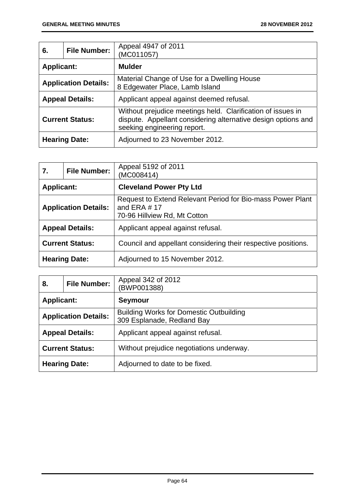| 6.                          | <b>File Number:</b> | Appeal 4947 of 2011<br>(MC011057)                                                                                                                           |
|-----------------------------|---------------------|-------------------------------------------------------------------------------------------------------------------------------------------------------------|
| <b>Applicant:</b>           |                     | <b>Mulder</b>                                                                                                                                               |
| <b>Application Details:</b> |                     | Material Change of Use for a Dwelling House<br>8 Edgewater Place, Lamb Island                                                                               |
| <b>Appeal Details:</b>      |                     | Applicant appeal against deemed refusal.                                                                                                                    |
| <b>Current Status:</b>      |                     | Without prejudice meetings held. Clarification of issues in<br>dispute. Appellant considering alternative design options and<br>seeking engineering report. |
| <b>Hearing Date:</b>        |                     | Adjourned to 23 November 2012.                                                                                                                              |

| 7.                          | <b>File Number:</b> | Appeal 5192 of 2011<br>(MC008414)                                                                            |
|-----------------------------|---------------------|--------------------------------------------------------------------------------------------------------------|
| <b>Applicant:</b>           |                     | <b>Cleveland Power Pty Ltd</b>                                                                               |
| <b>Application Details:</b> |                     | Request to Extend Relevant Period for Bio-mass Power Plant<br>and ERA $# 17$<br>70-96 Hillview Rd, Mt Cotton |
| <b>Appeal Details:</b>      |                     | Applicant appeal against refusal.                                                                            |
| <b>Current Status:</b>      |                     | Council and appellant considering their respective positions.                                                |
| <b>Hearing Date:</b>        |                     | Adjourned to 15 November 2012.                                                                               |

| 8.                          | <b>File Number:</b> | Appeal 342 of 2012<br>(BWP001388)                                            |
|-----------------------------|---------------------|------------------------------------------------------------------------------|
| <b>Applicant:</b>           |                     | <b>Seymour</b>                                                               |
| <b>Application Details:</b> |                     | <b>Building Works for Domestic Outbuilding</b><br>309 Esplanade, Redland Bay |
| <b>Appeal Details:</b>      |                     | Applicant appeal against refusal.                                            |
| <b>Current Status:</b>      |                     | Without prejudice negotiations underway.                                     |
| <b>Hearing Date:</b>        |                     | Adjourned to date to be fixed.                                               |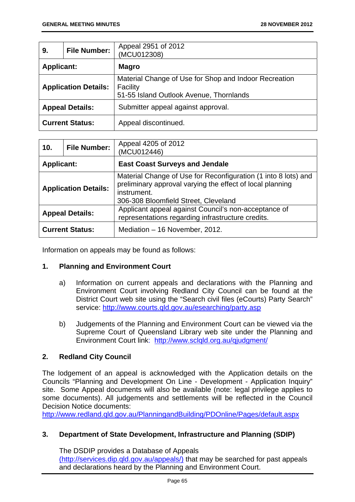| 9.                          | <b>File Number:</b> | Appeal 2951 of 2012<br>(MCU012308)                                                                           |
|-----------------------------|---------------------|--------------------------------------------------------------------------------------------------------------|
| <b>Applicant:</b>           |                     | <b>Magro</b>                                                                                                 |
| <b>Application Details:</b> |                     | Material Change of Use for Shop and Indoor Recreation<br>Facility<br>51-55 Island Outlook Avenue, Thornlands |
| <b>Appeal Details:</b>      |                     | Submitter appeal against approval.                                                                           |
| <b>Current Status:</b>      |                     | Appeal discontinued.                                                                                         |

| 10.                         | <b>File Number:</b> | Appeal 4205 of 2012<br>(MCU012446)                                                                                                                                                 |
|-----------------------------|---------------------|------------------------------------------------------------------------------------------------------------------------------------------------------------------------------------|
| <b>Applicant:</b>           |                     | <b>East Coast Surveys and Jendale</b>                                                                                                                                              |
| <b>Application Details:</b> |                     | Material Change of Use for Reconfiguration (1 into 8 lots) and<br>preliminary approval varying the effect of local planning<br>instrument.<br>306-308 Bloomfield Street, Cleveland |
| <b>Appeal Details:</b>      |                     | Applicant appeal against Council's non-acceptance of<br>representations regarding infrastructure credits.                                                                          |
| <b>Current Status:</b>      |                     | Mediation - 16 November, 2012.                                                                                                                                                     |

Information on appeals may be found as follows:

## **1. Planning and Environment Court**

- a) Information on current appeals and declarations with the Planning and Environment Court involving Redland City Council can be found at the District Court web site using the "Search civil files (eCourts) Party Search" service: http://www.courts.qld.gov.au/esearching/party.asp
- b) Judgements of the Planning and Environment Court can be viewed via the Supreme Court of Queensland Library web site under the Planning and Environment Court link: http://www.sclqld.org.au/qjudgment/

## **2. Redland City Council**

The lodgement of an appeal is acknowledged with the Application details on the Councils "Planning and Development On Line - Development - Application Inquiry" site. Some Appeal documents will also be available (note: legal privilege applies to some documents). All judgements and settlements will be reflected in the Council Decision Notice documents:

http://www.redland.qld.gov.au/PlanningandBuilding/PDOnline/Pages/default.aspx

## **3. Department of State Development, Infrastructure and Planning (SDIP)**

The DSDIP provides a Database of Appeals

(http://services.dip.qld.gov.au/appeals/) that may be searched for past appeals and declarations heard by the Planning and Environment Court.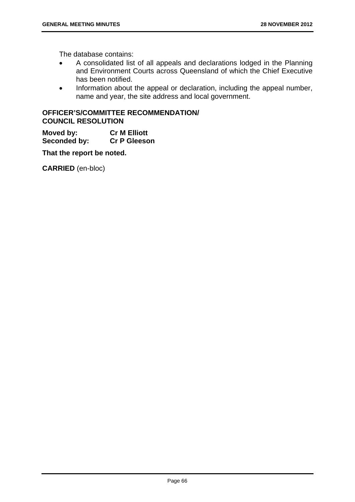The database contains:

- A consolidated list of all appeals and declarations lodged in the Planning and Environment Courts across Queensland of which the Chief Executive has been notified.
- Information about the appeal or declaration, including the appeal number, name and year, the site address and local government.

## **OFFICER'S/COMMITTEE RECOMMENDATION/ COUNCIL RESOLUTION**

**Moved by: Cr M Elliott Seconded by: Cr P Gleeson** 

**That the report be noted.**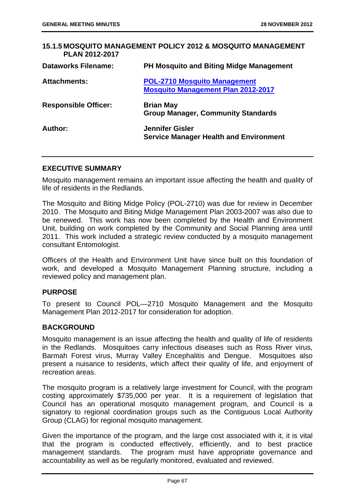# **15.1.5 MOSQUITO MANAGEMENT POLICY 2012 & MOSQUITO MANAGEMENT PLAN 2012-2017 Dataworks Filename: PH Mosquito and Biting Midge Management Attachments: POL-2710 Mosquito Management Mosquito Management Plan 2012-2017 Responsible Officer:** Brian May **Group Manager, Community Standards Author: Jennifer Gisler Service Manager Health and Environment**

# **EXECUTIVE SUMMARY**

Mosquito management remains an important issue affecting the health and quality of life of residents in the Redlands.

The Mosquito and Biting Midge Policy (POL-2710) was due for review in December 2010. The Mosquito and Biting Midge Management Plan 2003-2007 was also due to be renewed. This work has now been completed by the Health and Environment Unit, building on work completed by the Community and Social Planning area until 2011. This work included a strategic review conducted by a mosquito management consultant Entomologist.

Officers of the Health and Environment Unit have since built on this foundation of work, and developed a Mosquito Management Planning structure, including a reviewed policy and management plan.

## **PURPOSE**

To present to Council POL—2710 Mosquito Management and the Mosquito Management Plan 2012-2017 for consideration for adoption.

## **BACKGROUND**

Mosquito management is an issue affecting the health and quality of life of residents in the Redlands. Mosquitoes carry infectious diseases such as Ross River virus, Barmah Forest virus, Murray Valley Encephalitis and Dengue. Mosquitoes also present a nuisance to residents, which affect their quality of life, and enjoyment of recreation areas.

The mosquito program is a relatively large investment for Council, with the program costing approximately \$735,000 per year. It is a requirement of legislation that Council has an operational mosquito management program, and Council is a signatory to regional coordination groups such as the Contiguous Local Authority Group (CLAG) for regional mosquito management.

Given the importance of the program, and the large cost associated with it, it is vital that the program is conducted effectively, efficiently, and to best practice management standards. The program must have appropriate governance and accountability as well as be regularly monitored, evaluated and reviewed.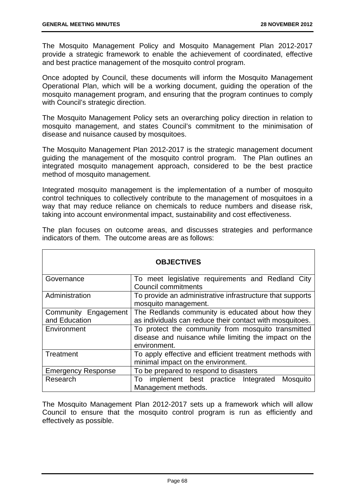The Mosquito Management Policy and Mosquito Management Plan 2012-2017 provide a strategic framework to enable the achievement of coordinated, effective and best practice management of the mosquito control program.

Once adopted by Council, these documents will inform the Mosquito Management Operational Plan, which will be a working document, guiding the operation of the mosquito management program, and ensuring that the program continues to comply with Council's strategic direction.

The Mosquito Management Policy sets an overarching policy direction in relation to mosquito management, and states Council's commitment to the minimisation of disease and nuisance caused by mosquitoes.

The Mosquito Management Plan 2012-2017 is the strategic management document guiding the management of the mosquito control program. The Plan outlines an integrated mosquito management approach, considered to be the best practice method of mosquito management.

Integrated mosquito management is the implementation of a number of mosquito control techniques to collectively contribute to the management of mosquitoes in a way that may reduce reliance on chemicals to reduce numbers and disease risk, taking into account environmental impact, sustainability and cost effectiveness.

| <b>OBJECTIVES</b>         |                                                                                   |  |
|---------------------------|-----------------------------------------------------------------------------------|--|
| Governance                | To meet legislative requirements and Redland City<br><b>Council commitments</b>   |  |
| Administration            | To provide an administrative infrastructure that supports<br>mosquito management. |  |
| Community Engagement      | The Redlands community is educated about how they                                 |  |
| and Education             | as individuals can reduce their contact with mosquitoes.                          |  |
| Environment               | To protect the community from mosquito transmitted                                |  |
|                           | disease and nuisance while limiting the impact on the                             |  |
|                           | environment.                                                                      |  |
| Treatment                 | To apply effective and efficient treatment methods with                           |  |
|                           | minimal impact on the environment.                                                |  |
| <b>Emergency Response</b> | To be prepared to respond to disasters                                            |  |
| Research                  | implement best practice Integrated<br>Mosquito<br>To                              |  |
|                           | Management methods.                                                               |  |

The plan focuses on outcome areas, and discusses strategies and performance indicators of them. The outcome areas are as follows:

The Mosquito Management Plan 2012-2017 sets up a framework which will allow Council to ensure that the mosquito control program is run as efficiently and effectively as possible.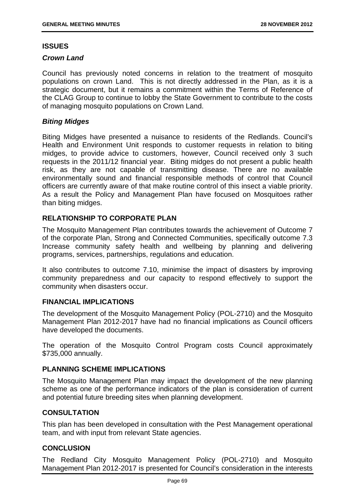# **ISSUES**

# *Crown Land*

Council has previously noted concerns in relation to the treatment of mosquito populations on crown Land. This is not directly addressed in the Plan, as it is a strategic document, but it remains a commitment within the Terms of Reference of the CLAG Group to continue to lobby the State Government to contribute to the costs of managing mosquito populations on Crown Land.

# *Biting Midges*

Biting Midges have presented a nuisance to residents of the Redlands. Council's Health and Environment Unit responds to customer requests in relation to biting midges, to provide advice to customers, however, Council received only 3 such requests in the 2011/12 financial year. Biting midges do not present a public health risk, as they are not capable of transmitting disease. There are no available environmentally sound and financial responsible methods of control that Council officers are currently aware of that make routine control of this insect a viable priority. As a result the Policy and Management Plan have focused on Mosquitoes rather than biting midges.

# **RELATIONSHIP TO CORPORATE PLAN**

The Mosquito Management Plan contributes towards the achievement of Outcome 7 of the corporate Plan, Strong and Connected Communities, specifically outcome 7.3 Increase community safety health and wellbeing by planning and delivering programs, services, partnerships, regulations and education.

It also contributes to outcome 7.10, minimise the impact of disasters by improving community preparedness and our capacity to respond effectively to support the community when disasters occur.

# **FINANCIAL IMPLICATIONS**

The development of the Mosquito Management Policy (POL-2710) and the Mosquito Management Plan 2012-2017 have had no financial implications as Council officers have developed the documents.

The operation of the Mosquito Control Program costs Council approximately \$735,000 annually.

# **PLANNING SCHEME IMPLICATIONS**

The Mosquito Management Plan may impact the development of the new planning scheme as one of the performance indicators of the plan is consideration of current and potential future breeding sites when planning development.

# **CONSULTATION**

This plan has been developed in consultation with the Pest Management operational team, and with input from relevant State agencies.

# **CONCLUSION**

The Redland City Mosquito Management Policy (POL-2710) and Mosquito Management Plan 2012-2017 is presented for Council's consideration in the interests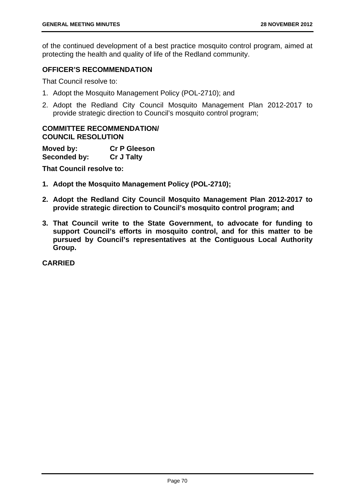of the continued development of a best practice mosquito control program, aimed at protecting the health and quality of life of the Redland community.

# **OFFICER'S RECOMMENDATION**

That Council resolve to:

- 1. Adopt the Mosquito Management Policy (POL-2710); and
- 2. Adopt the Redland City Council Mosquito Management Plan 2012-2017 to provide strategic direction to Council's mosquito control program;

### **COMMITTEE RECOMMENDATION/ COUNCIL RESOLUTION**

| Moved by:    | <b>Cr P Gleeson</b> |
|--------------|---------------------|
| Seconded by: | <b>Cr J Talty</b>   |

**That Council resolve to:** 

- **1. Adopt the Mosquito Management Policy (POL-2710);**
- **2. Adopt the Redland City Council Mosquito Management Plan 2012-2017 to provide strategic direction to Council's mosquito control program; and**
- **3. That Council write to the State Government, to advocate for funding to support Council's efforts in mosquito control, and for this matter to be pursued by Council's representatives at the Contiguous Local Authority Group.**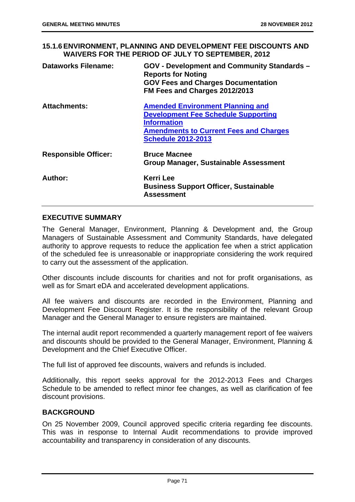**15.1.6 ENVIRONMENT, PLANNING AND DEVELOPMENT FEE DISCOUNTS AND WAIVERS FOR THE PERIOD OF JULY TO SEPTEMBER, 2012** 

| <b>Dataworks Filename:</b>  | GOV - Development and Community Standards -<br><b>Reports for Noting</b><br><b>GOV Fees and Charges Documentation</b><br>FM Fees and Charges 2012/2013                                    |
|-----------------------------|-------------------------------------------------------------------------------------------------------------------------------------------------------------------------------------------|
| <b>Attachments:</b>         | <b>Amended Environment Planning and</b><br><b>Development Fee Schedule Supporting</b><br><b>Information</b><br><b>Amendments to Current Fees and Charges</b><br><b>Schedule 2012-2013</b> |
| <b>Responsible Officer:</b> | <b>Bruce Macnee</b><br><b>Group Manager, Sustainable Assessment</b>                                                                                                                       |
| Author:                     | <b>Kerri Lee</b><br><b>Business Support Officer, Sustainable</b><br>Assessment                                                                                                            |

### **EXECUTIVE SUMMARY**

The General Manager, Environment, Planning & Development and, the Group Managers of Sustainable Assessment and Community Standards, have delegated authority to approve requests to reduce the application fee when a strict application of the scheduled fee is unreasonable or inappropriate considering the work required to carry out the assessment of the application.

Other discounts include discounts for charities and not for profit organisations, as well as for Smart eDA and accelerated development applications.

All fee waivers and discounts are recorded in the Environment, Planning and Development Fee Discount Register. It is the responsibility of the relevant Group Manager and the General Manager to ensure registers are maintained.

The internal audit report recommended a quarterly management report of fee waivers and discounts should be provided to the General Manager, Environment, Planning & Development and the Chief Executive Officer.

The full list of approved fee discounts, waivers and refunds is included.

Additionally, this report seeks approval for the 2012-2013 Fees and Charges Schedule to be amended to reflect minor fee changes, as well as clarification of fee discount provisions.

# **BACKGROUND**

On 25 November 2009, Council approved specific criteria regarding fee discounts. This was in response to Internal Audit recommendations to provide improved accountability and transparency in consideration of any discounts.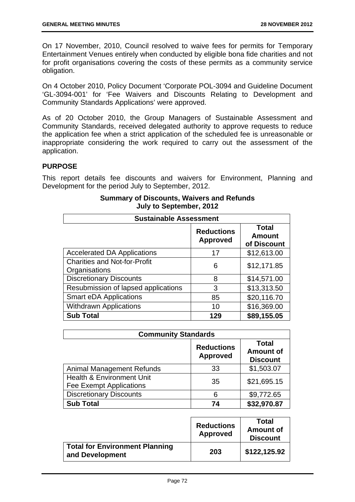On 17 November, 2010, Council resolved to waive fees for permits for Temporary Entertainment Venues entirely when conducted by eligible bona fide charities and not for profit organisations covering the costs of these permits as a community service obligation.

On 4 October 2010, Policy Document 'Corporate POL-3094 and Guideline Document 'GL-3094-001' for 'Fee Waivers and Discounts Relating to Development and Community Standards Applications' were approved.

As of 20 October 2010, the Group Managers of Sustainable Assessment and Community Standards, received delegated authority to approve requests to reduce the application fee when a strict application of the scheduled fee is unreasonable or inappropriate considering the work required to carry out the assessment of the application.

# **PURPOSE**

This report details fee discounts and waivers for Environment, Planning and Development for the period July to September, 2012.

| <b>Sustainable Assessment</b>                        |                                      |                                              |
|------------------------------------------------------|--------------------------------------|----------------------------------------------|
|                                                      | <b>Reductions</b><br><b>Approved</b> | <b>Total</b><br><b>Amount</b><br>of Discount |
| <b>Accelerated DA Applications</b>                   | 17                                   | \$12,613.00                                  |
| <b>Charities and Not-for-Profit</b><br>Organisations | 6                                    | \$12,171.85                                  |
| <b>Discretionary Discounts</b>                       | 8                                    | \$14,571.00                                  |
| Resubmission of lapsed applications                  | 3                                    | \$13,313.50                                  |
| <b>Smart eDA Applications</b>                        | 85                                   | \$20,116.70                                  |
| <b>Withdrawn Applications</b>                        | 10                                   | \$16,369.00                                  |
| <b>Sub Total</b>                                     | 129                                  | \$89,155.05                                  |

# **Summary of Discounts, Waivers and Refunds July to September, 2012**

| <b>Community Standards</b>                                             |                                      |                                                     |
|------------------------------------------------------------------------|--------------------------------------|-----------------------------------------------------|
|                                                                        | <b>Reductions</b><br><b>Approved</b> | <b>Total</b><br><b>Amount of</b><br><b>Discount</b> |
| <b>Animal Management Refunds</b>                                       | 33                                   | \$1,503.07                                          |
| <b>Health &amp; Environment Unit</b><br><b>Fee Exempt Applications</b> | 35                                   | \$21,695.15                                         |
| <b>Discretionary Discounts</b>                                         | 6                                    | \$9,772.65                                          |
| <b>Sub Total</b>                                                       | 74                                   | \$32,970.87                                         |

|                                                          | <b>Reductions</b><br><b>Approved</b> | Total<br><b>Amount of</b><br><b>Discount</b> |
|----------------------------------------------------------|--------------------------------------|----------------------------------------------|
| <b>Total for Environment Planning</b><br>and Development | 203                                  | \$122,125.92                                 |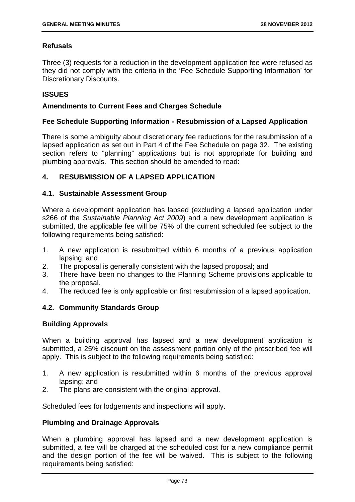# **Refusals**

Three (3) requests for a reduction in the development application fee were refused as they did not comply with the criteria in the 'Fee Schedule Supporting Information' for Discretionary Discounts.

# **ISSUES**

# **Amendments to Current Fees and Charges Schedule**

# **Fee Schedule Supporting Information - Resubmission of a Lapsed Application**

There is some ambiguity about discretionary fee reductions for the resubmission of a lapsed application as set out in Part 4 of the Fee Schedule on page 32. The existing section refers to "planning" applications but is not appropriate for building and plumbing approvals. This section should be amended to read:

# **4. RESUBMISSION OF A LAPSED APPLICATION**

# **4.1. Sustainable Assessment Group**

Where a development application has lapsed (excluding a lapsed application under s266 of the *Sustainable Planning Act 2009*) and a new development application is submitted, the applicable fee will be 75% of the current scheduled fee subject to the following requirements being satisfied:

- 1. A new application is resubmitted within 6 months of a previous application lapsing; and
- 2. The proposal is generally consistent with the lapsed proposal; and
- 3. There have been no changes to the Planning Scheme provisions applicable to the proposal.
- 4. The reduced fee is only applicable on first resubmission of a lapsed application.

# **4.2. Community Standards Group**

### **Building Approvals**

When a building approval has lapsed and a new development application is submitted, a 25% discount on the assessment portion only of the prescribed fee will apply. This is subject to the following requirements being satisfied:

- 1. A new application is resubmitted within 6 months of the previous approval lapsing; and
- 2. The plans are consistent with the original approval.

Scheduled fees for lodgements and inspections will apply.

# **Plumbing and Drainage Approvals**

When a plumbing approval has lapsed and a new development application is submitted, a fee will be charged at the scheduled cost for a new compliance permit and the design portion of the fee will be waived. This is subject to the following requirements being satisfied: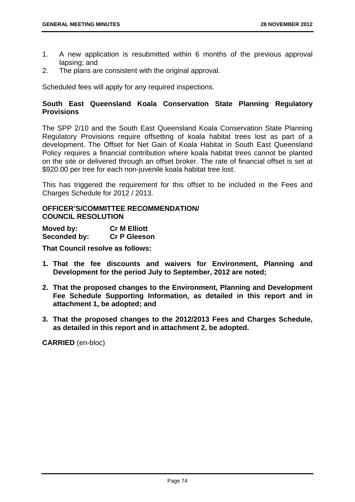- 1. A new application is resubmitted within 6 months of the previous approval lapsing; and
- 2. The plans are consistent with the original approval.

Scheduled fees will apply for any required inspections.

# **South East Queensland Koala Conservation State Planning Regulatory Provisions**

The SPP 2/10 and the South East Queensland Koala Conservation State Planning Regulatory Provisions require offsetting of koala habitat trees lost as part of a development. The Offset for Net Gain of Koala Habitat in South East Queensland Policy requires a financial contribution where koala habitat trees cannot be planted on the site or delivered through an offset broker. The rate of financial offset is set at \$920.00 per tree for each non-juvenile koala habitat tree lost.

This has triggered the requirement for this offset to be included in the Fees and Charges Schedule for 2012 / 2013.

# **OFFICER'S/COMMITTEE RECOMMENDATION/ COUNCIL RESOLUTION**

| Moved by:    | <b>Cr M Elliott</b> |
|--------------|---------------------|
| Seconded by: | <b>Cr P Gleeson</b> |

**That Council resolve as follows:** 

- **1. That the fee discounts and waivers for Environment, Planning and Development for the period July to September, 2012 are noted;**
- **2. That the proposed changes to the Environment, Planning and Development Fee Schedule Supporting Information, as detailed in this report and in attachment 1, be adopted; and**
- **3. That the proposed changes to the 2012/2013 Fees and Charges Schedule, as detailed in this report and in attachment 2, be adopted.**

**CARRIED** (en-bloc)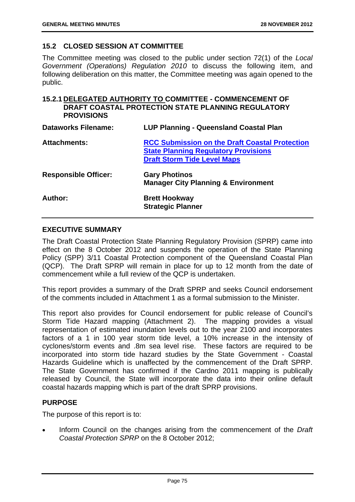# **15.2 CLOSED SESSION AT COMMITTEE**

The Committee meeting was closed to the public under section 72(1) of the *Local Government (Operations) Regulation 2010* to discuss the following item, and following deliberation on this matter, the Committee meeting was again opened to the public.

# **15.2.1 DELEGATED AUTHORITY TO COMMITTEE - COMMENCEMENT OF DRAFT COASTAL PROTECTION STATE PLANNING REGULATORY PROVISIONS**

| <b>Dataworks Filename:</b>  | <b>LUP Planning - Queensland Coastal Plan</b>                                                                                              |
|-----------------------------|--------------------------------------------------------------------------------------------------------------------------------------------|
| <b>Attachments:</b>         | <b>RCC Submission on the Draft Coastal Protection</b><br><b>State Planning Regulatory Provisions</b><br><b>Draft Storm Tide Level Maps</b> |
| <b>Responsible Officer:</b> | <b>Gary Photinos</b><br><b>Manager City Planning &amp; Environment</b>                                                                     |
| Author:                     | <b>Brett Hookway</b><br><b>Strategic Planner</b>                                                                                           |

# **EXECUTIVE SUMMARY**

The Draft Coastal Protection State Planning Regulatory Provision (SPRP) came into effect on the 8 October 2012 and suspends the operation of the State Planning Policy (SPP) 3/11 Coastal Protection component of the Queensland Coastal Plan (QCP). The Draft SPRP will remain in place for up to 12 month from the date of commencement while a full review of the QCP is undertaken.

This report provides a summary of the Draft SPRP and seeks Council endorsement of the comments included in Attachment 1 as a formal submission to the Minister.

This report also provides for Council endorsement for public release of Council's Storm Tide Hazard mapping (Attachment 2). The mapping provides a visual representation of estimated inundation levels out to the year 2100 and incorporates factors of a 1 in 100 year storm tide level, a 10% increase in the intensity of cyclones/storm events and .8m sea level rise. These factors are required to be incorporated into storm tide hazard studies by the State Government - Coastal Hazards Guideline which is unaffected by the commencement of the Draft SPRP. The State Government has confirmed if the Cardno 2011 mapping is publically released by Council, the State will incorporate the data into their online default coastal hazards mapping which is part of the draft SPRP provisions.

# **PURPOSE**

The purpose of this report is to:

 Inform Council on the changes arising from the commencement of the *Draft Coastal Protection SPRP* on the 8 October 2012;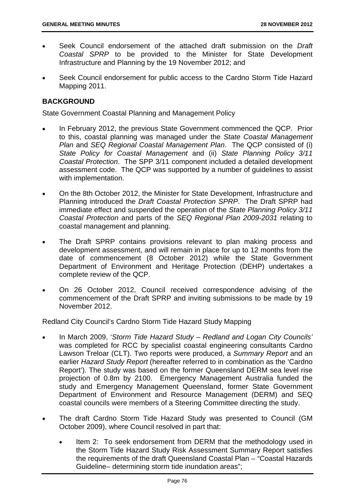- Seek Council endorsement of the attached draft submission on the *Draft Coastal SPRP* to be provided to the Minister for State Development Infrastructure and Planning by the 19 November 2012; and
- Seek Council endorsement for public access to the Cardno Storm Tide Hazard Mapping 2011.

# **BACKGROUND**

State Government Coastal Planning and Management Policy

- In February 2012, the previous State Government commenced the QCP. Prior to this, coastal planning was managed under the *State Coastal Management Plan* and *SEQ Regional Coastal Management Plan*. The QCP consisted of (i) *State Policy for Coastal Management* and (ii) *State Planning Policy 3/11 Coastal Protection*. The SPP 3/11 component included a detailed development assessment code. The QCP was supported by a number of guidelines to assist with implementation.
- On the 8th October 2012, the Minister for State Development, Infrastructure and Planning introduced the *Draft Coastal Protection SPRP*. The Draft SPRP had immediate effect and suspended the operation of the *State Planning Policy 3/11 Coastal Protection* and parts of the *SEQ Regional Plan 2009-2031* relating to coastal management and planning.
- The Draft SPRP contains provisions relevant to plan making process and development assessment, and will remain in place for up to 12 months from the date of commencement (8 October 2012) while the State Government Department of Environment and Heritage Protection (DEHP) undertakes a complete review of the QCP.
- On 26 October 2012, Council received correspondence advising of the commencement of the Draft SPRP and inviting submissions to be made by 19 November 2012.

Redland City Council's Cardno Storm Tide Hazard Study Mapping

- In March 2009, '*Storm Tide Hazard Study Redland and Logan City Councils'* was completed for RCC by specialist coastal engineering consultants Cardno Lawson Treloar (CLT). Two reports were produced, a *Summary Report* and an earlier *Hazard Study Report* (hereafter referred to in combination as the 'Cardno Report'). The study was based on the former Queensland DERM sea level rise projection of 0.8m by 2100. Emergency Management Australia funded the study and Emergency Management Queensland, former State Government Department of Environment and Resource Management (DERM) and SEQ coastal councils were members of a Steering Committee directing the study.
- The draft Cardno Storm Tide Hazard Study was presented to Council (GM October 2009), where Council resolved in part that:
	- Item 2: To seek endorsement from DERM that the methodology used in the Storm Tide Hazard Study Risk Assessment Summary Report satisfies the requirements of the draft Queensland Coastal Plan – "Coastal Hazards Guideline– determining storm tide inundation areas";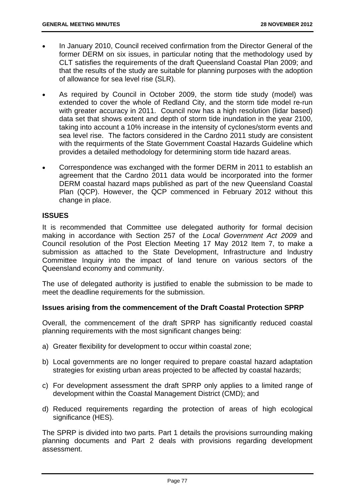- In January 2010, Council received confirmation from the Director General of the former DERM on six issues, in particular noting that the methodology used by CLT satisfies the requirements of the draft Queensland Coastal Plan 2009; and that the results of the study are suitable for planning purposes with the adoption of allowance for sea level rise (SLR).
- As required by Council in October 2009, the storm tide study (model) was extended to cover the whole of Redland City, and the storm tide model re-run with greater accuracy in 2011. Council now has a high resolution (lidar based) data set that shows extent and depth of storm tide inundation in the year 2100, taking into account a 10% increase in the intensity of cyclones/storm events and sea level rise. The factors considered in the Cardno 2011 study are consistent with the requirments of the State Government Coastal Hazards Guideline which provides a detailed methodology for determining storm tide hazard areas.
- Correspondence was exchanged with the former DERM in 2011 to establish an agreement that the Cardno 2011 data would be incorporated into the former DERM coastal hazard maps published as part of the new Queensland Coastal Plan (QCP). However, the QCP commenced in February 2012 without this change in place.

# **ISSUES**

It is recommended that Committee use delegated authority for formal decision making in accordance with Section 257 of the *Local Government Act 2009* and Council resolution of the Post Election Meeting 17 May 2012 Item 7, to make a submission as attached to the State Development, Infrastructure and Industry Committee Inquiry into the impact of land tenure on various sectors of the Queensland economy and community.

The use of delegated authority is justified to enable the submission to be made to meet the deadline requirements for the submission.

### **Issues arising from the commencement of the Draft Coastal Protection SPRP**

Overall, the commencement of the draft SPRP has significantly reduced coastal planning requirements with the most significant changes being:

- a) Greater flexibility for development to occur within coastal zone;
- b) Local governments are no longer required to prepare coastal hazard adaptation strategies for existing urban areas projected to be affected by coastal hazards;
- c) For development assessment the draft SPRP only applies to a limited range of development within the Coastal Management District (CMD); and
- d) Reduced requirements regarding the protection of areas of high ecological significance (HES).

The SPRP is divided into two parts. Part 1 details the provisions surrounding making planning documents and Part 2 deals with provisions regarding development assessment.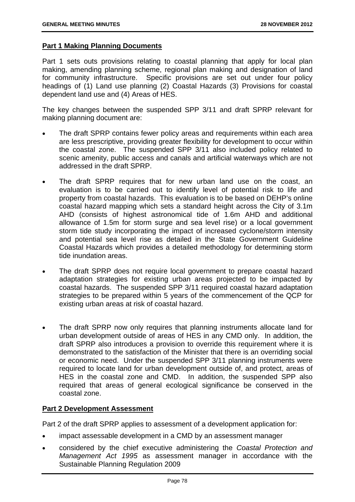### **Part 1 Making Planning Documents**

Part 1 sets outs provisions relating to coastal planning that apply for local plan making, amending planning scheme, regional plan making and designation of land for community infrastructure. Specific provisions are set out under four policy headings of (1) Land use planning (2) Coastal Hazards (3) Provisions for coastal dependent land use and (4) Areas of HES.

The key changes between the suspended SPP 3/11 and draft SPRP relevant for making planning document are:

- The draft SPRP contains fewer policy areas and requirements within each area are less prescriptive, providing greater flexibility for development to occur within the coastal zone. The suspended SPP 3/11 also included policy related to scenic amenity, public access and canals and artificial waterways which are not addressed in the draft SPRP.
- The draft SPRP requires that for new urban land use on the coast, an evaluation is to be carried out to identify level of potential risk to life and property from coastal hazards. This evaluation is to be based on DEHP's online coastal hazard mapping which sets a standard height across the City of 3.1m AHD (consists of highest astronomical tide of 1.6m AHD and additional allowance of 1.5m for storm surge and sea level rise) or a local government storm tide study incorporating the impact of increased cyclone/storm intensity and potential sea level rise as detailed in the State Government Guideline Coastal Hazards which provides a detailed methodology for determining storm tide inundation areas.
- The draft SPRP does not require local government to prepare coastal hazard adaptation strategies for existing urban areas projected to be impacted by coastal hazards. The suspended SPP 3/11 required coastal hazard adaptation strategies to be prepared within 5 years of the commencement of the QCP for existing urban areas at risk of coastal hazard.
- The draft SPRP now only requires that planning instruments allocate land for urban development outside of areas of HES in any CMD only. In addition, the draft SPRP also introduces a provision to override this requirement where it is demonstrated to the satisfaction of the Minister that there is an overriding social or economic need. Under the suspended SPP 3/11 planning instruments were required to locate land for urban development outside of, and protect, areas of HES in the coastal zone and CMD. In addition, the suspended SPP also required that areas of general ecological significance be conserved in the coastal zone.

### **Part 2 Development Assessment**

Part 2 of the draft SPRP applies to assessment of a development application for:

- impact assessable development in a CMD by an assessment manager
- considered by the chief executive administering the *Coastal Protection and Management Act 1995* as assessment manager in accordance with the Sustainable Planning Regulation 2009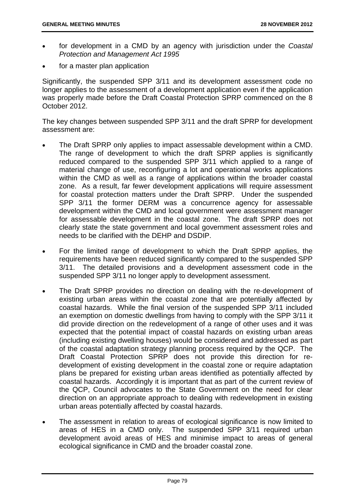- for development in a CMD by an agency with jurisdiction under the *Coastal Protection and Management Act 1995*
- for a master plan application

Significantly, the suspended SPP 3/11 and its development assessment code no longer applies to the assessment of a development application even if the application was properly made before the Draft Coastal Protection SPRP commenced on the 8 October 2012.

The key changes between suspended SPP 3/11 and the draft SPRP for development assessment are:

- The Draft SPRP only applies to impact assessable development within a CMD. The range of development to which the draft SPRP applies is significantly reduced compared to the suspended SPP 3/11 which applied to a range of material change of use, reconfiguring a lot and operational works applications within the CMD as well as a range of applications within the broader coastal zone. As a result, far fewer development applications will require assessment for coastal protection matters under the Draft SPRP. Under the suspended SPP 3/11 the former DERM was a concurrence agency for assessable development within the CMD and local government were assessment manager for assessable development in the coastal zone. The draft SPRP does not clearly state the state government and local government assessment roles and needs to be clarified with the DEHP and DSDIP.
- For the limited range of development to which the Draft SPRP applies, the requirements have been reduced significantly compared to the suspended SPP 3/11. The detailed provisions and a development assessment code in the suspended SPP 3/11 no longer apply to development assessment.
- The Draft SPRP provides no direction on dealing with the re-development of existing urban areas within the coastal zone that are potentially affected by coastal hazards. While the final version of the suspended SPP 3/11 included an exemption on domestic dwellings from having to comply with the SPP 3/11 it did provide direction on the redevelopment of a range of other uses and it was expected that the potential impact of coastal hazards on existing urban areas (including existing dwelling houses) would be considered and addressed as part of the coastal adaptation strategy planning process required by the QCP. The Draft Coastal Protection SPRP does not provide this direction for redevelopment of existing development in the coastal zone or require adaptation plans be prepared for existing urban areas identified as potentially affected by coastal hazards. Accordingly it is important that as part of the current review of the QCP, Council advocates to the State Government on the need for clear direction on an appropriate approach to dealing with redevelopment in existing urban areas potentially affected by coastal hazards.
- The assessment in relation to areas of ecological significance is now limited to areas of HES in a CMD only. The suspended SPP 3/11 required urban development avoid areas of HES and minimise impact to areas of general ecological significance in CMD and the broader coastal zone.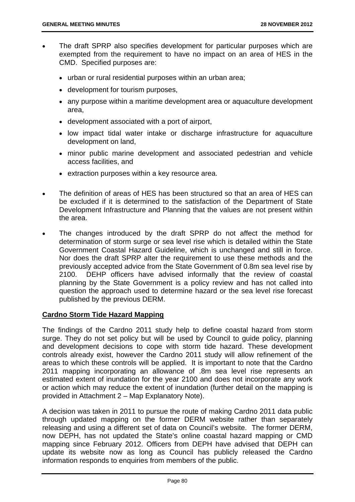- The draft SPRP also specifies development for particular purposes which are exempted from the requirement to have no impact on an area of HES in the CMD. Specified purposes are:
	- urban or rural residential purposes within an urban area;
	- development for tourism purposes,
	- any purpose within a maritime development area or aquaculture development area,
	- development associated with a port of airport,
	- low impact tidal water intake or discharge infrastructure for aquaculture development on land,
	- minor public marine development and associated pedestrian and vehicle access facilities, and
	- extraction purposes within a key resource area.
- The definition of areas of HES has been structured so that an area of HES can be excluded if it is determined to the satisfaction of the Department of State Development Infrastructure and Planning that the values are not present within the area.
- The changes introduced by the draft SPRP do not affect the method for determination of storm surge or sea level rise which is detailed within the State Government Coastal Hazard Guideline, which is unchanged and still in force. Nor does the draft SPRP alter the requirement to use these methods and the previously accepted advice from the State Government of 0.8m sea level rise by 2100. DEHP officers have advised informally that the review of coastal planning by the State Government is a policy review and has not called into question the approach used to determine hazard or the sea level rise forecast published by the previous DERM.

### **Cardno Storm Tide Hazard Mapping**

The findings of the Cardno 2011 study help to define coastal hazard from storm surge. They do not set policy but will be used by Council to guide policy, planning and development decisions to cope with storm tide hazard. These development controls already exist, however the Cardno 2011 study will allow refinement of the areas to which these controls will be applied. It is important to note that the Cardno 2011 mapping incorporating an allowance of .8m sea level rise represents an estimated extent of inundation for the year 2100 and does not incorporate any work or action which may reduce the extent of inundation (further detail on the mapping is provided in Attachment 2 – Map Explanatory Note).

A decision was taken in 2011 to pursue the route of making Cardno 2011 data public through updated mapping on the former DERM website rather than separately releasing and using a different set of data on Council's website. The former DERM, now DEPH, has not updated the State's online coastal hazard mapping or CMD mapping since February 2012. Officers from DEPH have advised that DEPH can update its website now as long as Council has publicly released the Cardno information responds to enquiries from members of the public.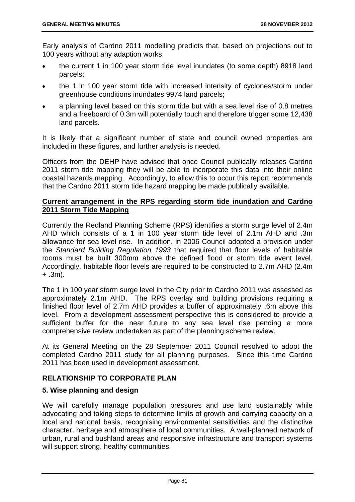Early analysis of Cardno 2011 modelling predicts that, based on projections out to 100 years without any adaption works:

- the current 1 in 100 year storm tide level inundates (to some depth) 8918 land parcels;
- the 1 in 100 year storm tide with increased intensity of cyclones/storm under greenhouse conditions inundates 9974 land parcels;
- a planning level based on this storm tide but with a sea level rise of 0.8 metres and a freeboard of 0.3m will potentially touch and therefore trigger some 12,438 land parcels.

It is likely that a significant number of state and council owned properties are included in these figures, and further analysis is needed.

Officers from the DEHP have advised that once Council publically releases Cardno 2011 storm tide mapping they will be able to incorporate this data into their online coastal hazards mapping. Accordingly, to allow this to occur this report recommends that the Cardno 2011 storm tide hazard mapping be made publically available.

# **Current arrangement in the RPS regarding storm tide inundation and Cardno 2011 Storm Tide Mapping**

Currently the Redland Planning Scheme (RPS) identifies a storm surge level of 2.4m AHD which consists of a 1 in 100 year storm tide level of 2.1m AHD and .3m allowance for sea level rise. In addition, in 2006 Council adopted a provision under the *Standard Building Regulation 1993* that required that floor levels of habitable rooms must be built 300mm above the defined flood or storm tide event level. Accordingly, habitable floor levels are required to be constructed to 2.7m AHD (2.4m + .3m).

The 1 in 100 year storm surge level in the City prior to Cardno 2011 was assessed as approximately 2.1m AHD. The RPS overlay and building provisions requiring a finished floor level of 2.7m AHD provides a buffer of approximately .6m above this level. From a development assessment perspective this is considered to provide a sufficient buffer for the near future to any sea level rise pending a more comprehensive review undertaken as part of the planning scheme review.

At its General Meeting on the 28 September 2011 Council resolved to adopt the completed Cardno 2011 study for all planning purposes*.* Since this time Cardno 2011 has been used in development assessment.

# **RELATIONSHIP TO CORPORATE PLAN**

# **5. Wise planning and design**

We will carefully manage population pressures and use land sustainably while advocating and taking steps to determine limits of growth and carrying capacity on a local and national basis, recognising environmental sensitivities and the distinctive character, heritage and atmosphere of local communities. A well-planned network of urban, rural and bushland areas and responsive infrastructure and transport systems will support strong, healthy communities.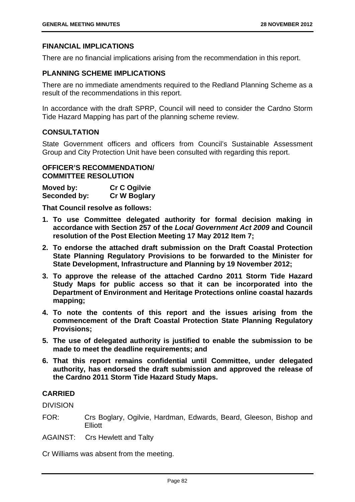### **FINANCIAL IMPLICATIONS**

There are no financial implications arising from the recommendation in this report.

### **PLANNING SCHEME IMPLICATIONS**

There are no immediate amendments required to the Redland Planning Scheme as a result of the recommendations in this report.

In accordance with the draft SPRP, Council will need to consider the Cardno Storm Tide Hazard Mapping has part of the planning scheme review.

# **CONSULTATION**

State Government officers and officers from Council's Sustainable Assessment Group and City Protection Unit have been consulted with regarding this report.

# **OFFICER'S RECOMMENDATION/ COMMITTEE RESOLUTION**

| Moved by:    | <b>Cr C Ogilvie</b> |
|--------------|---------------------|
| Seconded by: | <b>Cr W Boglary</b> |

**That Council resolve as follows:** 

- **1. To use Committee delegated authority for formal decision making in accordance with Section 257 of the** *Local Government Act 2009* **and Council resolution of the Post Election Meeting 17 May 2012 Item 7;**
- **2. To endorse the attached draft submission on the Draft Coastal Protection State Planning Regulatory Provisions to be forwarded to the Minister for State Development, Infrastructure and Planning by 19 November 2012;**
- **3. To approve the release of the attached Cardno 2011 Storm Tide Hazard Study Maps for public access so that it can be incorporated into the Department of Environment and Heritage Protections online coastal hazards mapping;**
- **4. To note the contents of this report and the issues arising from the commencement of the Draft Coastal Protection State Planning Regulatory Provisions;**
- **5. The use of delegated authority is justified to enable the submission to be made to meet the deadline requirements; and**
- **6. That this report remains confidential until Committee, under delegated authority, has endorsed the draft submission and approved the release of the Cardno 2011 Storm Tide Hazard Study Maps.**

### **CARRIED**

DIVISION

FOR: Crs Boglary, Ogilvie, Hardman, Edwards, Beard, Gleeson, Bishop and **Elliott** 

AGAINST: Crs Hewlett and Talty

Cr Williams was absent from the meeting.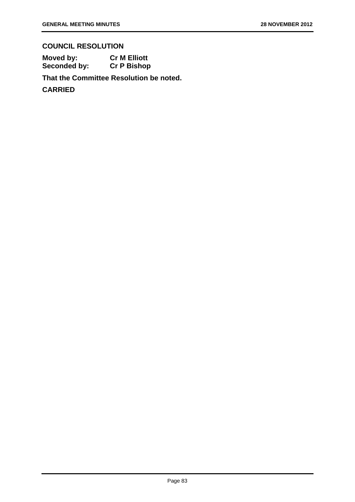# **COUNCIL RESOLUTION**

**Moved by: Cr M Elliott Seconded by: Cr P Bishop** 

**That the Committee Resolution be noted.**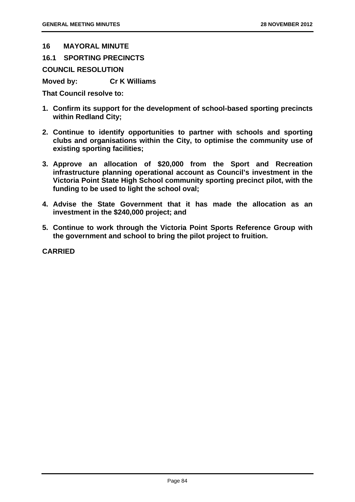#### **16 MAYORAL MINUTE**

**16.1 SPORTING PRECINCTS** 

**COUNCIL RESOLUTION** 

**Moved by: Cr K Williams** 

**That Council resolve to:** 

- **1. Confirm its support for the development of school-based sporting precincts within Redland City;**
- **2. Continue to identify opportunities to partner with schools and sporting clubs and organisations within the City, to optimise the community use of existing sporting facilities;**
- **3. Approve an allocation of \$20,000 from the Sport and Recreation infrastructure planning operational account as Council's investment in the Victoria Point State High School community sporting precinct pilot, with the funding to be used to light the school oval;**
- **4. Advise the State Government that it has made the allocation as an investment in the \$240,000 project; and**
- **5. Continue to work through the Victoria Point Sports Reference Group with the government and school to bring the pilot project to fruition.**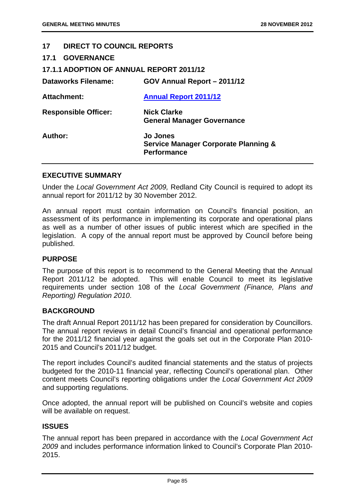# **17 DIRECT TO COUNCIL REPORTS**

| 17.1 |  | <b>GOVERNANCE</b> |  |
|------|--|-------------------|--|
|------|--|-------------------|--|

| <b>17.1.1 ADOPTION OF ANNUAL REPORT 2011/12</b> |  |
|-------------------------------------------------|--|
|                                                 |  |

| <b>Dataworks Filename:</b>  | GOV Annual Report - 2011/12                                                              |
|-----------------------------|------------------------------------------------------------------------------------------|
| <b>Attachment:</b>          | <b>Annual Report 2011/12</b>                                                             |
| <b>Responsible Officer:</b> | <b>Nick Clarke</b><br><b>General Manager Governance</b>                                  |
| Author:                     | <b>Jo Jones</b><br><b>Service Manager Corporate Planning &amp;</b><br><b>Performance</b> |

#### **EXECUTIVE SUMMARY**

Under the *Local Government Act 2009,* Redland City Council is required to adopt its annual report for 2011/12 by 30 November 2012.

An annual report must contain information on Council's financial position, an assessment of its performance in implementing its corporate and operational plans as well as a number of other issues of public interest which are specified in the legislation. A copy of the annual report must be approved by Council before being published.

### **PURPOSE**

The purpose of this report is to recommend to the General Meeting that the Annual Report 2011/12 be adopted. This will enable Council to meet its legislative requirements under section 108 of the *Local Government (Finance, Plans and Reporting) Regulation 2010*.

### **BACKGROUND**

The draft Annual Report 2011/12 has been prepared for consideration by Councillors. The annual report reviews in detail Council's financial and operational performance for the 2011/12 financial year against the goals set out in the Corporate Plan 2010- 2015 and Council's 2011/12 budget.

The report includes Council's audited financial statements and the status of projects budgeted for the 2010-11 financial year, reflecting Council's operational plan. Other content meets Council's reporting obligations under the *Local Government Act 2009*  and supporting regulations.

Once adopted, the annual report will be published on Council's website and copies will be available on request.

### **ISSUES**

The annual report has been prepared in accordance with the *Local Government Act 2009* and includes performance information linked to Council's Corporate Plan 2010- 2015.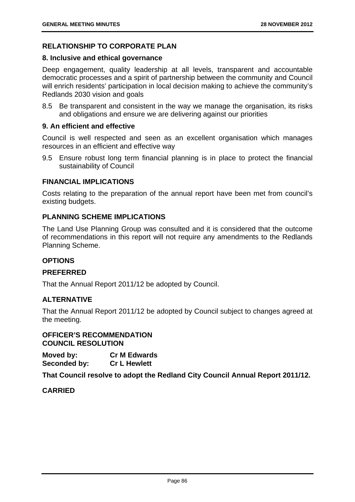# **RELATIONSHIP TO CORPORATE PLAN**

#### **8. Inclusive and ethical governance**

Deep engagement, quality leadership at all levels, transparent and accountable democratic processes and a spirit of partnership between the community and Council will enrich residents' participation in local decision making to achieve the community's Redlands 2030 vision and goals

8.5 Be transparent and consistent in the way we manage the organisation, its risks and obligations and ensure we are delivering against our priorities

#### **9. An efficient and effective**

Council is well respected and seen as an excellent organisation which manages resources in an efficient and effective way

9.5 Ensure robust long term financial planning is in place to protect the financial sustainability of Council

# **FINANCIAL IMPLICATIONS**

Costs relating to the preparation of the annual report have been met from council's existing budgets.

# **PLANNING SCHEME IMPLICATIONS**

The Land Use Planning Group was consulted and it is considered that the outcome of recommendations in this report will not require any amendments to the Redlands Planning Scheme.

### **OPTIONS**

### **PREFERRED**

That the Annual Report 2011/12 be adopted by Council.

### **ALTERNATIVE**

That the Annual Report 2011/12 be adopted by Council subject to changes agreed at the meeting.

**OFFICER'S RECOMMENDATION COUNCIL RESOLUTION** 

**Moved by: Cr M Edwards Seconded by: Cr L Hewlett** 

**That Council resolve to adopt the Redland City Council Annual Report 2011/12.**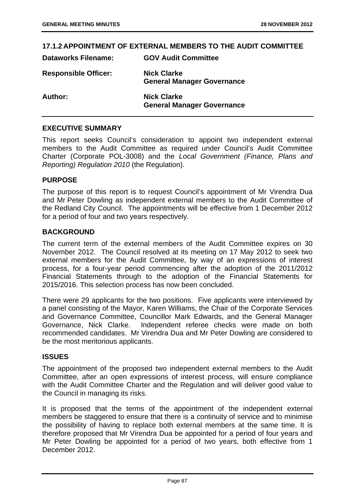### **17.1.2 APPOINTMENT OF EXTERNAL MEMBERS TO THE AUDIT COMMITTEE**

| Dataworks Filename:         | <b>GOV AUGIT COMMITTEE</b>                              |
|-----------------------------|---------------------------------------------------------|
| <b>Responsible Officer:</b> | <b>Nick Clarke</b><br><b>General Manager Governance</b> |
| Author:                     | <b>Nick Clarke</b><br><b>General Manager Governance</b> |

**Dataworks Filename: GOV Audit Committee** 

### **EXECUTIVE SUMMARY**

This report seeks Council's consideration to appoint two independent external members to the Audit Committee as required under Council's Audit Committee Charter (Corporate POL-3008) and the *Local Government (Finance, Plans and Reporting) Regulation 2010* (the Regulation).

### **PURPOSE**

The purpose of this report is to request Council's appointment of Mr Virendra Dua and Mr Peter Dowling as independent external members to the Audit Committee of the Redland City Council. The appointments will be effective from 1 December 2012 for a period of four and two years respectively.

#### **BACKGROUND**

The current term of the external members of the Audit Committee expires on 30 November 2012. The Council resolved at its meeting on 17 May 2012 to seek two external members for the Audit Committee, by way of an expressions of interest process, for a four-year period commencing after the adoption of the 2011/2012 Financial Statements through to the adoption of the Financial Statements for 2015/2016. This selection process has now been concluded.

There were 29 applicants for the two positions. Five applicants were interviewed by a panel consisting of the Mayor, Karen Williams, the Chair of the Corporate Services and Governance Committee, Councillor Mark Edwards, and the General Manager Governance, Nick Clarke. Independent referee checks were made on both recommended candidates. Mr Virendra Dua and Mr Peter Dowling are considered to be the most meritorious applicants.

### **ISSUES**

The appointment of the proposed two independent external members to the Audit Committee, after an open expressions of interest process, will ensure compliance with the Audit Committee Charter and the Regulation and will deliver good value to the Council in managing its risks.

It is proposed that the terms of the appointment of the independent external members be staggered to ensure that there is a continuity of service and to minimise the possibility of having to replace both external members at the same time. It is therefore proposed that Mr Virendra Dua be appointed for a period of four years and Mr Peter Dowling be appointed for a period of two years, both effective from 1 December 2012.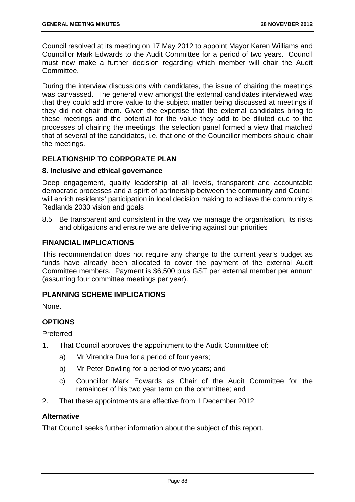Council resolved at its meeting on 17 May 2012 to appoint Mayor Karen Williams and Councillor Mark Edwards to the Audit Committee for a period of two years. Council must now make a further decision regarding which member will chair the Audit Committee.

During the interview discussions with candidates, the issue of chairing the meetings was canvassed. The general view amongst the external candidates interviewed was that they could add more value to the subject matter being discussed at meetings if they did not chair them. Given the expertise that the external candidates bring to these meetings and the potential for the value they add to be diluted due to the processes of chairing the meetings, the selection panel formed a view that matched that of several of the candidates, i.e. that one of the Councillor members should chair the meetings.

# **RELATIONSHIP TO CORPORATE PLAN**

# **8. Inclusive and ethical governance**

Deep engagement, quality leadership at all levels, transparent and accountable democratic processes and a spirit of partnership between the community and Council will enrich residents' participation in local decision making to achieve the community's Redlands 2030 vision and goals

8.5 Be transparent and consistent in the way we manage the organisation, its risks and obligations and ensure we are delivering against our priorities

# **FINANCIAL IMPLICATIONS**

This recommendation does not require any change to the current year's budget as funds have already been allocated to cover the payment of the external Audit Committee members. Payment is \$6,500 plus GST per external member per annum (assuming four committee meetings per year).

### **PLANNING SCHEME IMPLICATIONS**

None.

# **OPTIONS**

Preferred

- 1. That Council approves the appointment to the Audit Committee of:
	- a) Mr Virendra Dua for a period of four years;
	- b) Mr Peter Dowling for a period of two years; and
	- c) Councillor Mark Edwards as Chair of the Audit Committee for the remainder of his two year term on the committee; and
- 2. That these appointments are effective from 1 December 2012.

# **Alternative**

That Council seeks further information about the subject of this report.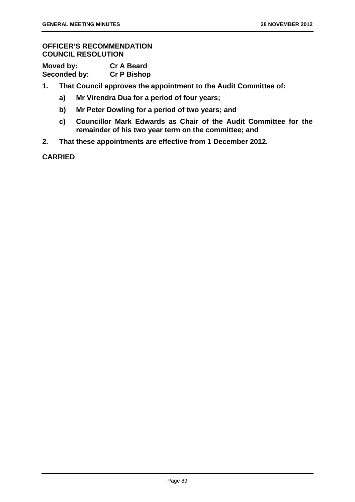# **OFFICER'S RECOMMENDATION COUNCIL RESOLUTION**

| Moved by:    | <b>Cr A Beard</b>  |
|--------------|--------------------|
| Seconded by: | <b>Cr P Bishop</b> |

- **1. That Council approves the appointment to the Audit Committee of:** 
	- **a) Mr Virendra Dua for a period of four years;**
	- **b) Mr Peter Dowling for a period of two years; and**
	- **c) Councillor Mark Edwards as Chair of the Audit Committee for the remainder of his two year term on the committee; and**
- **2. That these appointments are effective from 1 December 2012.**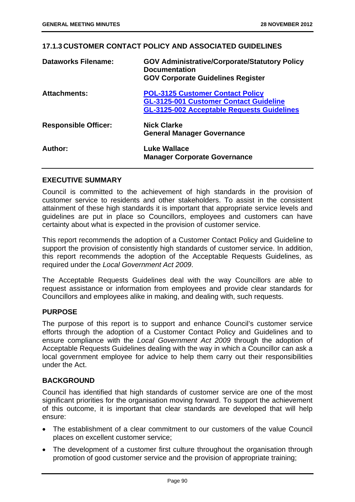### **17.1.3 CUSTOMER CONTACT POLICY AND ASSOCIATED GUIDELINES**

| <b>Dataworks Filename:</b>  | <b>GOV Administrative/Corporate/Statutory Policy</b><br><b>Documentation</b><br><b>GOV Corporate Guidelines Register</b>                      |
|-----------------------------|-----------------------------------------------------------------------------------------------------------------------------------------------|
| <b>Attachments:</b>         | <b>POL-3125 Customer Contact Policy</b><br><b>GL-3125-001 Customer Contact Guideline</b><br><b>GL-3125-002 Acceptable Requests Guidelines</b> |
| <b>Responsible Officer:</b> | <b>Nick Clarke</b><br><b>General Manager Governance</b>                                                                                       |
| Author:                     | <b>Luke Wallace</b><br><b>Manager Corporate Governance</b>                                                                                    |

### **EXECUTIVE SUMMARY**

Council is committed to the achievement of high standards in the provision of customer service to residents and other stakeholders. To assist in the consistent attainment of these high standards it is important that appropriate service levels and guidelines are put in place so Councillors, employees and customers can have certainty about what is expected in the provision of customer service.

This report recommends the adoption of a Customer Contact Policy and Guideline to support the provision of consistently high standards of customer service. In addition, this report recommends the adoption of the Acceptable Requests Guidelines, as required under the *Local Government Act 2009*.

The Acceptable Requests Guidelines deal with the way Councillors are able to request assistance or information from employees and provide clear standards for Councillors and employees alike in making, and dealing with, such requests.

### **PURPOSE**

The purpose of this report is to support and enhance Council's customer service efforts through the adoption of a Customer Contact Policy and Guidelines and to ensure compliance with the *Local Government Act 2009* through the adoption of Acceptable Requests Guidelines dealing with the way in which a Councillor can ask a local government employee for advice to help them carry out their responsibilities under the Act.

### **BACKGROUND**

Council has identified that high standards of customer service are one of the most significant priorities for the organisation moving forward. To support the achievement of this outcome, it is important that clear standards are developed that will help ensure:

- The establishment of a clear commitment to our customers of the value Council places on excellent customer service;
- The development of a customer first culture throughout the organisation through promotion of good customer service and the provision of appropriate training;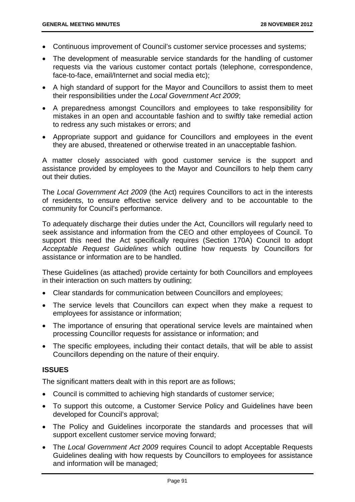- Continuous improvement of Council's customer service processes and systems;
- The development of measurable service standards for the handling of customer requests via the various customer contact portals (telephone, correspondence, face-to-face, email/Internet and social media etc);
- A high standard of support for the Mayor and Councillors to assist them to meet their responsibilities under the *Local Government Act 2009*;
- A preparedness amongst Councillors and employees to take responsibility for mistakes in an open and accountable fashion and to swiftly take remedial action to redress any such mistakes or errors; and
- Appropriate support and guidance for Councillors and employees in the event they are abused, threatened or otherwise treated in an unacceptable fashion.

A matter closely associated with good customer service is the support and assistance provided by employees to the Mayor and Councillors to help them carry out their duties.

The *Local Government Act 2009* (the Act) requires Councillors to act in the interests of residents, to ensure effective service delivery and to be accountable to the community for Council's performance.

To adequately discharge their duties under the Act, Councillors will regularly need to seek assistance and information from the CEO and other employees of Council. To support this need the Act specifically requires (Section 170A) Council to adopt *Acceptable Request Guidelines* which outline how requests by Councillors for assistance or information are to be handled.

These Guidelines (as attached) provide certainty for both Councillors and employees in their interaction on such matters by outlining;

- Clear standards for communication between Councillors and employees;
- The service levels that Councillors can expect when they make a request to employees for assistance or information;
- The importance of ensuring that operational service levels are maintained when processing Councillor requests for assistance or information; and
- The specific employees, including their contact details, that will be able to assist Councillors depending on the nature of their enquiry.

# **ISSUES**

The significant matters dealt with in this report are as follows;

- Council is committed to achieving high standards of customer service;
- To support this outcome, a Customer Service Policy and Guidelines have been developed for Council's approval;
- The Policy and Guidelines incorporate the standards and processes that will support excellent customer service moving forward;
- The *Local Government Act 2009* requires Council to adopt Acceptable Requests Guidelines dealing with how requests by Councillors to employees for assistance and information will be managed;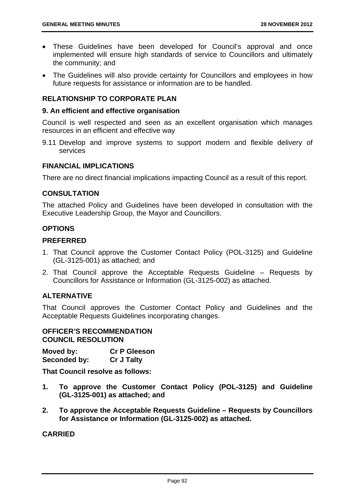- These Guidelines have been developed for Council's approval and once implemented will ensure high standards of service to Councillors and ultimately the community; and
- The Guidelines will also provide certainty for Councillors and employees in how future requests for assistance or information are to be handled.

# **RELATIONSHIP TO CORPORATE PLAN**

### **9. An efficient and effective organisation**

Council is well respected and seen as an excellent organisation which manages resources in an efficient and effective way

9.11 Develop and improve systems to support modern and flexible delivery of services

# **FINANCIAL IMPLICATIONS**

There are no direct financial implications impacting Council as a result of this report.

### **CONSULTATION**

The attached Policy and Guidelines have been developed in consultation with the Executive Leadership Group, the Mayor and Councillors.

### **OPTIONS**

#### **PREFERRED**

- 1. That Council approve the Customer Contact Policy (POL-3125) and Guideline (GL-3125-001) as attached; and
- 2. That Council approve the Acceptable Requests Guideline Requests by Councillors for Assistance or Information (GL-3125-002) as attached.

### **ALTERNATIVE**

That Council approves the Customer Contact Policy and Guidelines and the Acceptable Requests Guidelines incorporating changes.

### **OFFICER'S RECOMMENDATION COUNCIL RESOLUTION**

**Moved by: Cr P Gleeson Seconded by: Cr J Talty** 

**That Council resolve as follows:** 

- **1. To approve the Customer Contact Policy (POL-3125) and Guideline (GL-3125-001) as attached; and**
- **2. To approve the Acceptable Requests Guideline Requests by Councillors for Assistance or Information (GL-3125-002) as attached.**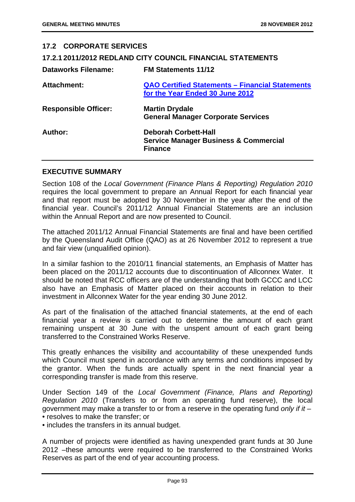| <b>17.2 CORPORATE SERVICES</b> |                                                                                                   |
|--------------------------------|---------------------------------------------------------------------------------------------------|
|                                | 17.2.1 2011/2012 REDLAND CITY COUNCIL FINANCIAL STATEMENTS                                        |
| <b>Dataworks Filename:</b>     | <b>FM Statements 11/12</b>                                                                        |
| <b>Attachment:</b>             | QAO Certified Statements - Financial Statements<br>for the Year Ended 30 June 2012                |
| <b>Responsible Officer:</b>    | <b>Martin Drydale</b><br><b>General Manager Corporate Services</b>                                |
| Author:                        | <b>Deborah Corbett-Hall</b><br><b>Service Manager Business &amp; Commercial</b><br><b>Finance</b> |
|                                |                                                                                                   |

# **EXECUTIVE SUMMARY**

Section 108 of the *Local Government (Finance Plans & Reporting) Regulation 2010* requires the local government to prepare an Annual Report for each financial year and that report must be adopted by 30 November in the year after the end of the financial year. Council's 2011/12 Annual Financial Statements are an inclusion within the Annual Report and are now presented to Council.

The attached 2011/12 Annual Financial Statements are final and have been certified by the Queensland Audit Office (QAO) as at 26 November 2012 to represent a true and fair view (unqualified opinion).

In a similar fashion to the 2010/11 financial statements, an Emphasis of Matter has been placed on the 2011/12 accounts due to discontinuation of Allconnex Water. It should be noted that RCC officers are of the understanding that both GCCC and LCC also have an Emphasis of Matter placed on their accounts in relation to their investment in Allconnex Water for the year ending 30 June 2012.

As part of the finalisation of the attached financial statements, at the end of each financial year a review is carried out to determine the amount of each grant remaining unspent at 30 June with the unspent amount of each grant being transferred to the Constrained Works Reserve.

This greatly enhances the visibility and accountability of these unexpended funds which Council must spend in accordance with any terms and conditions imposed by the grantor. When the funds are actually spent in the next financial year a corresponding transfer is made from this reserve.

Under Section 149 of the *Local Government (Finance, Plans and Reporting) Regulation 2010* (Transfers to or from an operating fund reserve), the local government may make a transfer to or from a reserve in the operating fund *only if it* – • resolves to make the transfer; or

• includes the transfers in its annual budget.

A number of projects were identified as having unexpended grant funds at 30 June 2012 –these amounts were required to be transferred to the Constrained Works Reserves as part of the end of year accounting process.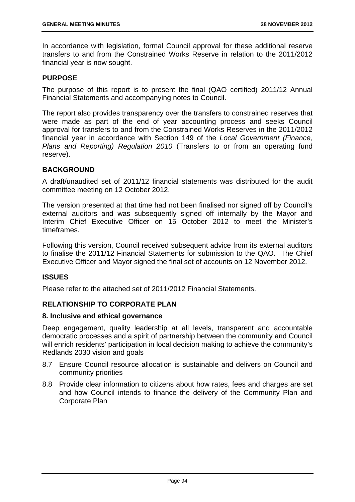In accordance with legislation, formal Council approval for these additional reserve transfers to and from the Constrained Works Reserve in relation to the 2011/2012 financial year is now sought.

### **PURPOSE**

The purpose of this report is to present the final (QAO certified) 2011/12 Annual Financial Statements and accompanying notes to Council.

The report also provides transparency over the transfers to constrained reserves that were made as part of the end of year accounting process and seeks Council approval for transfers to and from the Constrained Works Reserves in the 2011/2012 financial year in accordance with Section 149 of the *Local Government (Finance, Plans and Reporting) Regulation 2010* (Transfers to or from an operating fund reserve).

# **BACKGROUND**

A draft/unaudited set of 2011/12 financial statements was distributed for the audit committee meeting on 12 October 2012.

The version presented at that time had not been finalised nor signed off by Council's external auditors and was subsequently signed off internally by the Mayor and Interim Chief Executive Officer on 15 October 2012 to meet the Minister's timeframes.

Following this version, Council received subsequent advice from its external auditors to finalise the 2011/12 Financial Statements for submission to the QAO. The Chief Executive Officer and Mayor signed the final set of accounts on 12 November 2012.

### **ISSUES**

Please refer to the attached set of 2011/2012 Financial Statements.

# **RELATIONSHIP TO CORPORATE PLAN**

# **8. Inclusive and ethical governance**

Deep engagement, quality leadership at all levels, transparent and accountable democratic processes and a spirit of partnership between the community and Council will enrich residents' participation in local decision making to achieve the community's Redlands 2030 vision and goals

- 8.7 Ensure Council resource allocation is sustainable and delivers on Council and community priorities
- 8.8 Provide clear information to citizens about how rates, fees and charges are set and how Council intends to finance the delivery of the Community Plan and Corporate Plan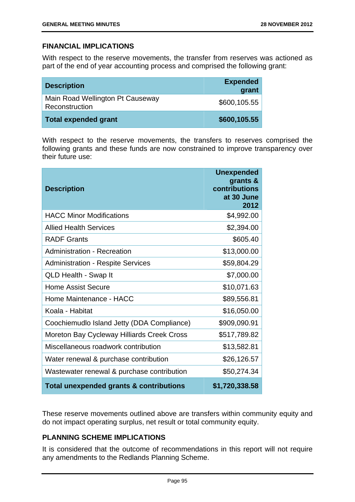# **FINANCIAL IMPLICATIONS**

With respect to the reserve movements, the transfer from reserves was actioned as part of the end of year accounting process and comprised the following grant:

| <b>Description</b>                                 | <b>Expended</b><br>grant |
|----------------------------------------------------|--------------------------|
| Main Road Wellington Pt Causeway<br>Reconstruction | \$600,105.55             |
| <b>Total expended grant</b>                        | \$600,105.55             |

With respect to the reserve movements, the transfers to reserves comprised the following grants and these funds are now constrained to improve transparency over their future use:

| <b>Description</b>                         | <b>Unexpended</b><br>grants &<br>contributions<br>at 30 June<br>2012 |
|--------------------------------------------|----------------------------------------------------------------------|
| <b>HACC Minor Modifications</b>            | \$4,992.00                                                           |
| <b>Allied Health Services</b>              | \$2,394.00                                                           |
| <b>RADF Grants</b>                         | \$605.40                                                             |
| <b>Administration - Recreation</b>         | \$13,000.00                                                          |
| <b>Administration - Respite Services</b>   | \$59,804.29                                                          |
| <b>QLD Health - Swap It</b>                | \$7,000.00                                                           |
| <b>Home Assist Secure</b>                  | \$10,071.63                                                          |
| Home Maintenance - HACC                    | \$89,556.81                                                          |
| Koala - Habitat                            | \$16,050.00                                                          |
| Coochiemudlo Island Jetty (DDA Compliance) | \$909,090.91                                                         |
| Moreton Bay Cycleway Hilliards Creek Cross | \$517,789.82                                                         |
| Miscellaneous roadwork contribution        | \$13,582.81                                                          |
| Water renewal & purchase contribution      | \$26,126.57                                                          |
| Wastewater renewal & purchase contribution | \$50,274.34                                                          |
| Total unexpended grants & contributions    | \$1,720,338.58                                                       |

These reserve movements outlined above are transfers within community equity and do not impact operating surplus, net result or total community equity.

# **PLANNING SCHEME IMPLICATIONS**

It is considered that the outcome of recommendations in this report will not require any amendments to the Redlands Planning Scheme.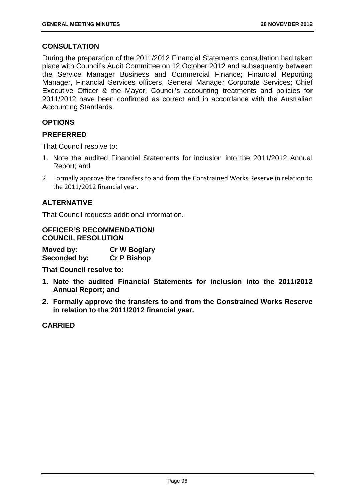# **CONSULTATION**

During the preparation of the 2011/2012 Financial Statements consultation had taken place with Council's Audit Committee on 12 October 2012 and subsequently between the Service Manager Business and Commercial Finance; Financial Reporting Manager, Financial Services officers, General Manager Corporate Services; Chief Executive Officer & the Mayor. Council's accounting treatments and policies for 2011/2012 have been confirmed as correct and in accordance with the Australian Accounting Standards.

# **OPTIONS**

# **PREFERRED**

That Council resolve to:

- 1. Note the audited Financial Statements for inclusion into the 2011/2012 Annual Report; and
- 2. Formally approve the transfers to and from the Constrained Works Reserve in relation to the 2011/2012 financial year.

# **ALTERNATIVE**

That Council requests additional information.

### **OFFICER'S RECOMMENDATION/ COUNCIL RESOLUTION**

| Moved by:    | <b>Cr W Boglary</b> |
|--------------|---------------------|
| Seconded by: | <b>Cr P Bishop</b>  |

**That Council resolve to:** 

- **1. Note the audited Financial Statements for inclusion into the 2011/2012 Annual Report; and**
- **2. Formally approve the transfers to and from the Constrained Works Reserve in relation to the 2011/2012 financial year.**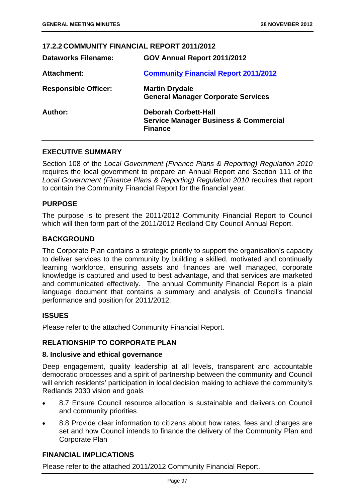### **17.2.2 COMMUNITY FINANCIAL REPORT 2011/2012**

| <b>Dataworks Filename:</b>  | GOV Annual Report 2011/2012                                                                       |
|-----------------------------|---------------------------------------------------------------------------------------------------|
| <b>Attachment:</b>          | <b>Community Financial Report 2011/2012</b>                                                       |
| <b>Responsible Officer:</b> | <b>Martin Drydale</b><br><b>General Manager Corporate Services</b>                                |
| Author:                     | <b>Deborah Corbett-Hall</b><br><b>Service Manager Business &amp; Commercial</b><br><b>Finance</b> |

### **EXECUTIVE SUMMARY**

Section 108 of the *Local Government (Finance Plans & Reporting) Regulation 2010* requires the local government to prepare an Annual Report and Section 111 of the *Local Government (Finance Plans & Reporting) Regulation 2010* requires that report to contain the Community Financial Report for the financial year.

### **PURPOSE**

The purpose is to present the 2011/2012 Community Financial Report to Council which will then form part of the 2011/2012 Redland City Council Annual Report.

### **BACKGROUND**

The Corporate Plan contains a strategic priority to support the organisation's capacity to deliver services to the community by building a skilled, motivated and continually learning workforce, ensuring assets and finances are well managed, corporate knowledge is captured and used to best advantage, and that services are marketed and communicated effectively. The annual Community Financial Report is a plain language document that contains a summary and analysis of Council's financial performance and position for 2011/2012.

### **ISSUES**

Please refer to the attached Community Financial Report.

### **RELATIONSHIP TO CORPORATE PLAN**

#### **8. Inclusive and ethical governance**

Deep engagement, quality leadership at all levels, transparent and accountable democratic processes and a spirit of partnership between the community and Council will enrich residents' participation in local decision making to achieve the community's Redlands 2030 vision and goals

- 8.7 Ensure Council resource allocation is sustainable and delivers on Council and community priorities
- 8.8 Provide clear information to citizens about how rates, fees and charges are set and how Council intends to finance the delivery of the Community Plan and Corporate Plan

### **FINANCIAL IMPLICATIONS**

Please refer to the attached 2011/2012 Community Financial Report.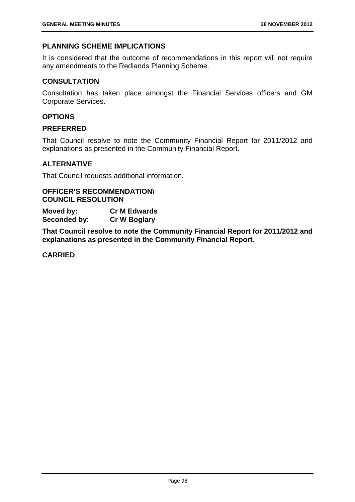### **PLANNING SCHEME IMPLICATIONS**

It is considered that the outcome of recommendations in this report will not require any amendments to the Redlands Planning Scheme.

### **CONSULTATION**

Consultation has taken place amongst the Financial Services officers and GM Corporate Services.

# **OPTIONS**

# **PREFERRED**

That Council resolve to note the Community Financial Report for 2011/2012 and explanations as presented in the Community Financial Report.

# **ALTERNATIVE**

That Council requests additional information.

**OFFICER'S RECOMMENDATION\ COUNCIL RESOLUTION** 

**Moved by: Cr M Edwards Seconded by: Cr W Boglary** 

**That Council resolve to note the Community Financial Report for 2011/2012 and explanations as presented in the Community Financial Report.**